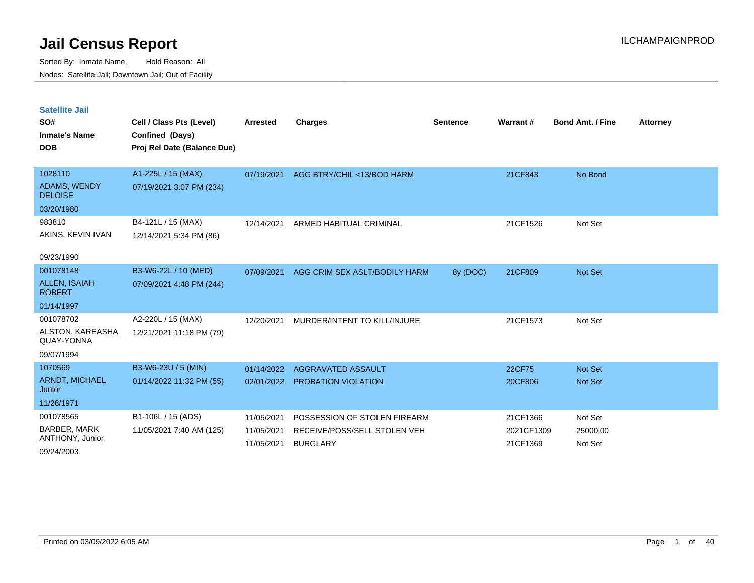Sorted By: Inmate Name, Hold Reason: All Nodes: Satellite Jail; Downtown Jail; Out of Facility

| <b>Satellite Jail</b><br>SO#<br><b>Inmate's Name</b><br><b>DOB</b> | Cell / Class Pts (Level)<br>Confined (Days)<br>Proj Rel Date (Balance Due) | <b>Arrested</b> | Charges                       | <b>Sentence</b> | Warrant#   | <b>Bond Amt. / Fine</b> | <b>Attorney</b> |
|--------------------------------------------------------------------|----------------------------------------------------------------------------|-----------------|-------------------------------|-----------------|------------|-------------------------|-----------------|
| 1028110                                                            | A1-225L / 15 (MAX)                                                         | 07/19/2021      | AGG BTRY/CHIL <13/BOD HARM    |                 | 21CF843    | No Bond                 |                 |
| ADAMS, WENDY<br><b>DELOISE</b>                                     | 07/19/2021 3:07 PM (234)                                                   |                 |                               |                 |            |                         |                 |
| 03/20/1980                                                         |                                                                            |                 |                               |                 |            |                         |                 |
| 983810                                                             | B4-121L / 15 (MAX)                                                         | 12/14/2021      | ARMED HABITUAL CRIMINAL       |                 | 21CF1526   | Not Set                 |                 |
| AKINS, KEVIN IVAN                                                  | 12/14/2021 5:34 PM (86)                                                    |                 |                               |                 |            |                         |                 |
| 09/23/1990                                                         |                                                                            |                 |                               |                 |            |                         |                 |
| 001078148                                                          | B3-W6-22L / 10 (MED)                                                       | 07/09/2021      | AGG CRIM SEX ASLT/BODILY HARM | 8y (DOC)        | 21CF809    | <b>Not Set</b>          |                 |
| <b>ALLEN, ISAIAH</b><br><b>ROBERT</b>                              | 07/09/2021 4:48 PM (244)                                                   |                 |                               |                 |            |                         |                 |
| 01/14/1997                                                         |                                                                            |                 |                               |                 |            |                         |                 |
| 001078702                                                          | A2-220L / 15 (MAX)                                                         | 12/20/2021      | MURDER/INTENT TO KILL/INJURE  |                 | 21CF1573   | Not Set                 |                 |
| ALSTON, KAREASHA<br>QUAY-YONNA                                     | 12/21/2021 11:18 PM (79)                                                   |                 |                               |                 |            |                         |                 |
| 09/07/1994                                                         |                                                                            |                 |                               |                 |            |                         |                 |
| 1070569                                                            | B3-W6-23U / 5 (MIN)                                                        | 01/14/2022      | AGGRAVATED ASSAULT            |                 | 22CF75     | <b>Not Set</b>          |                 |
| ARNDT, MICHAEL<br>Junior                                           | 01/14/2022 11:32 PM (55)                                                   | 02/01/2022      | <b>PROBATION VIOLATION</b>    |                 | 20CF806    | <b>Not Set</b>          |                 |
| 11/28/1971                                                         |                                                                            |                 |                               |                 |            |                         |                 |
| 001078565                                                          | B1-106L / 15 (ADS)                                                         | 11/05/2021      | POSSESSION OF STOLEN FIREARM  |                 | 21CF1366   | Not Set                 |                 |
| <b>BARBER, MARK</b>                                                | 11/05/2021 7:40 AM (125)                                                   | 11/05/2021      | RECEIVE/POSS/SELL STOLEN VEH  |                 | 2021CF1309 | 25000.00                |                 |
| ANTHONY, Junior                                                    |                                                                            | 11/05/2021      | <b>BURGLARY</b>               |                 | 21CF1369   | Not Set                 |                 |

09/24/2003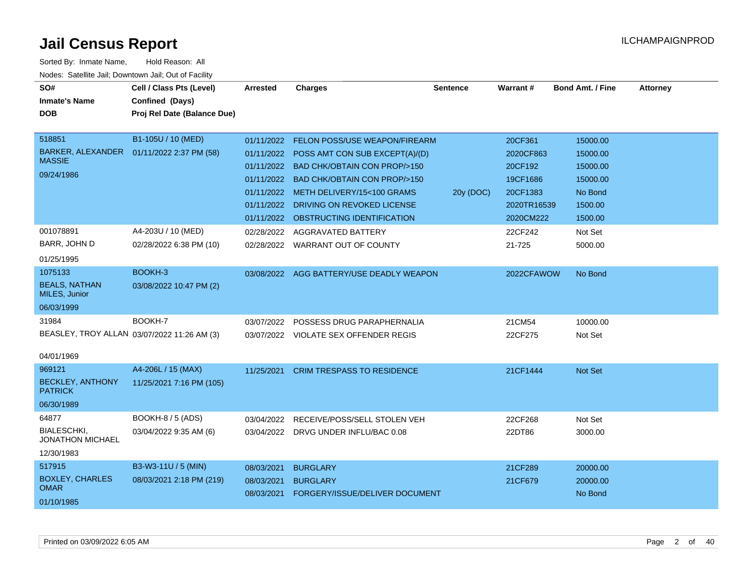| SO#<br><b>Inmate's Name</b><br><b>DOB</b>                            | Cell / Class Pts (Level)<br>Confined (Days)<br>Proj Rel Date (Balance Due)             | <b>Arrested</b>                        | <b>Charges</b>                                                                                                                                                                                                                                                                                                   | <b>Sentence</b> | Warrant#                                                                                       | <b>Bond Amt. / Fine</b>                                                                  | <b>Attorney</b> |
|----------------------------------------------------------------------|----------------------------------------------------------------------------------------|----------------------------------------|------------------------------------------------------------------------------------------------------------------------------------------------------------------------------------------------------------------------------------------------------------------------------------------------------------------|-----------------|------------------------------------------------------------------------------------------------|------------------------------------------------------------------------------------------|-----------------|
| 518851<br><b>MASSIE</b><br>09/24/1986<br>001078891                   | B1-105U / 10 (MED)<br>BARKER, ALEXANDER  01/11/2022 2:37 PM (58)<br>A4-203U / 10 (MED) | 01/11/2022<br>01/11/2022<br>01/11/2022 | FELON POSS/USE WEAPON/FIREARM<br>01/11/2022 POSS AMT CON SUB EXCEPT(A)/(D)<br>01/11/2022 BAD CHK/OBTAIN CON PROP/>150<br><b>BAD CHK/OBTAIN CON PROP/&gt;150</b><br>01/11/2022 METH DELIVERY/15<100 GRAMS<br>DRIVING ON REVOKED LICENSE<br>01/11/2022 OBSTRUCTING IDENTIFICATION<br>02/28/2022 AGGRAVATED BATTERY | 20y (DOC)       | 20CF361<br>2020CF863<br>20CF192<br>19CF1686<br>20CF1383<br>2020TR16539<br>2020CM222<br>22CF242 | 15000.00<br>15000.00<br>15000.00<br>15000.00<br>No Bond<br>1500.00<br>1500.00<br>Not Set |                 |
| BARR, JOHN D<br>01/25/1995                                           | 02/28/2022 6:38 PM (10)                                                                |                                        | 02/28/2022 WARRANT OUT OF COUNTY                                                                                                                                                                                                                                                                                 |                 | 21-725                                                                                         | 5000.00                                                                                  |                 |
| 1075133<br><b>BEALS, NATHAN</b><br>MILES, Junior<br>06/03/1999       | BOOKH-3<br>03/08/2022 10:47 PM (2)                                                     |                                        | 03/08/2022 AGG BATTERY/USE DEADLY WEAPON                                                                                                                                                                                                                                                                         |                 | 2022CFAWOW                                                                                     | No Bond                                                                                  |                 |
| 31984<br>04/01/1969                                                  | BOOKH-7<br>BEASLEY, TROY ALLAN 03/07/2022 11:26 AM (3)                                 | 03/07/2022                             | POSSESS DRUG PARAPHERNALIA<br>03/07/2022 VIOLATE SEX OFFENDER REGIS                                                                                                                                                                                                                                              |                 | 21CM54<br>22CF275                                                                              | 10000.00<br>Not Set                                                                      |                 |
| 969121<br><b>BECKLEY, ANTHONY</b><br><b>PATRICK</b><br>06/30/1989    | A4-206L / 15 (MAX)<br>11/25/2021 7:16 PM (105)                                         | 11/25/2021                             | <b>CRIM TRESPASS TO RESIDENCE</b>                                                                                                                                                                                                                                                                                |                 | 21CF1444                                                                                       | Not Set                                                                                  |                 |
| 64877<br><b>BIALESCHKI,</b><br><b>JONATHON MICHAEL</b><br>12/30/1983 | BOOKH-8 / 5 (ADS)<br>03/04/2022 9:35 AM (6)                                            | 03/04/2022                             | RECEIVE/POSS/SELL STOLEN VEH<br>03/04/2022 DRVG UNDER INFLU/BAC 0.08                                                                                                                                                                                                                                             |                 | 22CF268<br>22DT86                                                                              | Not Set<br>3000.00                                                                       |                 |
| 517915<br><b>BOXLEY, CHARLES</b><br><b>OMAR</b><br>01/10/1985        | B3-W3-11U / 5 (MIN)<br>08/03/2021 2:18 PM (219)                                        | 08/03/2021<br>08/03/2021<br>08/03/2021 | <b>BURGLARY</b><br><b>BURGLARY</b><br>FORGERY/ISSUE/DELIVER DOCUMENT                                                                                                                                                                                                                                             |                 | 21CF289<br>21CF679                                                                             | 20000.00<br>20000.00<br>No Bond                                                          |                 |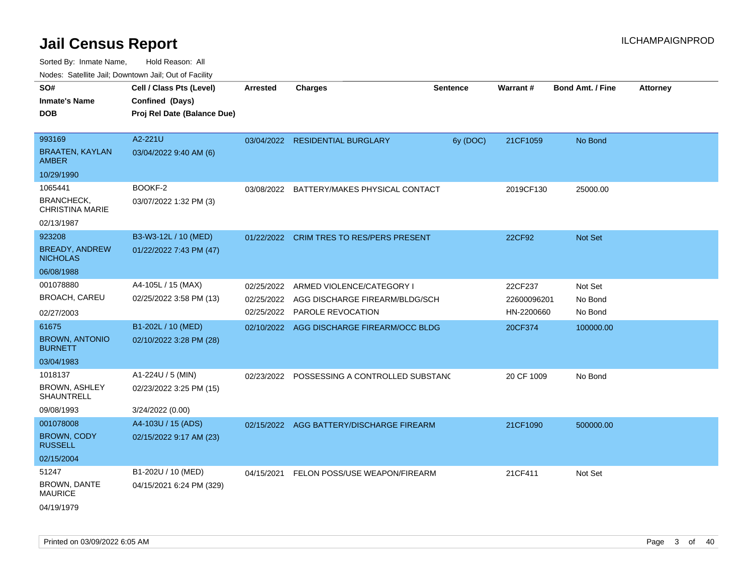Sorted By: Inmate Name, Hold Reason: All

|                                             | Nodes: Satellite Jail; Downtown Jail; Out of Facility |                 |                                          |                 |             |                         |          |
|---------------------------------------------|-------------------------------------------------------|-----------------|------------------------------------------|-----------------|-------------|-------------------------|----------|
| SO#                                         | Cell / Class Pts (Level)                              | <b>Arrested</b> | <b>Charges</b>                           | <b>Sentence</b> | Warrant#    | <b>Bond Amt. / Fine</b> | Attorney |
| <b>Inmate's Name</b>                        | Confined (Days)                                       |                 |                                          |                 |             |                         |          |
| <b>DOB</b>                                  | Proj Rel Date (Balance Due)                           |                 |                                          |                 |             |                         |          |
|                                             |                                                       |                 |                                          |                 |             |                         |          |
| 993169                                      | A2-221U                                               | 03/04/2022      | <b>RESIDENTIAL BURGLARY</b>              | 6y (DOC)        | 21CF1059    | No Bond                 |          |
| <b>BRAATEN, KAYLAN</b><br><b>AMBER</b>      | 03/04/2022 9:40 AM (6)                                |                 |                                          |                 |             |                         |          |
| 10/29/1990                                  |                                                       |                 |                                          |                 |             |                         |          |
| 1065441                                     | BOOKF-2                                               | 03/08/2022      | BATTERY/MAKES PHYSICAL CONTACT           |                 | 2019CF130   | 25000.00                |          |
| <b>BRANCHECK,</b><br><b>CHRISTINA MARIE</b> | 03/07/2022 1:32 PM (3)                                |                 |                                          |                 |             |                         |          |
| 02/13/1987                                  |                                                       |                 |                                          |                 |             |                         |          |
| 923208                                      | B3-W3-12L / 10 (MED)                                  | 01/22/2022      | <b>CRIM TRES TO RES/PERS PRESENT</b>     |                 | 22CF92      | Not Set                 |          |
| <b>BREADY, ANDREW</b><br><b>NICHOLAS</b>    | 01/22/2022 7:43 PM (47)                               |                 |                                          |                 |             |                         |          |
| 06/08/1988                                  |                                                       |                 |                                          |                 |             |                         |          |
| 001078880                                   | A4-105L / 15 (MAX)                                    | 02/25/2022      | ARMED VIOLENCE/CATEGORY I                |                 | 22CF237     | Not Set                 |          |
| <b>BROACH, CAREU</b>                        | 02/25/2022 3:58 PM (13)                               | 02/25/2022      | AGG DISCHARGE FIREARM/BLDG/SCH           |                 | 22600096201 | No Bond                 |          |
| 02/27/2003                                  |                                                       | 02/25/2022      | <b>PAROLE REVOCATION</b>                 |                 | HN-2200660  | No Bond                 |          |
| 61675                                       | B1-202L / 10 (MED)                                    | 02/10/2022      | AGG DISCHARGE FIREARM/OCC BLDG           |                 | 20CF374     | 100000.00               |          |
| <b>BROWN, ANTONIO</b><br><b>BURNETT</b>     | 02/10/2022 3:28 PM (28)                               |                 |                                          |                 |             |                         |          |
| 03/04/1983                                  |                                                       |                 |                                          |                 |             |                         |          |
| 1018137                                     | A1-224U / 5 (MIN)                                     | 02/23/2022      | POSSESSING A CONTROLLED SUBSTAND         |                 | 20 CF 1009  | No Bond                 |          |
| <b>BROWN, ASHLEY</b><br>SHAUNTRELL          | 02/23/2022 3:25 PM (15)                               |                 |                                          |                 |             |                         |          |
| 09/08/1993                                  | 3/24/2022 (0.00)                                      |                 |                                          |                 |             |                         |          |
| 001078008                                   | A4-103U / 15 (ADS)                                    |                 | 02/15/2022 AGG BATTERY/DISCHARGE FIREARM |                 | 21CF1090    | 500000.00               |          |
| <b>BROWN, CODY</b><br><b>RUSSELL</b>        | 02/15/2022 9:17 AM (23)                               |                 |                                          |                 |             |                         |          |
| 02/15/2004                                  |                                                       |                 |                                          |                 |             |                         |          |
| 51247                                       | B1-202U / 10 (MED)                                    | 04/15/2021      | FELON POSS/USE WEAPON/FIREARM            |                 | 21CF411     | Not Set                 |          |

MAURICE 04/19/1979

BROWN, DANTE

04/15/2021 6:24 PM (329)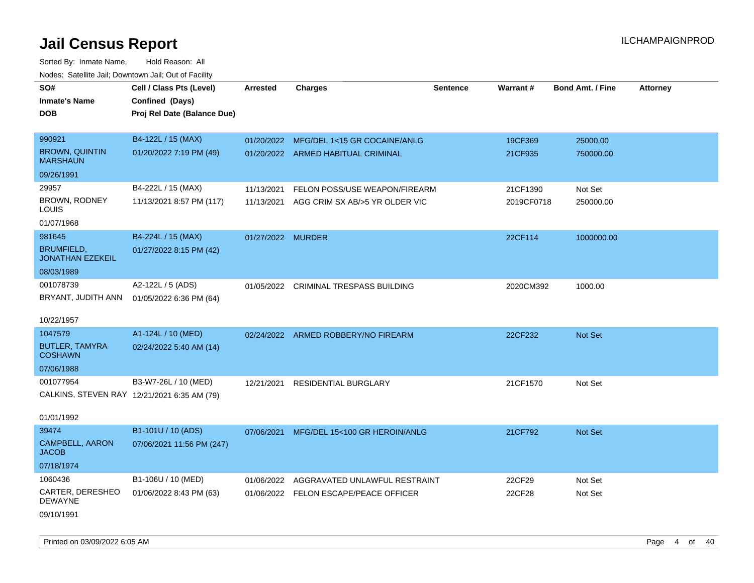Sorted By: Inmate Name, Hold Reason: All Nodes: Satellite Jail; Downtown Jail; Out of Facility

| SO#                                          | Cell / Class Pts (Level)                    | <b>Arrested</b>   | <b>Charges</b>                            | <b>Sentence</b> | <b>Warrant#</b> | <b>Bond Amt. / Fine</b> | <b>Attorney</b> |
|----------------------------------------------|---------------------------------------------|-------------------|-------------------------------------------|-----------------|-----------------|-------------------------|-----------------|
| <b>Inmate's Name</b>                         | Confined (Days)                             |                   |                                           |                 |                 |                         |                 |
| <b>DOB</b>                                   | Proj Rel Date (Balance Due)                 |                   |                                           |                 |                 |                         |                 |
|                                              |                                             |                   |                                           |                 |                 |                         |                 |
| 990921                                       | B4-122L / 15 (MAX)                          |                   | 01/20/2022 MFG/DEL 1<15 GR COCAINE/ANLG   |                 | 19CF369         | 25000.00                |                 |
| <b>BROWN, QUINTIN</b><br><b>MARSHAUN</b>     | 01/20/2022 7:19 PM (49)                     |                   | 01/20/2022 ARMED HABITUAL CRIMINAL        |                 | 21CF935         | 750000.00               |                 |
| 09/26/1991                                   |                                             |                   |                                           |                 |                 |                         |                 |
| 29957                                        | B4-222L / 15 (MAX)                          | 11/13/2021        | FELON POSS/USE WEAPON/FIREARM             |                 | 21CF1390        | Not Set                 |                 |
| BROWN, RODNEY<br>LOUIS                       | 11/13/2021 8:57 PM (117)                    |                   | 11/13/2021 AGG CRIM SX AB/>5 YR OLDER VIC |                 | 2019CF0718      | 250000.00               |                 |
| 01/07/1968                                   |                                             |                   |                                           |                 |                 |                         |                 |
| 981645                                       | B4-224L / 15 (MAX)                          | 01/27/2022 MURDER |                                           |                 | 22CF114         | 1000000.00              |                 |
| <b>BRUMFIELD,</b><br><b>JONATHAN EZEKEIL</b> | 01/27/2022 8:15 PM (42)                     |                   |                                           |                 |                 |                         |                 |
| 08/03/1989                                   |                                             |                   |                                           |                 |                 |                         |                 |
| 001078739                                    | A2-122L / 5 (ADS)                           |                   | 01/05/2022 CRIMINAL TRESPASS BUILDING     |                 | 2020CM392       | 1000.00                 |                 |
| BRYANT, JUDITH ANN                           | 01/05/2022 6:36 PM (64)                     |                   |                                           |                 |                 |                         |                 |
|                                              |                                             |                   |                                           |                 |                 |                         |                 |
| 10/22/1957                                   |                                             |                   |                                           |                 |                 |                         |                 |
| 1047579                                      | A1-124L / 10 (MED)                          |                   | 02/24/2022 ARMED ROBBERY/NO FIREARM       |                 | 22CF232         | Not Set                 |                 |
| <b>BUTLER, TAMYRA</b><br><b>COSHAWN</b>      | 02/24/2022 5:40 AM (14)                     |                   |                                           |                 |                 |                         |                 |
| 07/06/1988                                   |                                             |                   |                                           |                 |                 |                         |                 |
| 001077954                                    | B3-W7-26L / 10 (MED)                        |                   | 12/21/2021 RESIDENTIAL BURGLARY           |                 | 21CF1570        | Not Set                 |                 |
|                                              | CALKINS, STEVEN RAY 12/21/2021 6:35 AM (79) |                   |                                           |                 |                 |                         |                 |
| 01/01/1992                                   |                                             |                   |                                           |                 |                 |                         |                 |
| 39474                                        | B1-101U / 10 (ADS)                          |                   | 07/06/2021 MFG/DEL 15<100 GR HEROIN/ANLG  |                 | 21CF792         | <b>Not Set</b>          |                 |
| <b>CAMPBELL, AARON</b><br><b>JACOB</b>       | 07/06/2021 11:56 PM (247)                   |                   |                                           |                 |                 |                         |                 |
| 07/18/1974                                   |                                             |                   |                                           |                 |                 |                         |                 |
| 1060436                                      | B1-106U / 10 (MED)                          | 01/06/2022        | AGGRAVATED UNLAWFUL RESTRAINT             |                 | 22CF29          | Not Set                 |                 |
| CARTER, DERESHEO<br><b>DEWAYNE</b>           | 01/06/2022 8:43 PM (63)                     |                   | 01/06/2022 FELON ESCAPE/PEACE OFFICER     |                 | 22CF28          | Not Set                 |                 |
| 09/10/1991                                   |                                             |                   |                                           |                 |                 |                         |                 |

Printed on 03/09/2022 6:05 AM Page 4 of 40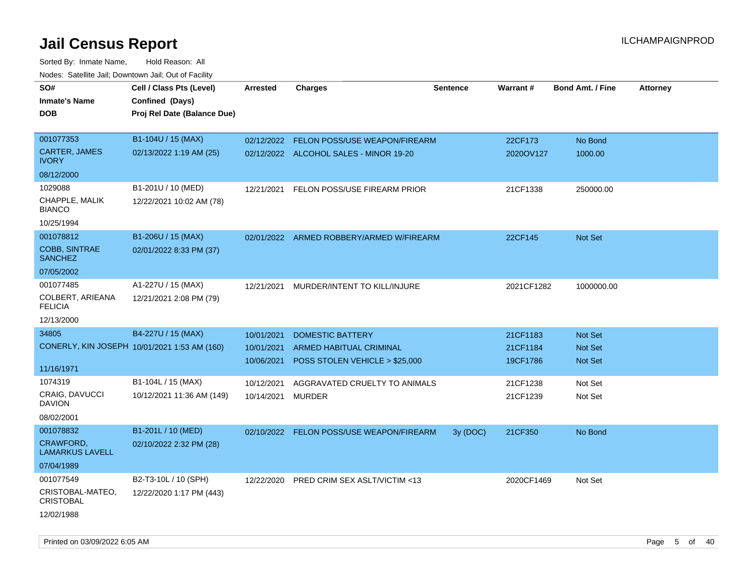| Todoo: Catolino can, Domntonn can, Oat of Fability<br>SO#<br><b>Inmate's Name</b><br><b>DOB</b> | Cell / Class Pts (Level)<br>Confined (Days)<br>Proj Rel Date (Balance Due) | Arrested                               | <b>Charges</b>                                                                       | <b>Sentence</b> | Warrant#                         | <b>Bond Amt. / Fine</b>       | <b>Attorney</b> |
|-------------------------------------------------------------------------------------------------|----------------------------------------------------------------------------|----------------------------------------|--------------------------------------------------------------------------------------|-----------------|----------------------------------|-------------------------------|-----------------|
| 001077353<br>CARTER, JAMES<br><b>IVORY</b>                                                      | B1-104U / 15 (MAX)<br>02/13/2022 1:19 AM (25)                              | 02/12/2022                             | FELON POSS/USE WEAPON/FIREARM<br>02/12/2022 ALCOHOL SALES - MINOR 19-20              |                 | 22CF173<br>2020OV127             | No Bond<br>1000.00            |                 |
| 08/12/2000                                                                                      |                                                                            |                                        |                                                                                      |                 |                                  |                               |                 |
| 1029088<br>CHAPPLE, MALIK<br><b>BIANCO</b><br>10/25/1994                                        | B1-201U / 10 (MED)<br>12/22/2021 10:02 AM (78)                             | 12/21/2021                             | FELON POSS/USE FIREARM PRIOR                                                         |                 | 21CF1338                         | 250000.00                     |                 |
| 001078812<br><b>COBB, SINTRAE</b><br><b>SANCHEZ</b>                                             | B1-206U / 15 (MAX)<br>02/01/2022 8:33 PM (37)                              |                                        | 02/01/2022 ARMED ROBBERY/ARMED W/FIREARM                                             |                 | 22CF145                          | <b>Not Set</b>                |                 |
| 07/05/2002                                                                                      |                                                                            |                                        |                                                                                      |                 |                                  |                               |                 |
| 001077485<br>COLBERT, ARIEANA<br><b>FELICIA</b>                                                 | A1-227U / 15 (MAX)<br>12/21/2021 2:08 PM (79)                              | 12/21/2021                             | MURDER/INTENT TO KILL/INJURE                                                         |                 | 2021CF1282                       | 1000000.00                    |                 |
| 12/13/2000                                                                                      |                                                                            |                                        |                                                                                      |                 |                                  |                               |                 |
| 34805<br>11/16/1971                                                                             | B4-227U / 15 (MAX)<br>CONERLY, KIN JOSEPH 10/01/2021 1:53 AM (160)         | 10/01/2021<br>10/01/2021<br>10/06/2021 | <b>DOMESTIC BATTERY</b><br>ARMED HABITUAL CRIMINAL<br>POSS STOLEN VEHICLE > \$25,000 |                 | 21CF1183<br>21CF1184<br>19CF1786 | Not Set<br>Not Set<br>Not Set |                 |
| 1074319                                                                                         | B1-104L / 15 (MAX)                                                         | 10/12/2021                             | AGGRAVATED CRUELTY TO ANIMALS                                                        |                 | 21CF1238                         | Not Set                       |                 |
| <b>CRAIG, DAVUCCI</b><br><b>DAVION</b><br>08/02/2001                                            | 10/12/2021 11:36 AM (149)                                                  | 10/14/2021                             | MURDER                                                                               |                 | 21CF1239                         | Not Set                       |                 |
| 001078832                                                                                       | B1-201L / 10 (MED)                                                         |                                        | 02/10/2022 FELON POSS/USE WEAPON/FIREARM                                             | 3y(DOC)         | 21CF350                          | No Bond                       |                 |
| CRAWFORD,<br><b>LAMARKUS LAVELL</b><br>07/04/1989                                               | 02/10/2022 2:32 PM (28)                                                    |                                        |                                                                                      |                 |                                  |                               |                 |
| 001077549<br>CRISTOBAL-MATEO,<br><b>CRISTOBAL</b><br>12/02/1988                                 | B2-T3-10L / 10 (SPH)<br>12/22/2020 1:17 PM (443)                           | 12/22/2020                             | <b>PRED CRIM SEX ASLT/VICTIM &lt;13</b>                                              |                 | 2020CF1469                       | Not Set                       |                 |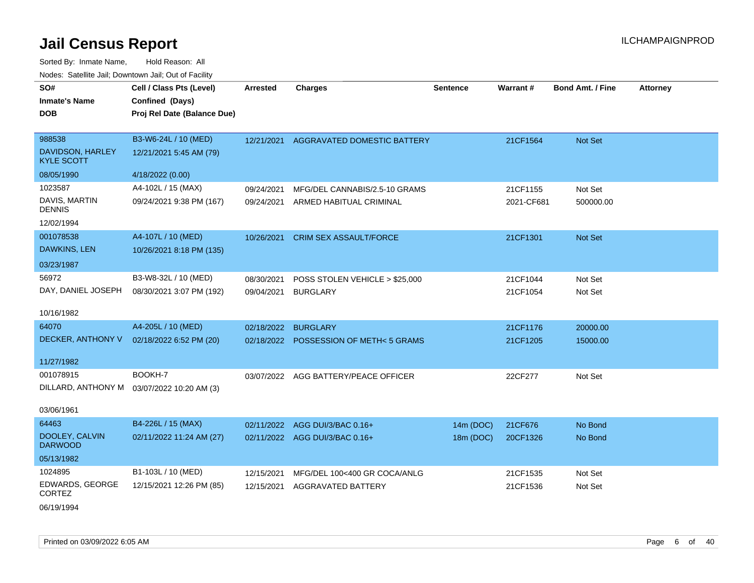| SO#<br><b>Inmate's Name</b>           | Cell / Class Pts (Level)<br>Confined (Days) | <b>Arrested</b> | <b>Charges</b>                         | <b>Sentence</b> | Warrant#   | <b>Bond Amt. / Fine</b> | <b>Attorney</b> |
|---------------------------------------|---------------------------------------------|-----------------|----------------------------------------|-----------------|------------|-------------------------|-----------------|
| <b>DOB</b>                            | Proj Rel Date (Balance Due)                 |                 |                                        |                 |            |                         |                 |
|                                       |                                             |                 |                                        |                 |            |                         |                 |
| 988538                                | B3-W6-24L / 10 (MED)                        |                 | 12/21/2021 AGGRAVATED DOMESTIC BATTERY |                 | 21CF1564   | Not Set                 |                 |
| DAVIDSON, HARLEY<br><b>KYLE SCOTT</b> | 12/21/2021 5:45 AM (79)                     |                 |                                        |                 |            |                         |                 |
| 08/05/1990                            | 4/18/2022 (0.00)                            |                 |                                        |                 |            |                         |                 |
| 1023587                               | A4-102L / 15 (MAX)                          | 09/24/2021      | MFG/DEL CANNABIS/2.5-10 GRAMS          |                 | 21CF1155   | Not Set                 |                 |
| <b>DAVIS, MARTIN</b><br><b>DENNIS</b> | 09/24/2021 9:38 PM (167)                    | 09/24/2021      | ARMED HABITUAL CRIMINAL                |                 | 2021-CF681 | 500000.00               |                 |
| 12/02/1994                            |                                             |                 |                                        |                 |            |                         |                 |
| 001078538                             | A4-107L / 10 (MED)                          | 10/26/2021      | <b>CRIM SEX ASSAULT/FORCE</b>          |                 | 21CF1301   | Not Set                 |                 |
| DAWKINS, LEN                          | 10/26/2021 8:18 PM (135)                    |                 |                                        |                 |            |                         |                 |
| 03/23/1987                            |                                             |                 |                                        |                 |            |                         |                 |
| 56972                                 | B3-W8-32L / 10 (MED)                        | 08/30/2021      | POSS STOLEN VEHICLE > \$25,000         |                 | 21CF1044   | Not Set                 |                 |
| DAY, DANIEL JOSEPH                    | 08/30/2021 3:07 PM (192)                    | 09/04/2021      | <b>BURGLARY</b>                        |                 | 21CF1054   | Not Set                 |                 |
| 10/16/1982                            |                                             |                 |                                        |                 |            |                         |                 |
| 64070                                 | A4-205L / 10 (MED)                          |                 | 02/18/2022 BURGLARY                    |                 | 21CF1176   | 20000.00                |                 |
| DECKER, ANTHONY V                     | 02/18/2022 6:52 PM (20)                     |                 | 02/18/2022 POSSESSION OF METH<5 GRAMS  |                 | 21CF1205   | 15000.00                |                 |
| 11/27/1982                            |                                             |                 |                                        |                 |            |                         |                 |
| 001078915                             | BOOKH-7                                     |                 | 03/07/2022 AGG BATTERY/PEACE OFFICER   |                 | 22CF277    | Not Set                 |                 |
| DILLARD, ANTHONY M                    | 03/07/2022 10:20 AM (3)                     |                 |                                        |                 |            |                         |                 |
| 03/06/1961                            |                                             |                 |                                        |                 |            |                         |                 |
| 64463                                 | B4-226L / 15 (MAX)                          |                 | 02/11/2022 AGG DUI/3/BAC 0.16+         | 14m (DOC)       | 21CF676    | No Bond                 |                 |
| DOOLEY, CALVIN<br><b>DARWOOD</b>      | 02/11/2022 11:24 AM (27)                    |                 | 02/11/2022 AGG DUI/3/BAC 0.16+         | 18m (DOC)       | 20CF1326   | No Bond                 |                 |
| 05/13/1982                            |                                             |                 |                                        |                 |            |                         |                 |
| 1024895                               | B1-103L / 10 (MED)                          | 12/15/2021      | MFG/DEL 100<400 GR COCA/ANLG           |                 | 21CF1535   | Not Set                 |                 |
| EDWARDS, GEORGE<br><b>CORTEZ</b>      | 12/15/2021 12:26 PM (85)                    | 12/15/2021      | AGGRAVATED BATTERY                     |                 | 21CF1536   | Not Set                 |                 |
| 06/19/1994                            |                                             |                 |                                        |                 |            |                         |                 |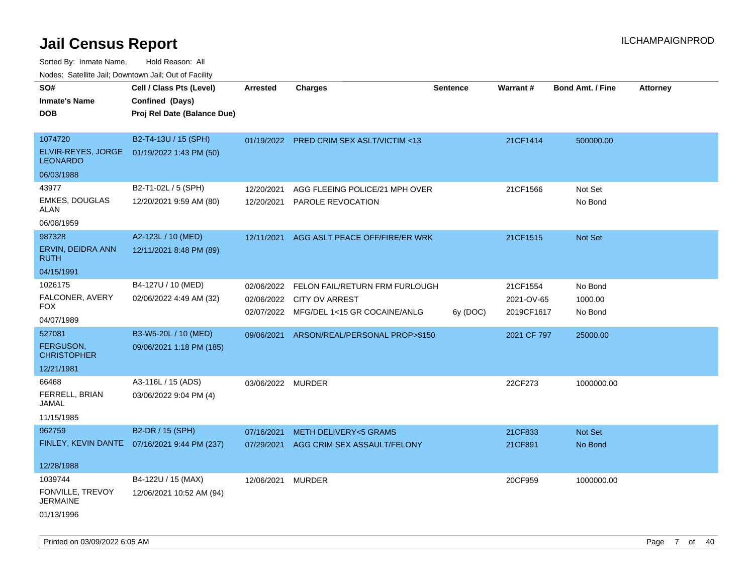Sorted By: Inmate Name, Hold Reason: All

Nodes: Satellite Jail; Downtown Jail; Out of Facility

| SO#                                   | Cell / Class Pts (Level)                      | <b>Arrested</b>   | <b>Charges</b>                            | <b>Sentence</b> | <b>Warrant#</b> | <b>Bond Amt. / Fine</b> | <b>Attorney</b> |
|---------------------------------------|-----------------------------------------------|-------------------|-------------------------------------------|-----------------|-----------------|-------------------------|-----------------|
| <b>Inmate's Name</b>                  | Confined (Days)                               |                   |                                           |                 |                 |                         |                 |
| <b>DOB</b>                            | Proj Rel Date (Balance Due)                   |                   |                                           |                 |                 |                         |                 |
|                                       |                                               |                   |                                           |                 |                 |                         |                 |
| 1074720                               | B2-T4-13U / 15 (SPH)                          |                   | 01/19/2022 PRED CRIM SEX ASLT/VICTIM <13  |                 | 21CF1414        | 500000.00               |                 |
| ELVIR-REYES, JORGE<br><b>LEONARDO</b> | 01/19/2022 1:43 PM (50)                       |                   |                                           |                 |                 |                         |                 |
| 06/03/1988                            |                                               |                   |                                           |                 |                 |                         |                 |
| 43977                                 | B2-T1-02L / 5 (SPH)                           | 12/20/2021        | AGG FLEEING POLICE/21 MPH OVER            |                 | 21CF1566        | Not Set                 |                 |
| <b>EMKES, DOUGLAS</b><br><b>ALAN</b>  | 12/20/2021 9:59 AM (80)                       |                   | 12/20/2021 PAROLE REVOCATION              |                 |                 | No Bond                 |                 |
| 06/08/1959                            |                                               |                   |                                           |                 |                 |                         |                 |
| 987328                                | A2-123L / 10 (MED)                            | 12/11/2021        | AGG ASLT PEACE OFF/FIRE/ER WRK            |                 | 21CF1515        | Not Set                 |                 |
| ERVIN, DEIDRA ANN<br><b>RUTH</b>      | 12/11/2021 8:48 PM (89)                       |                   |                                           |                 |                 |                         |                 |
| 04/15/1991                            |                                               |                   |                                           |                 |                 |                         |                 |
| 1026175                               | B4-127U / 10 (MED)                            |                   | 02/06/2022 FELON FAIL/RETURN FRM FURLOUGH |                 | 21CF1554        | No Bond                 |                 |
| FALCONER, AVERY                       | 02/06/2022 4:49 AM (32)                       | 02/06/2022        | CITY OV ARREST                            |                 | 2021-OV-65      | 1000.00                 |                 |
| <b>FOX</b>                            |                                               |                   | 02/07/2022 MFG/DEL 1<15 GR COCAINE/ANLG   | 6y (DOC)        | 2019CF1617      | No Bond                 |                 |
| 04/07/1989                            |                                               |                   |                                           |                 |                 |                         |                 |
| 527081                                | B3-W5-20L / 10 (MED)                          | 09/06/2021        | ARSON/REAL/PERSONAL PROP>\$150            |                 | 2021 CF 797     | 25000.00                |                 |
| FERGUSON,<br><b>CHRISTOPHER</b>       | 09/06/2021 1:18 PM (185)                      |                   |                                           |                 |                 |                         |                 |
| 12/21/1981                            |                                               |                   |                                           |                 |                 |                         |                 |
| 66468                                 | A3-116L / 15 (ADS)                            | 03/06/2022 MURDER |                                           |                 | 22CF273         | 1000000.00              |                 |
| FERRELL, BRIAN<br><b>JAMAL</b>        | 03/06/2022 9:04 PM (4)                        |                   |                                           |                 |                 |                         |                 |
| 11/15/1985                            |                                               |                   |                                           |                 |                 |                         |                 |
| 962759                                | B2-DR / 15 (SPH)                              | 07/16/2021        | <b>METH DELIVERY&lt;5 GRAMS</b>           |                 | 21CF833         | Not Set                 |                 |
|                                       | FINLEY, KEVIN DANTE  07/16/2021 9:44 PM (237) |                   | 07/29/2021 AGG CRIM SEX ASSAULT/FELONY    |                 | 21CF891         | No Bond                 |                 |
| 12/28/1988                            |                                               |                   |                                           |                 |                 |                         |                 |
| 1039744                               | B4-122U / 15 (MAX)                            | 12/06/2021 MURDER |                                           |                 | 20CF959         | 1000000.00              |                 |
| FONVILLE, TREVOY<br><b>JERMAINE</b>   | 12/06/2021 10:52 AM (94)                      |                   |                                           |                 |                 |                         |                 |
| 01/13/1996                            |                                               |                   |                                           |                 |                 |                         |                 |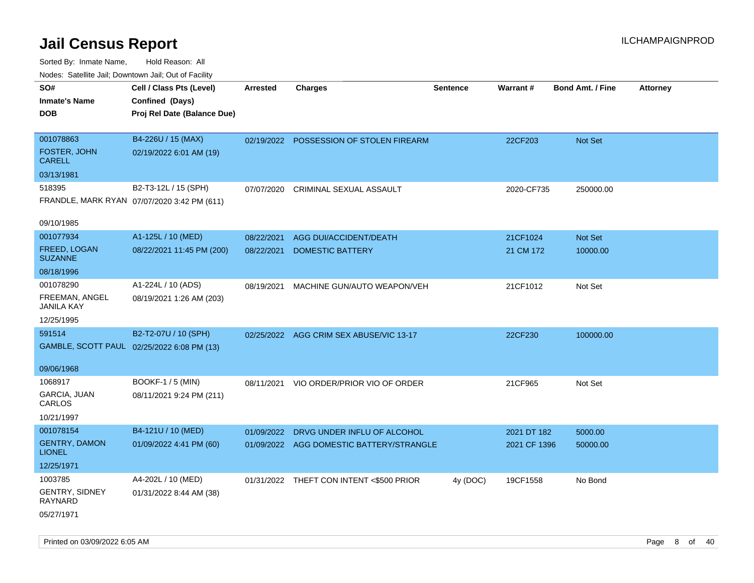| Nodes. Salenne Jan, Downlown Jan, Out of Facility |                                             |                 |                                          |                 |              |                         |                 |
|---------------------------------------------------|---------------------------------------------|-----------------|------------------------------------------|-----------------|--------------|-------------------------|-----------------|
| SO#                                               | Cell / Class Pts (Level)                    | <b>Arrested</b> | <b>Charges</b>                           | <b>Sentence</b> | Warrant#     | <b>Bond Amt. / Fine</b> | <b>Attorney</b> |
| <b>Inmate's Name</b>                              | Confined (Days)                             |                 |                                          |                 |              |                         |                 |
| <b>DOB</b>                                        | Proj Rel Date (Balance Due)                 |                 |                                          |                 |              |                         |                 |
|                                                   |                                             |                 |                                          |                 |              |                         |                 |
| 001078863                                         | B4-226U / 15 (MAX)                          |                 | 02/19/2022 POSSESSION OF STOLEN FIREARM  |                 | 22CF203      | Not Set                 |                 |
| FOSTER, JOHN<br><b>CARELL</b>                     | 02/19/2022 6:01 AM (19)                     |                 |                                          |                 |              |                         |                 |
| 03/13/1981                                        |                                             |                 |                                          |                 |              |                         |                 |
| 518395                                            | B2-T3-12L / 15 (SPH)                        | 07/07/2020      | CRIMINAL SEXUAL ASSAULT                  |                 | 2020-CF735   | 250000.00               |                 |
|                                                   | FRANDLE, MARK RYAN 07/07/2020 3:42 PM (611) |                 |                                          |                 |              |                         |                 |
| 09/10/1985                                        |                                             |                 |                                          |                 |              |                         |                 |
| 001077934                                         | A1-125L / 10 (MED)                          | 08/22/2021      | AGG DUI/ACCIDENT/DEATH                   |                 | 21CF1024     | Not Set                 |                 |
| FREED, LOGAN<br><b>SUZANNE</b>                    | 08/22/2021 11:45 PM (200)                   | 08/22/2021      | <b>DOMESTIC BATTERY</b>                  |                 | 21 CM 172    | 10000.00                |                 |
| 08/18/1996                                        |                                             |                 |                                          |                 |              |                         |                 |
| 001078290                                         | A1-224L / 10 (ADS)                          | 08/19/2021      | MACHINE GUN/AUTO WEAPON/VEH              |                 | 21CF1012     | Not Set                 |                 |
| FREEMAN, ANGEL<br>JANILA KAY                      | 08/19/2021 1:26 AM (203)                    |                 |                                          |                 |              |                         |                 |
| 12/25/1995                                        |                                             |                 |                                          |                 |              |                         |                 |
| 591514                                            | B2-T2-07U / 10 (SPH)                        |                 | 02/25/2022 AGG CRIM SEX ABUSE/VIC 13-17  |                 | 22CF230      | 100000.00               |                 |
|                                                   | GAMBLE, SCOTT PAUL 02/25/2022 6:08 PM (13)  |                 |                                          |                 |              |                         |                 |
|                                                   |                                             |                 |                                          |                 |              |                         |                 |
| 09/06/1968                                        |                                             |                 |                                          |                 |              |                         |                 |
| 1068917                                           | <b>BOOKF-1 / 5 (MIN)</b>                    | 08/11/2021      | VIO ORDER/PRIOR VIO OF ORDER             |                 | 21CF965      | Not Set                 |                 |
| GARCIA, JUAN<br>CARLOS                            | 08/11/2021 9:24 PM (211)                    |                 |                                          |                 |              |                         |                 |
| 10/21/1997                                        |                                             |                 |                                          |                 |              |                         |                 |
| 001078154                                         | B4-121U / 10 (MED)                          | 01/09/2022      | DRVG UNDER INFLU OF ALCOHOL              |                 | 2021 DT 182  | 5000.00                 |                 |
| <b>GENTRY, DAMON</b><br><b>LIONEL</b>             | 01/09/2022 4:41 PM (60)                     |                 | 01/09/2022 AGG DOMESTIC BATTERY/STRANGLE |                 | 2021 CF 1396 | 50000.00                |                 |
| 12/25/1971                                        |                                             |                 |                                          |                 |              |                         |                 |
| 1003785                                           | A4-202L / 10 (MED)                          |                 | 01/31/2022 THEFT CON INTENT <\$500 PRIOR | 4y (DOC)        | 19CF1558     | No Bond                 |                 |
| GENTRY, SIDNEY<br>RAYNARD                         | 01/31/2022 8:44 AM (38)                     |                 |                                          |                 |              |                         |                 |
| 05/27/1971                                        |                                             |                 |                                          |                 |              |                         |                 |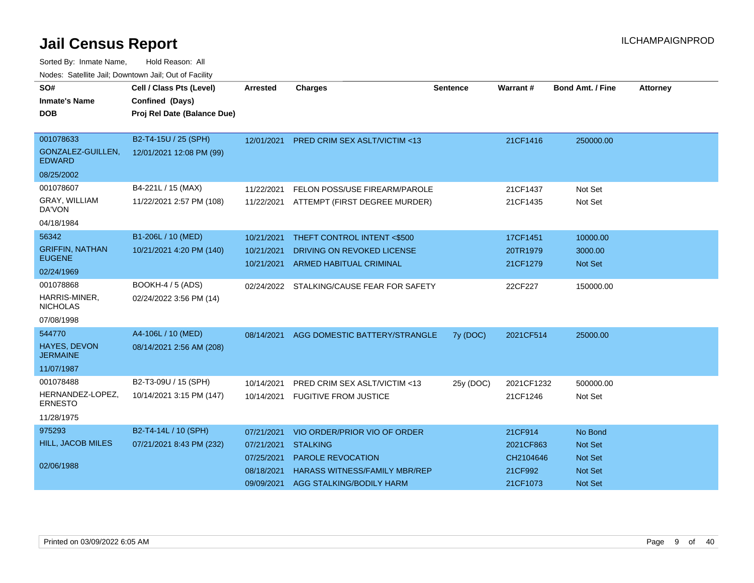| SO#<br><b>Inmate's Name</b><br><b>DOB</b> | Cell / Class Pts (Level)<br>Confined (Days)<br>Proj Rel Date (Balance Due) | <b>Arrested</b> | <b>Charges</b>                          | <b>Sentence</b> | Warrant#   | <b>Bond Amt. / Fine</b> | <b>Attorney</b> |
|-------------------------------------------|----------------------------------------------------------------------------|-----------------|-----------------------------------------|-----------------|------------|-------------------------|-----------------|
| 001078633<br>GONZALEZ-GUILLEN,            | B2-T4-15U / 25 (SPH)<br>12/01/2021 12:08 PM (99)                           | 12/01/2021      | <b>PRED CRIM SEX ASLT/VICTIM &lt;13</b> |                 | 21CF1416   | 250000.00               |                 |
| <b>EDWARD</b>                             |                                                                            |                 |                                         |                 |            |                         |                 |
| 08/25/2002                                |                                                                            |                 |                                         |                 |            |                         |                 |
| 001078607                                 | B4-221L / 15 (MAX)                                                         | 11/22/2021      | FELON POSS/USE FIREARM/PAROLE           |                 | 21CF1437   | Not Set                 |                 |
| GRAY, WILLIAM<br>DA'VON                   | 11/22/2021 2:57 PM (108)                                                   | 11/22/2021      | ATTEMPT (FIRST DEGREE MURDER)           |                 | 21CF1435   | Not Set                 |                 |
| 04/18/1984                                |                                                                            |                 |                                         |                 |            |                         |                 |
| 56342                                     | B1-206L / 10 (MED)                                                         | 10/21/2021      | THEFT CONTROL INTENT <\$500             |                 | 17CF1451   | 10000.00                |                 |
| <b>GRIFFIN, NATHAN</b>                    | 10/21/2021 4:20 PM (140)                                                   | 10/21/2021      | DRIVING ON REVOKED LICENSE              |                 | 20TR1979   | 3000.00                 |                 |
| <b>EUGENE</b>                             |                                                                            | 10/21/2021      | <b>ARMED HABITUAL CRIMINAL</b>          |                 | 21CF1279   | <b>Not Set</b>          |                 |
| 02/24/1969                                |                                                                            |                 |                                         |                 |            |                         |                 |
| 001078868                                 | <b>BOOKH-4 / 5 (ADS)</b>                                                   | 02/24/2022      | STALKING/CAUSE FEAR FOR SAFETY          |                 | 22CF227    | 150000.00               |                 |
| HARRIS-MINER,<br><b>NICHOLAS</b>          | 02/24/2022 3:56 PM (14)                                                    |                 |                                         |                 |            |                         |                 |
| 07/08/1998                                |                                                                            |                 |                                         |                 |            |                         |                 |
| 544770                                    | A4-106L / 10 (MED)                                                         | 08/14/2021      | AGG DOMESTIC BATTERY/STRANGLE           | 7y (DOC)        | 2021CF514  | 25000.00                |                 |
| HAYES, DEVON<br><b>JERMAINE</b>           | 08/14/2021 2:56 AM (208)                                                   |                 |                                         |                 |            |                         |                 |
| 11/07/1987                                |                                                                            |                 |                                         |                 |            |                         |                 |
| 001078488                                 | B2-T3-09U / 15 (SPH)                                                       | 10/14/2021      | PRED CRIM SEX ASLT/VICTIM <13           | 25y (DOC)       | 2021CF1232 | 500000.00               |                 |
| HERNANDEZ-LOPEZ,<br><b>ERNESTO</b>        | 10/14/2021 3:15 PM (147)                                                   | 10/14/2021      | <b>FUGITIVE FROM JUSTICE</b>            |                 | 21CF1246   | Not Set                 |                 |
| 11/28/1975                                |                                                                            |                 |                                         |                 |            |                         |                 |
| 975293                                    | B2-T4-14L / 10 (SPH)                                                       | 07/21/2021      | VIO ORDER/PRIOR VIO OF ORDER            |                 | 21CF914    | No Bond                 |                 |
| <b>HILL, JACOB MILES</b>                  | 07/21/2021 8:43 PM (232)                                                   | 07/21/2021      | <b>STALKING</b>                         |                 | 2021CF863  | <b>Not Set</b>          |                 |
|                                           |                                                                            | 07/25/2021      | PAROLE REVOCATION                       |                 | CH2104646  | Not Set                 |                 |
| 02/06/1988                                |                                                                            | 08/18/2021      | <b>HARASS WITNESS/FAMILY MBR/REP</b>    |                 | 21CF992    | Not Set                 |                 |
|                                           |                                                                            | 09/09/2021      | AGG STALKING/BODILY HARM                |                 | 21CF1073   | Not Set                 |                 |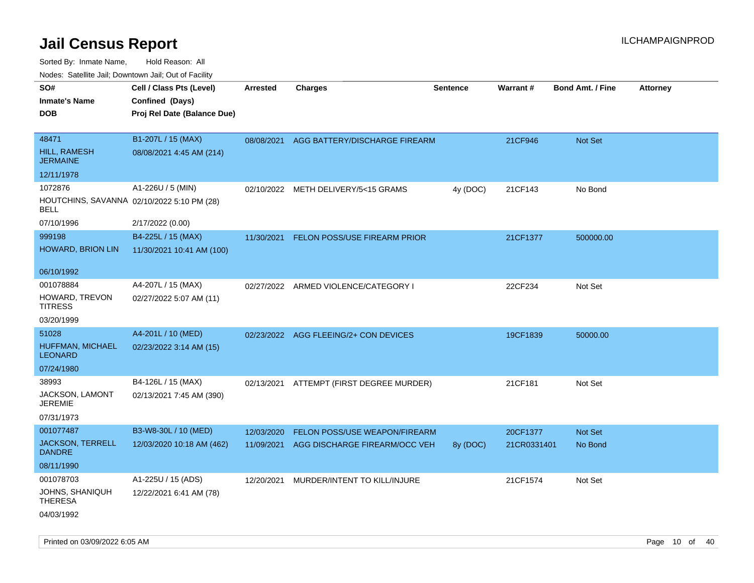| SO#<br><b>Inmate's Name</b><br><b>DOB</b>                     | Cell / Class Pts (Level)<br>Confined (Days)<br>Proj Rel Date (Balance Due) | Arrested   | <b>Charges</b>                           | <b>Sentence</b> | <b>Warrant#</b> | <b>Bond Amt. / Fine</b> | <b>Attorney</b> |
|---------------------------------------------------------------|----------------------------------------------------------------------------|------------|------------------------------------------|-----------------|-----------------|-------------------------|-----------------|
| 48471<br><b>HILL, RAMESH</b><br><b>JERMAINE</b>               | B1-207L / 15 (MAX)<br>08/08/2021 4:45 AM (214)                             | 08/08/2021 | AGG BATTERY/DISCHARGE FIREARM            |                 | 21CF946         | Not Set                 |                 |
| 12/11/1978                                                    |                                                                            |            |                                          |                 |                 |                         |                 |
| 1072876<br>HOUTCHINS, SAVANNA 02/10/2022 5:10 PM (28)<br>BELL | A1-226U / 5 (MIN)                                                          | 02/10/2022 | METH DELIVERY/5<15 GRAMS                 | 4y (DOC)        | 21CF143         | No Bond                 |                 |
| 07/10/1996                                                    | 2/17/2022 (0.00)                                                           |            |                                          |                 |                 |                         |                 |
| 999198<br>HOWARD, BRION LIN                                   | B4-225L / 15 (MAX)<br>11/30/2021 10:41 AM (100)                            | 11/30/2021 | <b>FELON POSS/USE FIREARM PRIOR</b>      |                 | 21CF1377        | 500000.00               |                 |
| 06/10/1992                                                    |                                                                            |            |                                          |                 |                 |                         |                 |
| 001078884<br>HOWARD, TREVON<br>TITRESS                        | A4-207L / 15 (MAX)<br>02/27/2022 5:07 AM (11)                              | 02/27/2022 | ARMED VIOLENCE/CATEGORY I                |                 | 22CF234         | Not Set                 |                 |
| 03/20/1999                                                    |                                                                            |            |                                          |                 |                 |                         |                 |
| 51028<br>HUFFMAN, MICHAEL<br><b>LEONARD</b><br>07/24/1980     | A4-201L / 10 (MED)<br>02/23/2022 3:14 AM (15)                              |            | 02/23/2022 AGG FLEEING/2+ CON DEVICES    |                 | 19CF1839        | 50000.00                |                 |
| 38993                                                         | B4-126L / 15 (MAX)                                                         |            | 02/13/2021 ATTEMPT (FIRST DEGREE MURDER) |                 | 21CF181         | Not Set                 |                 |
| <b>JACKSON, LAMONT</b><br>JEREMIE<br>07/31/1973               | 02/13/2021 7:45 AM (390)                                                   |            |                                          |                 |                 |                         |                 |
| 001077487                                                     | B3-W8-30L / 10 (MED)                                                       | 12/03/2020 | FELON POSS/USE WEAPON/FIREARM            |                 | 20CF1377        | <b>Not Set</b>          |                 |
| <b>JACKSON, TERRELL</b><br><b>DANDRE</b>                      | 12/03/2020 10:18 AM (462)                                                  | 11/09/2021 | AGG DISCHARGE FIREARM/OCC VEH            | 8y (DOC)        | 21CR0331401     | No Bond                 |                 |
| 08/11/1990                                                    |                                                                            |            |                                          |                 |                 |                         |                 |
| 001078703<br>JOHNS, SHANIQUH<br>THERESA<br>04/03/1992         | A1-225U / 15 (ADS)<br>12/22/2021 6:41 AM (78)                              | 12/20/2021 | MURDER/INTENT TO KILL/INJURE             |                 | 21CF1574        | Not Set                 |                 |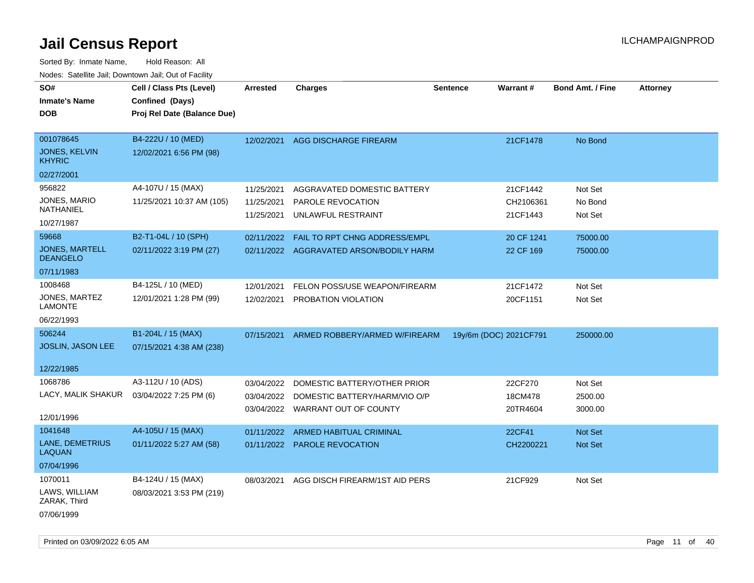| SO#                                   | Cell / Class Pts (Level)    | <b>Arrested</b> | <b>Charges</b>                          | <b>Sentence</b> | Warrant#               | <b>Bond Amt. / Fine</b> | <b>Attorney</b> |
|---------------------------------------|-----------------------------|-----------------|-----------------------------------------|-----------------|------------------------|-------------------------|-----------------|
| <b>Inmate's Name</b>                  | Confined (Days)             |                 |                                         |                 |                        |                         |                 |
| <b>DOB</b>                            | Proj Rel Date (Balance Due) |                 |                                         |                 |                        |                         |                 |
|                                       |                             |                 |                                         |                 |                        |                         |                 |
| 001078645                             | B4-222U / 10 (MED)          | 12/02/2021      | <b>AGG DISCHARGE FIREARM</b>            |                 | 21CF1478               | No Bond                 |                 |
| <b>JONES, KELVIN</b><br><b>KHYRIC</b> | 12/02/2021 6:56 PM (98)     |                 |                                         |                 |                        |                         |                 |
| 02/27/2001                            |                             |                 |                                         |                 |                        |                         |                 |
| 956822                                | A4-107U / 15 (MAX)          | 11/25/2021      | AGGRAVATED DOMESTIC BATTERY             |                 | 21CF1442               | Not Set                 |                 |
| JONES, MARIO                          | 11/25/2021 10:37 AM (105)   | 11/25/2021      | PAROLE REVOCATION                       |                 | CH2106361              | No Bond                 |                 |
| NATHANIEL                             |                             | 11/25/2021      | UNLAWFUL RESTRAINT                      |                 | 21CF1443               | Not Set                 |                 |
| 10/27/1987                            |                             |                 |                                         |                 |                        |                         |                 |
| 59668                                 | B2-T1-04L / 10 (SPH)        | 02/11/2022      | FAIL TO RPT CHNG ADDRESS/EMPL           |                 | 20 CF 1241             | 75000.00                |                 |
| JONES, MARTELL<br><b>DEANGELO</b>     | 02/11/2022 3:19 PM (27)     |                 | 02/11/2022 AGGRAVATED ARSON/BODILY HARM |                 | 22 CF 169              | 75000.00                |                 |
| 07/11/1983                            |                             |                 |                                         |                 |                        |                         |                 |
| 1008468                               | B4-125L / 10 (MED)          | 12/01/2021      | FELON POSS/USE WEAPON/FIREARM           |                 | 21CF1472               | Not Set                 |                 |
| JONES, MARTEZ<br><b>LAMONTE</b>       | 12/01/2021 1:28 PM (99)     | 12/02/2021      | PROBATION VIOLATION                     |                 | 20CF1151               | Not Set                 |                 |
| 06/22/1993                            |                             |                 |                                         |                 |                        |                         |                 |
| 506244                                | B1-204L / 15 (MAX)          | 07/15/2021      | ARMED ROBBERY/ARMED W/FIREARM           |                 | 19y/6m (DOC) 2021CF791 | 250000.00               |                 |
| JOSLIN, JASON LEE                     | 07/15/2021 4:38 AM (238)    |                 |                                         |                 |                        |                         |                 |
|                                       |                             |                 |                                         |                 |                        |                         |                 |
| 12/22/1985                            |                             |                 |                                         |                 |                        |                         |                 |
| 1068786                               | A3-112U / 10 (ADS)          | 03/04/2022      | DOMESTIC BATTERY/OTHER PRIOR            |                 | 22CF270                | Not Set                 |                 |
| LACY, MALIK SHAKUR                    | 03/04/2022 7:25 PM (6)      | 03/04/2022      | DOMESTIC BATTERY/HARM/VIO O/P           |                 | 18CM478                | 2500.00                 |                 |
|                                       |                             |                 | 03/04/2022 WARRANT OUT OF COUNTY        |                 | 20TR4604               | 3000.00                 |                 |
| 12/01/1996                            |                             |                 |                                         |                 |                        |                         |                 |
| 1041648                               | A4-105U / 15 (MAX)          | 01/11/2022      | <b>ARMED HABITUAL CRIMINAL</b>          |                 | 22CF41                 | Not Set                 |                 |
| LANE, DEMETRIUS<br><b>LAQUAN</b>      | 01/11/2022 5:27 AM (58)     |                 | 01/11/2022 PAROLE REVOCATION            |                 | CH2200221              | Not Set                 |                 |
| 07/04/1996                            |                             |                 |                                         |                 |                        |                         |                 |
| 1070011                               | B4-124U / 15 (MAX)          | 08/03/2021      | AGG DISCH FIREARM/1ST AID PERS          |                 | 21CF929                | Not Set                 |                 |
| LAWS, WILLIAM<br>ZARAK, Third         | 08/03/2021 3:53 PM (219)    |                 |                                         |                 |                        |                         |                 |
| 07/06/1999                            |                             |                 |                                         |                 |                        |                         |                 |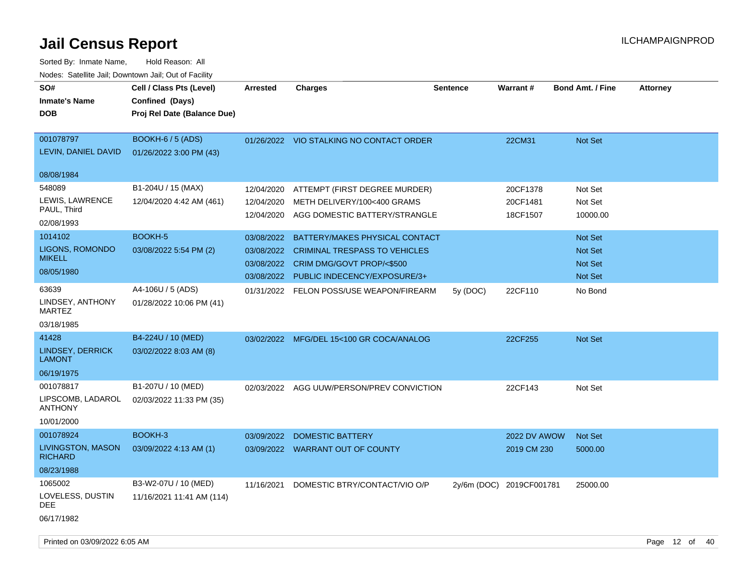| SO#<br><b>Inmate's Name</b><br><b>DOB</b> | Cell / Class Pts (Level)<br>Confined (Days)<br>Proj Rel Date (Balance Due) | <b>Arrested</b> | <b>Charges</b>                            | <b>Sentence</b> | <b>Warrant#</b>          | <b>Bond Amt. / Fine</b> | <b>Attorney</b> |
|-------------------------------------------|----------------------------------------------------------------------------|-----------------|-------------------------------------------|-----------------|--------------------------|-------------------------|-----------------|
| 001078797<br>LEVIN, DANIEL DAVID          | <b>BOOKH-6 / 5 (ADS)</b><br>01/26/2022 3:00 PM (43)                        |                 | 01/26/2022 VIO STALKING NO CONTACT ORDER  |                 | 22CM31                   | Not Set                 |                 |
| 08/08/1984                                |                                                                            |                 |                                           |                 |                          |                         |                 |
| 548089                                    | B1-204U / 15 (MAX)                                                         | 12/04/2020      | ATTEMPT (FIRST DEGREE MURDER)             |                 | 20CF1378                 | Not Set                 |                 |
| LEWIS, LAWRENCE                           | 12/04/2020 4:42 AM (461)                                                   | 12/04/2020      | METH DELIVERY/100<400 GRAMS               |                 | 20CF1481                 | Not Set                 |                 |
| PAUL, Third<br>02/08/1993                 |                                                                            |                 | 12/04/2020 AGG DOMESTIC BATTERY/STRANGLE  |                 | 18CF1507                 | 10000.00                |                 |
| 1014102                                   | BOOKH-5                                                                    | 03/08/2022      | BATTERY/MAKES PHYSICAL CONTACT            |                 |                          | Not Set                 |                 |
| LIGONS, ROMONDO                           | 03/08/2022 5:54 PM (2)                                                     | 03/08/2022      | <b>CRIMINAL TRESPASS TO VEHICLES</b>      |                 |                          | Not Set                 |                 |
| <b>MIKELL</b>                             |                                                                            | 03/08/2022      | CRIM DMG/GOVT PROP/<\$500                 |                 |                          | Not Set                 |                 |
| 08/05/1980                                |                                                                            | 03/08/2022      | PUBLIC INDECENCY/EXPOSURE/3+              |                 |                          | Not Set                 |                 |
| 63639                                     | A4-106U / 5 (ADS)                                                          | 01/31/2022      | FELON POSS/USE WEAPON/FIREARM             | 5y (DOC)        | 22CF110                  | No Bond                 |                 |
| LINDSEY, ANTHONY<br><b>MARTEZ</b>         | 01/28/2022 10:06 PM (41)                                                   |                 |                                           |                 |                          |                         |                 |
| 03/18/1985                                |                                                                            |                 |                                           |                 |                          |                         |                 |
| 41428                                     | B4-224U / 10 (MED)                                                         |                 | 03/02/2022 MFG/DEL 15<100 GR COCA/ANALOG  |                 | 22CF255                  | Not Set                 |                 |
| <b>LINDSEY, DERRICK</b><br><b>LAMONT</b>  | 03/02/2022 8:03 AM (8)                                                     |                 |                                           |                 |                          |                         |                 |
| 06/19/1975                                |                                                                            |                 |                                           |                 |                          |                         |                 |
| 001078817                                 | B1-207U / 10 (MED)                                                         |                 | 02/03/2022 AGG UUW/PERSON/PREV CONVICTION |                 | 22CF143                  | Not Set                 |                 |
| LIPSCOMB, LADAROL<br><b>ANTHONY</b>       | 02/03/2022 11:33 PM (35)                                                   |                 |                                           |                 |                          |                         |                 |
| 10/01/2000                                |                                                                            |                 |                                           |                 |                          |                         |                 |
| 001078924                                 | BOOKH-3                                                                    |                 | 03/09/2022 DOMESTIC BATTERY               |                 | <b>2022 DV AWOW</b>      | <b>Not Set</b>          |                 |
| LIVINGSTON, MASON<br><b>RICHARD</b>       | 03/09/2022 4:13 AM (1)                                                     |                 | 03/09/2022 WARRANT OUT OF COUNTY          |                 | 2019 CM 230              | 5000.00                 |                 |
| 08/23/1988                                |                                                                            |                 |                                           |                 |                          |                         |                 |
| 1065002                                   | B3-W2-07U / 10 (MED)                                                       | 11/16/2021      | DOMESTIC BTRY/CONTACT/VIO O/P             |                 | 2y/6m (DOC) 2019CF001781 | 25000.00                |                 |
| LOVELESS, DUSTIN<br>DEE                   | 11/16/2021 11:41 AM (114)                                                  |                 |                                           |                 |                          |                         |                 |
| 06/17/1982                                |                                                                            |                 |                                           |                 |                          |                         |                 |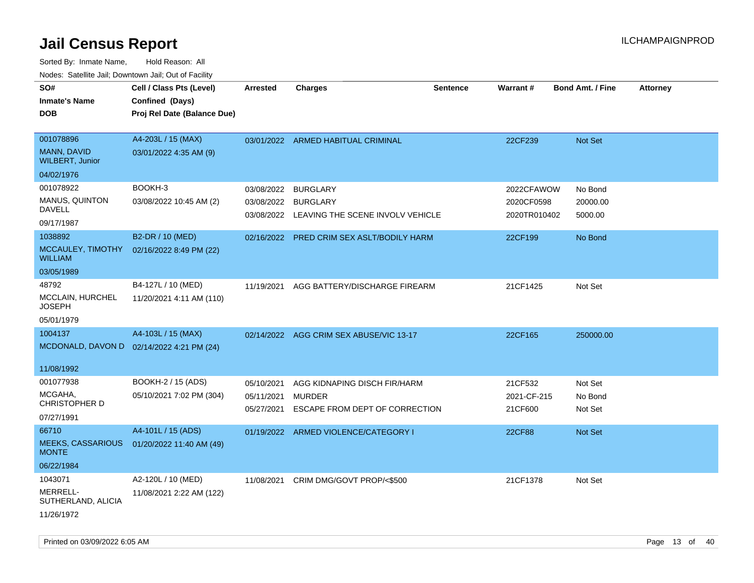| SO#                                      | Cell / Class Pts (Level)                  | <b>Arrested</b> | <b>Charges</b>                              | <b>Sentence</b> | <b>Warrant#</b> | <b>Bond Amt. / Fine</b> | <b>Attorney</b> |
|------------------------------------------|-------------------------------------------|-----------------|---------------------------------------------|-----------------|-----------------|-------------------------|-----------------|
| <b>Inmate's Name</b>                     | Confined (Days)                           |                 |                                             |                 |                 |                         |                 |
| <b>DOB</b>                               | Proj Rel Date (Balance Due)               |                 |                                             |                 |                 |                         |                 |
|                                          |                                           |                 |                                             |                 |                 |                         |                 |
| 001078896                                | A4-203L / 15 (MAX)                        |                 | 03/01/2022 ARMED HABITUAL CRIMINAL          |                 | 22CF239         | Not Set                 |                 |
| MANN, DAVID<br><b>WILBERT, Junior</b>    | 03/01/2022 4:35 AM (9)                    |                 |                                             |                 |                 |                         |                 |
| 04/02/1976                               |                                           |                 |                                             |                 |                 |                         |                 |
| 001078922                                | BOOKH-3                                   | 03/08/2022      | <b>BURGLARY</b>                             |                 | 2022CFAWOW      | No Bond                 |                 |
| MANUS, QUINTON                           | 03/08/2022 10:45 AM (2)                   | 03/08/2022      | <b>BURGLARY</b>                             |                 | 2020CF0598      | 20000.00                |                 |
| <b>DAVELL</b>                            |                                           |                 | 03/08/2022 LEAVING THE SCENE INVOLV VEHICLE |                 | 2020TR010402    | 5000.00                 |                 |
| 09/17/1987                               |                                           |                 |                                             |                 |                 |                         |                 |
| 1038892                                  | B2-DR / 10 (MED)                          |                 | 02/16/2022 PRED CRIM SEX ASLT/BODILY HARM   |                 | 22CF199         | No Bond                 |                 |
| MCCAULEY, TIMOTHY<br><b>WILLIAM</b>      | 02/16/2022 8:49 PM (22)                   |                 |                                             |                 |                 |                         |                 |
| 03/05/1989                               |                                           |                 |                                             |                 |                 |                         |                 |
| 48792                                    | B4-127L / 10 (MED)                        | 11/19/2021      | AGG BATTERY/DISCHARGE FIREARM               |                 | 21CF1425        | Not Set                 |                 |
| MCCLAIN, HURCHEL<br><b>JOSEPH</b>        | 11/20/2021 4:11 AM (110)                  |                 |                                             |                 |                 |                         |                 |
| 05/01/1979                               |                                           |                 |                                             |                 |                 |                         |                 |
| 1004137                                  | A4-103L / 15 (MAX)                        |                 | 02/14/2022 AGG CRIM SEX ABUSE/VIC 13-17     |                 | 22CF165         | 250000.00               |                 |
|                                          | MCDONALD, DAVON D 02/14/2022 4:21 PM (24) |                 |                                             |                 |                 |                         |                 |
|                                          |                                           |                 |                                             |                 |                 |                         |                 |
| 11/08/1992                               |                                           |                 |                                             |                 |                 |                         |                 |
| 001077938                                | BOOKH-2 / 15 (ADS)                        | 05/10/2021      | AGG KIDNAPING DISCH FIR/HARM                |                 | 21CF532         | Not Set                 |                 |
| MCGAHA,                                  | 05/10/2021 7:02 PM (304)                  | 05/11/2021      | <b>MURDER</b>                               |                 | 2021-CF-215     | No Bond                 |                 |
| <b>CHRISTOPHER D</b>                     |                                           | 05/27/2021      | ESCAPE FROM DEPT OF CORRECTION              |                 | 21CF600         | Not Set                 |                 |
| 07/27/1991                               |                                           |                 |                                             |                 |                 |                         |                 |
| 66710                                    | A4-101L / 15 (ADS)                        |                 | 01/19/2022 ARMED VIOLENCE/CATEGORY I        |                 | <b>22CF88</b>   | <b>Not Set</b>          |                 |
| <b>MEEKS, CASSARIOUS</b><br><b>MONTE</b> | 01/20/2022 11:40 AM (49)                  |                 |                                             |                 |                 |                         |                 |
| 06/22/1984                               |                                           |                 |                                             |                 |                 |                         |                 |
| 1043071                                  | A2-120L / 10 (MED)                        | 11/08/2021      | CRIM DMG/GOVT PROP/<\$500                   |                 | 21CF1378        | Not Set                 |                 |
| MERRELL-<br>SUTHERLAND, ALICIA           | 11/08/2021 2:22 AM (122)                  |                 |                                             |                 |                 |                         |                 |
| 11/26/1972                               |                                           |                 |                                             |                 |                 |                         |                 |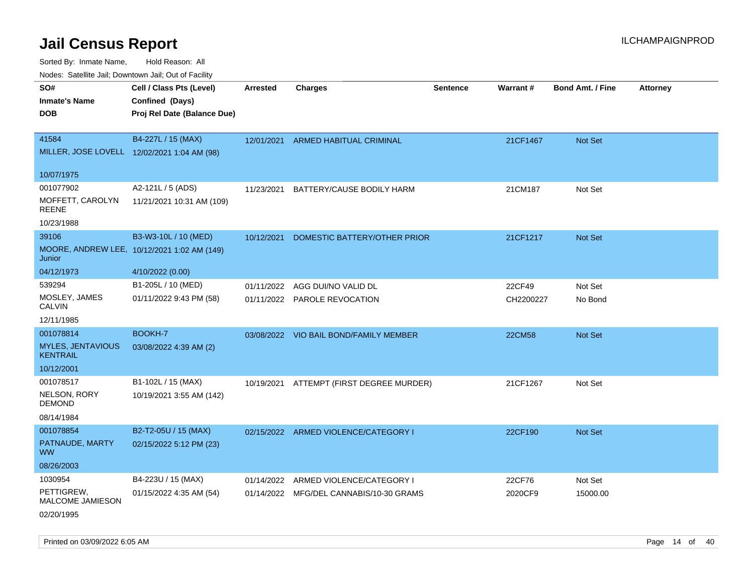Sorted By: Inmate Name, Hold Reason: All

Nodes: Satellite Jail; Downtown Jail; Out of Facility

| <b>NOULD:</b> Catoline bail, Downtown bail, Out of I dollty |                                             |                 |                                          |                 |               |                         |                 |
|-------------------------------------------------------------|---------------------------------------------|-----------------|------------------------------------------|-----------------|---------------|-------------------------|-----------------|
| SO#                                                         | Cell / Class Pts (Level)                    | <b>Arrested</b> | <b>Charges</b>                           | <b>Sentence</b> | Warrant#      | <b>Bond Amt. / Fine</b> | <b>Attorney</b> |
| <b>Inmate's Name</b>                                        | Confined (Days)                             |                 |                                          |                 |               |                         |                 |
| <b>DOB</b>                                                  | Proj Rel Date (Balance Due)                 |                 |                                          |                 |               |                         |                 |
|                                                             |                                             |                 |                                          |                 |               |                         |                 |
| 41584                                                       | B4-227L / 15 (MAX)                          |                 | 12/01/2021 ARMED HABITUAL CRIMINAL       |                 | 21CF1467      | Not Set                 |                 |
| MILLER, JOSE LOVELL 12/02/2021 1:04 AM (98)                 |                                             |                 |                                          |                 |               |                         |                 |
|                                                             |                                             |                 |                                          |                 |               |                         |                 |
| 10/07/1975                                                  |                                             |                 |                                          |                 |               |                         |                 |
| 001077902                                                   | A2-121L / 5 (ADS)                           | 11/23/2021      | BATTERY/CAUSE BODILY HARM                |                 | 21CM187       | Not Set                 |                 |
| MOFFETT, CAROLYN<br><b>REENE</b>                            | 11/21/2021 10:31 AM (109)                   |                 |                                          |                 |               |                         |                 |
| 10/23/1988                                                  |                                             |                 |                                          |                 |               |                         |                 |
| 39106                                                       | B3-W3-10L / 10 (MED)                        | 10/12/2021      | DOMESTIC BATTERY/OTHER PRIOR             |                 | 21CF1217      | Not Set                 |                 |
| Junior                                                      | MOORE, ANDREW LEE, 10/12/2021 1:02 AM (149) |                 |                                          |                 |               |                         |                 |
| 04/12/1973                                                  | 4/10/2022 (0.00)                            |                 |                                          |                 |               |                         |                 |
| 539294                                                      | B1-205L / 10 (MED)                          |                 | 01/11/2022 AGG DUI/NO VALID DL           |                 | 22CF49        | Not Set                 |                 |
| MOSLEY, JAMES<br><b>CALVIN</b>                              | 01/11/2022 9:43 PM (58)                     |                 | 01/11/2022 PAROLE REVOCATION             |                 | CH2200227     | No Bond                 |                 |
| 12/11/1985                                                  |                                             |                 |                                          |                 |               |                         |                 |
| 001078814                                                   | BOOKH-7                                     |                 | 03/08/2022 VIO BAIL BOND/FAMILY MEMBER   |                 | <b>22CM58</b> | Not Set                 |                 |
| <b>MYLES, JENTAVIOUS</b><br><b>KENTRAIL</b>                 | 03/08/2022 4:39 AM (2)                      |                 |                                          |                 |               |                         |                 |
| 10/12/2001                                                  |                                             |                 |                                          |                 |               |                         |                 |
| 001078517                                                   | B1-102L / 15 (MAX)                          |                 | 10/19/2021 ATTEMPT (FIRST DEGREE MURDER) |                 | 21CF1267      | Not Set                 |                 |
| NELSON, RORY<br><b>DEMOND</b>                               | 10/19/2021 3:55 AM (142)                    |                 |                                          |                 |               |                         |                 |
| 08/14/1984                                                  |                                             |                 |                                          |                 |               |                         |                 |
| 001078854                                                   | B2-T2-05U / 15 (MAX)                        |                 | 02/15/2022 ARMED VIOLENCE/CATEGORY I     |                 | 22CF190       | Not Set                 |                 |
| PATNAUDE, MARTY<br><b>WW</b>                                | 02/15/2022 5:12 PM (23)                     |                 |                                          |                 |               |                         |                 |
| 08/26/2003                                                  |                                             |                 |                                          |                 |               |                         |                 |
| 1030954                                                     | B4-223U / 15 (MAX)                          | 01/14/2022      | ARMED VIOLENCE/CATEGORY I                |                 | 22CF76        | Not Set                 |                 |
| PETTIGREW,<br>MALCOME JAMIESON                              | 01/15/2022 4:35 AM (54)                     |                 | 01/14/2022 MFG/DEL CANNABIS/10-30 GRAMS  |                 | 2020CF9       | 15000.00                |                 |
| 02/20/1995                                                  |                                             |                 |                                          |                 |               |                         |                 |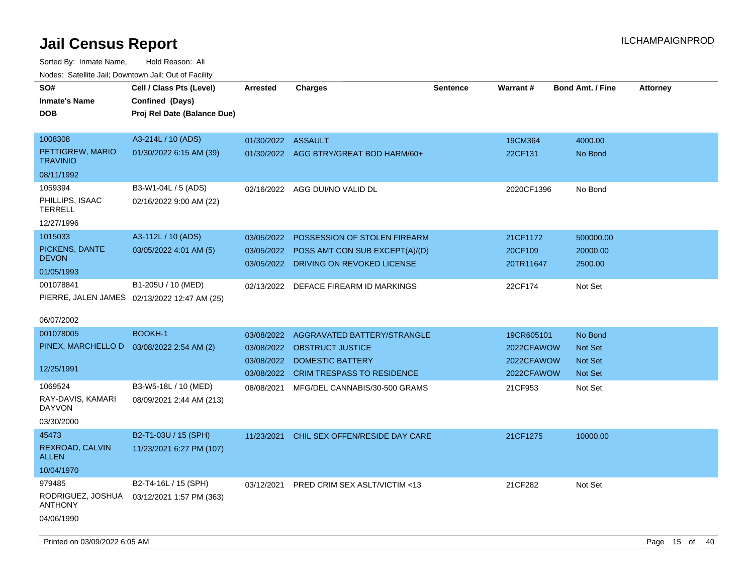| i vuuto. Talelille Jall, Duwilluwii Jall, Out of Facility            |                                                                            |                                                      |                                                                                                                    |                 |                                                      |                                                 |                 |  |
|----------------------------------------------------------------------|----------------------------------------------------------------------------|------------------------------------------------------|--------------------------------------------------------------------------------------------------------------------|-----------------|------------------------------------------------------|-------------------------------------------------|-----------------|--|
| SO#<br><b>Inmate's Name</b><br><b>DOB</b>                            | Cell / Class Pts (Level)<br>Confined (Days)<br>Proj Rel Date (Balance Due) | <b>Arrested</b>                                      | <b>Charges</b>                                                                                                     | <b>Sentence</b> | <b>Warrant#</b>                                      | <b>Bond Amt. / Fine</b>                         | <b>Attorney</b> |  |
| 1008308<br>PETTIGREW, MARIO<br><b>TRAVINIO</b><br>08/11/1992         | A3-214L / 10 (ADS)<br>01/30/2022 6:15 AM (39)                              | 01/30/2022 ASSAULT                                   | 01/30/2022 AGG BTRY/GREAT BOD HARM/60+                                                                             |                 | 19CM364<br>22CF131                                   | 4000.00<br>No Bond                              |                 |  |
| 1059394<br>PHILLIPS, ISAAC<br><b>TERRELL</b><br>12/27/1996           | B3-W1-04L / 5 (ADS)<br>02/16/2022 9:00 AM (22)                             |                                                      | 02/16/2022 AGG DUI/NO VALID DL                                                                                     |                 | 2020CF1396                                           | No Bond                                         |                 |  |
| 1015033<br>PICKENS, DANTE<br><b>DEVON</b><br>01/05/1993              | A3-112L / 10 (ADS)<br>03/05/2022 4:01 AM (5)                               | 03/05/2022                                           | POSSESSION OF STOLEN FIREARM<br>03/05/2022 POSS AMT CON SUB EXCEPT(A)/(D)<br>03/05/2022 DRIVING ON REVOKED LICENSE |                 | 21CF1172<br>20CF109<br>20TR11647                     | 500000.00<br>20000.00<br>2500.00                |                 |  |
| 001078841<br>06/07/2002                                              | B1-205U / 10 (MED)<br>PIERRE, JALEN JAMES 02/13/2022 12:47 AM (25)         | 02/13/2022                                           | DEFACE FIREARM ID MARKINGS                                                                                         |                 | 22CF174                                              | Not Set                                         |                 |  |
| 001078005<br>PINEX, MARCHELLO D 03/08/2022 2:54 AM (2)<br>12/25/1991 | <b>BOOKH-1</b>                                                             | 03/08/2022<br>03/08/2022<br>03/08/2022<br>03/08/2022 | AGGRAVATED BATTERY/STRANGLE<br><b>OBSTRUCT JUSTICE</b><br>DOMESTIC BATTERY<br><b>CRIM TRESPASS TO RESIDENCE</b>    |                 | 19CR605101<br>2022CFAWOW<br>2022CFAWOW<br>2022CFAWOW | No Bond<br>Not Set<br><b>Not Set</b><br>Not Set |                 |  |
| 1069524<br>RAY-DAVIS, KAMARI<br>DAYVON<br>03/30/2000                 | B3-W5-18L / 10 (MED)<br>08/09/2021 2:44 AM (213)                           | 08/08/2021                                           | MFG/DEL CANNABIS/30-500 GRAMS                                                                                      |                 | 21CF953                                              | Not Set                                         |                 |  |
| 45473<br>REXROAD, CALVIN<br><b>ALLEN</b><br>10/04/1970               | B2-T1-03U / 15 (SPH)<br>11/23/2021 6:27 PM (107)                           | 11/23/2021                                           | CHIL SEX OFFEN/RESIDE DAY CARE                                                                                     |                 | 21CF1275                                             | 10000.00                                        |                 |  |
| 979485<br>RODRIGUEZ, JOSHUA<br><b>ANTHONY</b><br>04/06/1990          | B2-T4-16L / 15 (SPH)<br>03/12/2021 1:57 PM (363)                           | 03/12/2021                                           | PRED CRIM SEX ASLT/VICTIM <13                                                                                      |                 | 21CF282                                              | Not Set                                         |                 |  |
| Printed on 03/09/2022 6:05 AM                                        |                                                                            |                                                      |                                                                                                                    |                 |                                                      |                                                 | Page 15 of 40   |  |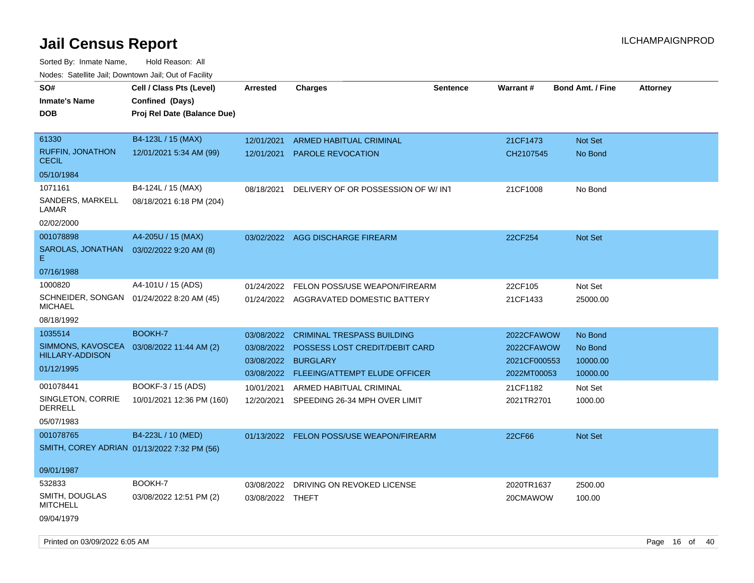| Todoo. Catolino can, Bomntonn can, Out of Fability<br>SO#<br><b>Inmate's Name</b><br><b>DOB</b> | Cell / Class Pts (Level)<br>Confined (Days)<br>Proj Rel Date (Balance Due) | <b>Arrested</b>  | <b>Charges</b>                           | <b>Sentence</b> | <b>Warrant#</b> | <b>Bond Amt. / Fine</b> | <b>Attorney</b> |
|-------------------------------------------------------------------------------------------------|----------------------------------------------------------------------------|------------------|------------------------------------------|-----------------|-----------------|-------------------------|-----------------|
| 61330                                                                                           | B4-123L / 15 (MAX)                                                         | 12/01/2021       | <b>ARMED HABITUAL CRIMINAL</b>           |                 | 21CF1473        | Not Set                 |                 |
| <b>RUFFIN, JONATHON</b><br><b>CECIL</b>                                                         | 12/01/2021 5:34 AM (99)                                                    | 12/01/2021       | <b>PAROLE REVOCATION</b>                 |                 | CH2107545       | No Bond                 |                 |
| 05/10/1984                                                                                      |                                                                            |                  |                                          |                 |                 |                         |                 |
| 1071161                                                                                         | B4-124L / 15 (MAX)                                                         | 08/18/2021       | DELIVERY OF OR POSSESSION OF W/INT       |                 | 21CF1008        | No Bond                 |                 |
| SANDERS, MARKELL<br>LAMAR                                                                       | 08/18/2021 6:18 PM (204)                                                   |                  |                                          |                 |                 |                         |                 |
| 02/02/2000                                                                                      |                                                                            |                  |                                          |                 |                 |                         |                 |
| 001078898                                                                                       | A4-205U / 15 (MAX)                                                         |                  | 03/02/2022 AGG DISCHARGE FIREARM         |                 | 22CF254         | <b>Not Set</b>          |                 |
| SAROLAS, JONATHAN<br>Е.                                                                         | 03/02/2022 9:20 AM (8)                                                     |                  |                                          |                 |                 |                         |                 |
| 07/16/1988                                                                                      |                                                                            |                  |                                          |                 |                 |                         |                 |
| 1000820                                                                                         | A4-101U / 15 (ADS)                                                         | 01/24/2022       | FELON POSS/USE WEAPON/FIREARM            |                 | 22CF105         | Not Set                 |                 |
| SCHNEIDER, SONGAN 01/24/2022 8:20 AM (45)<br><b>MICHAEL</b>                                     |                                                                            |                  | 01/24/2022 AGGRAVATED DOMESTIC BATTERY   |                 | 21CF1433        | 25000.00                |                 |
| 08/18/1992                                                                                      |                                                                            |                  |                                          |                 |                 |                         |                 |
| 1035514                                                                                         | BOOKH-7                                                                    | 03/08/2022       | <b>CRIMINAL TRESPASS BUILDING</b>        |                 | 2022CFAWOW      | No Bond                 |                 |
| SIMMONS, KAVOSCEA                                                                               | 03/08/2022 11:44 AM (2)                                                    | 03/08/2022       | POSSESS LOST CREDIT/DEBIT CARD           |                 | 2022CFAWOW      | No Bond                 |                 |
| <b>HILLARY-ADDISON</b>                                                                          |                                                                            | 03/08/2022       | <b>BURGLARY</b>                          |                 | 2021CF000553    | 10000.00                |                 |
| 01/12/1995                                                                                      |                                                                            | 03/08/2022       | <b>FLEEING/ATTEMPT ELUDE OFFICER</b>     |                 | 2022MT00053     | 10000.00                |                 |
| 001078441                                                                                       | BOOKF-3 / 15 (ADS)                                                         | 10/01/2021       | ARMED HABITUAL CRIMINAL                  |                 | 21CF1182        | Not Set                 |                 |
| SINGLETON, CORRIE<br><b>DERRELL</b>                                                             | 10/01/2021 12:36 PM (160)                                                  | 12/20/2021       | SPEEDING 26-34 MPH OVER LIMIT            |                 | 2021TR2701      | 1000.00                 |                 |
| 05/07/1983                                                                                      |                                                                            |                  |                                          |                 |                 |                         |                 |
| 001078765                                                                                       | B4-223L / 10 (MED)                                                         |                  | 01/13/2022 FELON POSS/USE WEAPON/FIREARM |                 | 22CF66          | <b>Not Set</b>          |                 |
| SMITH, COREY ADRIAN 01/13/2022 7:32 PM (56)                                                     |                                                                            |                  |                                          |                 |                 |                         |                 |
| 09/01/1987                                                                                      |                                                                            |                  |                                          |                 |                 |                         |                 |
| 532833                                                                                          | BOOKH-7                                                                    | 03/08/2022       | DRIVING ON REVOKED LICENSE               |                 | 2020TR1637      | 2500.00                 |                 |
| SMITH, DOUGLAS<br><b>MITCHELL</b>                                                               | 03/08/2022 12:51 PM (2)                                                    | 03/08/2022 THEFT |                                          |                 | 20CMAWOW        | 100.00                  |                 |
| 09/04/1979                                                                                      |                                                                            |                  |                                          |                 |                 |                         |                 |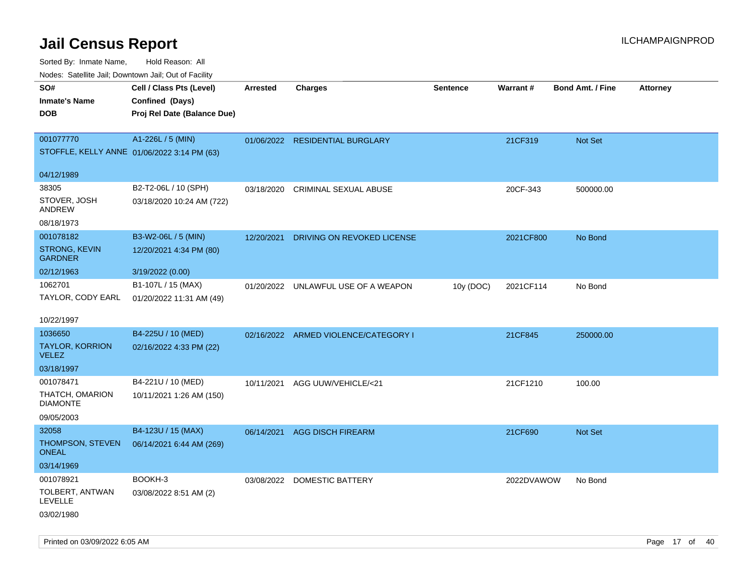| Nodes. Satellite Jali, Downtown Jali, Out of Facility |                             |            |                                      |                 |            |                         |                 |
|-------------------------------------------------------|-----------------------------|------------|--------------------------------------|-----------------|------------|-------------------------|-----------------|
| SO#                                                   | Cell / Class Pts (Level)    | Arrested   | <b>Charges</b>                       | <b>Sentence</b> | Warrant#   | <b>Bond Amt. / Fine</b> | <b>Attorney</b> |
| <b>Inmate's Name</b>                                  | Confined (Days)             |            |                                      |                 |            |                         |                 |
| <b>DOB</b>                                            | Proj Rel Date (Balance Due) |            |                                      |                 |            |                         |                 |
|                                                       |                             |            |                                      |                 |            |                         |                 |
| 001077770                                             | A1-226L / 5 (MIN)           |            | 01/06/2022 RESIDENTIAL BURGLARY      |                 | 21CF319    | Not Set                 |                 |
| STOFFLE, KELLY ANNE 01/06/2022 3:14 PM (63)           |                             |            |                                      |                 |            |                         |                 |
|                                                       |                             |            |                                      |                 |            |                         |                 |
| 04/12/1989                                            |                             |            |                                      |                 |            |                         |                 |
| 38305                                                 | B2-T2-06L / 10 (SPH)        | 03/18/2020 | <b>CRIMINAL SEXUAL ABUSE</b>         |                 | 20CF-343   | 500000.00               |                 |
| STOVER, JOSH<br>ANDREW                                | 03/18/2020 10:24 AM (722)   |            |                                      |                 |            |                         |                 |
| 08/18/1973                                            |                             |            |                                      |                 |            |                         |                 |
| 001078182                                             | B3-W2-06L / 5 (MIN)         | 12/20/2021 | DRIVING ON REVOKED LICENSE           |                 | 2021CF800  | No Bond                 |                 |
| STRONG, KEVIN<br><b>GARDNER</b>                       | 12/20/2021 4:34 PM (80)     |            |                                      |                 |            |                         |                 |
| 02/12/1963                                            | 3/19/2022 (0.00)            |            |                                      |                 |            |                         |                 |
| 1062701                                               | B1-107L / 15 (MAX)          | 01/20/2022 | UNLAWFUL USE OF A WEAPON             | 10y (DOC)       | 2021CF114  | No Bond                 |                 |
| TAYLOR, CODY EARL                                     | 01/20/2022 11:31 AM (49)    |            |                                      |                 |            |                         |                 |
|                                                       |                             |            |                                      |                 |            |                         |                 |
| 10/22/1997                                            |                             |            |                                      |                 |            |                         |                 |
| 1036650                                               | B4-225U / 10 (MED)          |            | 02/16/2022 ARMED VIOLENCE/CATEGORY I |                 | 21CF845    | 250000.00               |                 |
| <b>TAYLOR, KORRION</b><br><b>VELEZ</b>                | 02/16/2022 4:33 PM (22)     |            |                                      |                 |            |                         |                 |
| 03/18/1997                                            |                             |            |                                      |                 |            |                         |                 |
| 001078471                                             | B4-221U / 10 (MED)          | 10/11/2021 | AGG UUW/VEHICLE/<21                  |                 | 21CF1210   | 100.00                  |                 |
| THATCH, OMARION<br><b>DIAMONTE</b>                    | 10/11/2021 1:26 AM (150)    |            |                                      |                 |            |                         |                 |
| 09/05/2003                                            |                             |            |                                      |                 |            |                         |                 |
| 32058                                                 | B4-123U / 15 (MAX)          | 06/14/2021 | <b>AGG DISCH FIREARM</b>             |                 | 21CF690    | <b>Not Set</b>          |                 |
| THOMPSON, STEVEN<br>ONEAL                             | 06/14/2021 6:44 AM (269)    |            |                                      |                 |            |                         |                 |
| 03/14/1969                                            |                             |            |                                      |                 |            |                         |                 |
| 001078921                                             | BOOKH-3                     | 03/08/2022 | <b>DOMESTIC BATTERY</b>              |                 | 2022DVAWOW | No Bond                 |                 |
| TOLBERT, ANTWAN<br>LEVELLE                            | 03/08/2022 8:51 AM (2)      |            |                                      |                 |            |                         |                 |
| 03/02/1980                                            |                             |            |                                      |                 |            |                         |                 |
|                                                       |                             |            |                                      |                 |            |                         |                 |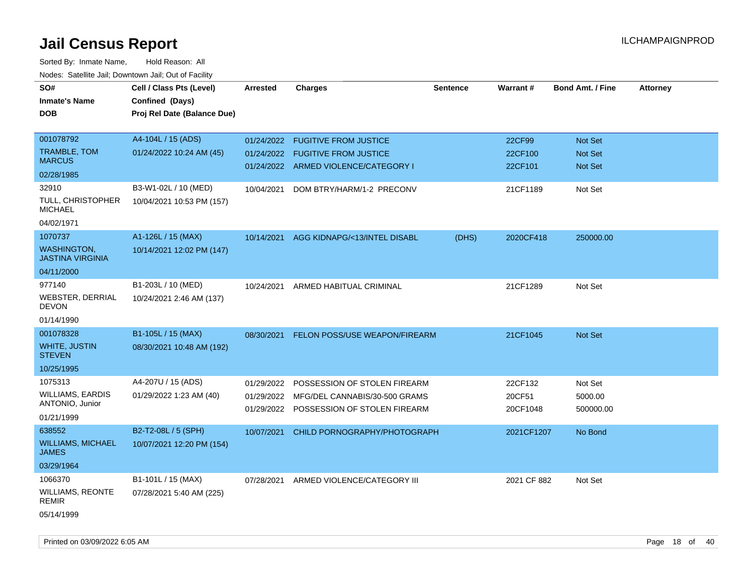| SO#                                           | Cell / Class Pts (Level)    | <b>Arrested</b> | <b>Charges</b>                          | <b>Sentence</b> | Warrant#    | <b>Bond Amt. / Fine</b> | <b>Attorney</b> |
|-----------------------------------------------|-----------------------------|-----------------|-----------------------------------------|-----------------|-------------|-------------------------|-----------------|
| <b>Inmate's Name</b>                          | Confined (Days)             |                 |                                         |                 |             |                         |                 |
| <b>DOB</b>                                    | Proj Rel Date (Balance Due) |                 |                                         |                 |             |                         |                 |
|                                               |                             |                 |                                         |                 |             |                         |                 |
| 001078792                                     | A4-104L / 15 (ADS)          | 01/24/2022      | <b>FUGITIVE FROM JUSTICE</b>            |                 | 22CF99      | Not Set                 |                 |
| <b>TRAMBLE, TOM</b>                           | 01/24/2022 10:24 AM (45)    |                 | 01/24/2022 FUGITIVE FROM JUSTICE        |                 | 22CF100     | <b>Not Set</b>          |                 |
| <b>MARCUS</b>                                 |                             |                 | 01/24/2022 ARMED VIOLENCE/CATEGORY I    |                 | 22CF101     | Not Set                 |                 |
| 02/28/1985                                    |                             |                 |                                         |                 |             |                         |                 |
| 32910                                         | B3-W1-02L / 10 (MED)        | 10/04/2021      | DOM BTRY/HARM/1-2 PRECONV               |                 | 21CF1189    | Not Set                 |                 |
| TULL, CHRISTOPHER<br><b>MICHAEL</b>           | 10/04/2021 10:53 PM (157)   |                 |                                         |                 |             |                         |                 |
| 04/02/1971                                    |                             |                 |                                         |                 |             |                         |                 |
| 1070737                                       | A1-126L / 15 (MAX)          |                 | 10/14/2021 AGG KIDNAPG/<13/INTEL DISABL | (DHS)           | 2020CF418   | 250000.00               |                 |
| <b>WASHINGTON.</b><br><b>JASTINA VIRGINIA</b> | 10/14/2021 12:02 PM (147)   |                 |                                         |                 |             |                         |                 |
| 04/11/2000                                    |                             |                 |                                         |                 |             |                         |                 |
| 977140                                        | B1-203L / 10 (MED)          | 10/24/2021      | ARMED HABITUAL CRIMINAL                 |                 | 21CF1289    | Not Set                 |                 |
| <b>WEBSTER, DERRIAL</b><br><b>DEVON</b>       | 10/24/2021 2:46 AM (137)    |                 |                                         |                 |             |                         |                 |
| 01/14/1990                                    |                             |                 |                                         |                 |             |                         |                 |
| 001078328                                     | B1-105L / 15 (MAX)          | 08/30/2021      | <b>FELON POSS/USE WEAPON/FIREARM</b>    |                 | 21CF1045    | Not Set                 |                 |
| <b>WHITE, JUSTIN</b><br><b>STEVEN</b>         | 08/30/2021 10:48 AM (192)   |                 |                                         |                 |             |                         |                 |
| 10/25/1995                                    |                             |                 |                                         |                 |             |                         |                 |
| 1075313                                       | A4-207U / 15 (ADS)          | 01/29/2022      | POSSESSION OF STOLEN FIREARM            |                 | 22CF132     | Not Set                 |                 |
| <b>WILLIAMS, EARDIS</b>                       | 01/29/2022 1:23 AM (40)     | 01/29/2022      | MFG/DEL CANNABIS/30-500 GRAMS           |                 | 20CF51      | 5000.00                 |                 |
| ANTONIO, Junior                               |                             |                 | 01/29/2022 POSSESSION OF STOLEN FIREARM |                 | 20CF1048    | 500000.00               |                 |
| 01/21/1999                                    |                             |                 |                                         |                 |             |                         |                 |
| 638552                                        | B2-T2-08L / 5 (SPH)         | 10/07/2021      | CHILD PORNOGRAPHY/PHOTOGRAPH            |                 | 2021CF1207  | No Bond                 |                 |
| <b>WILLIAMS, MICHAEL</b><br><b>JAMES</b>      | 10/07/2021 12:20 PM (154)   |                 |                                         |                 |             |                         |                 |
| 03/29/1964                                    |                             |                 |                                         |                 |             |                         |                 |
| 1066370                                       | B1-101L / 15 (MAX)          | 07/28/2021      | ARMED VIOLENCE/CATEGORY III             |                 | 2021 CF 882 | Not Set                 |                 |
| <b>WILLIAMS, REONTE</b><br><b>REMIR</b>       | 07/28/2021 5:40 AM (225)    |                 |                                         |                 |             |                         |                 |
| 05/14/1999                                    |                             |                 |                                         |                 |             |                         |                 |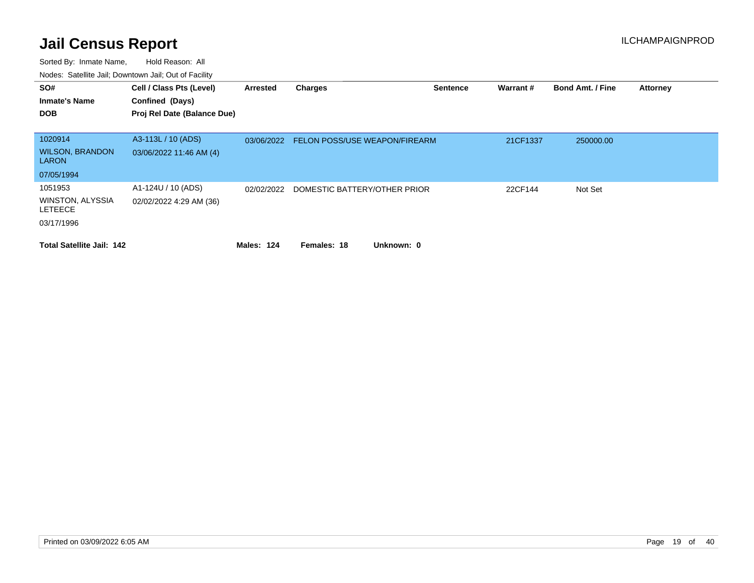| SO#<br><b>Inmate's Name</b><br><b>DOB</b>                          | Cell / Class Pts (Level)<br>Confined (Days)<br>Proj Rel Date (Balance Due) | Arrested   | <b>Charges</b>                       | <b>Sentence</b> | Warrant# | <b>Bond Amt. / Fine</b> | <b>Attorney</b> |
|--------------------------------------------------------------------|----------------------------------------------------------------------------|------------|--------------------------------------|-----------------|----------|-------------------------|-----------------|
| 1020914<br><b>WILSON, BRANDON</b><br><b>LARON</b>                  | A3-113L / 10 (ADS)<br>03/06/2022 11:46 AM (4)                              | 03/06/2022 | <b>FELON POSS/USE WEAPON/FIREARM</b> |                 | 21CF1337 | 250000.00               |                 |
| 07/05/1994                                                         |                                                                            |            |                                      |                 |          |                         |                 |
| 1051953<br><b>WINSTON, ALYSSIA</b><br><b>LETEECE</b><br>03/17/1996 | A1-124U / 10 (ADS)<br>02/02/2022 4:29 AM (36)                              | 02/02/2022 | DOMESTIC BATTERY/OTHER PRIOR         |                 | 22CF144  | Not Set                 |                 |
| <b>Total Satellite Jail: 142</b>                                   |                                                                            | Males: 124 | Females: 18<br>Unknown: 0            |                 |          |                         |                 |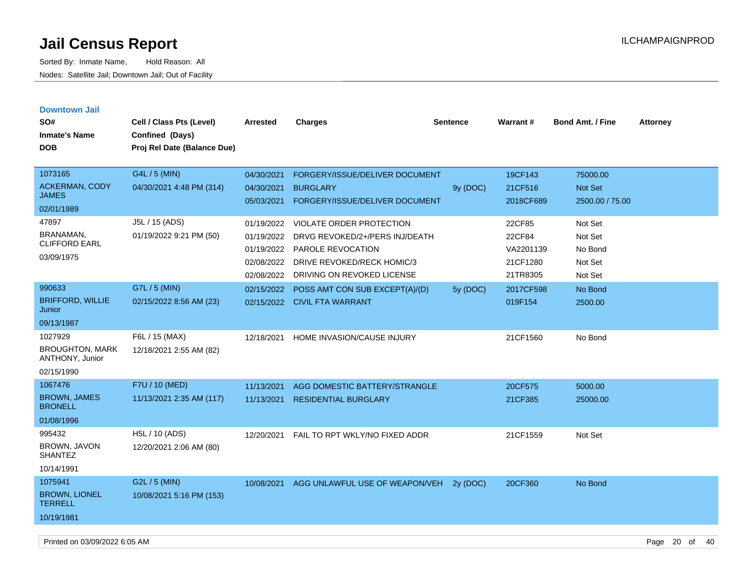| <b>Downtown Jail</b>                      |                             |            |                                 |          |           |                         |                 |
|-------------------------------------------|-----------------------------|------------|---------------------------------|----------|-----------|-------------------------|-----------------|
| SO#                                       | Cell / Class Pts (Level)    | Arrested   | <b>Charges</b>                  | Sentence | Warrant#  | <b>Bond Amt. / Fine</b> | <b>Attorney</b> |
| <b>Inmate's Name</b>                      | Confined (Days)             |            |                                 |          |           |                         |                 |
| <b>DOB</b>                                | Proj Rel Date (Balance Due) |            |                                 |          |           |                         |                 |
|                                           |                             |            |                                 |          |           |                         |                 |
| 1073165                                   | G4L / 5 (MIN)               | 04/30/2021 | FORGERY/ISSUE/DELIVER DOCUMENT  |          | 19CF143   | 75000.00                |                 |
| <b>ACKERMAN, CODY</b>                     | 04/30/2021 4:48 PM (314)    | 04/30/2021 | <b>BURGLARY</b>                 | 9y (DOC) | 21CF516   | Not Set                 |                 |
| <b>JAMES</b>                              |                             | 05/03/2021 | FORGERY/ISSUE/DELIVER DOCUMENT  |          | 2018CF689 | 2500.00 / 75.00         |                 |
| 02/01/1989                                |                             |            |                                 |          |           |                         |                 |
| 47897                                     | J5L / 15 (ADS)              | 01/19/2022 | <b>VIOLATE ORDER PROTECTION</b> |          | 22CF85    | Not Set                 |                 |
| BRANAMAN,<br><b>CLIFFORD EARL</b>         | 01/19/2022 9:21 PM (50)     | 01/19/2022 | DRVG REVOKED/2+/PERS INJ/DEATH  |          | 22CF84    | Not Set                 |                 |
|                                           |                             | 01/19/2022 | PAROLE REVOCATION               |          | VA2201139 | No Bond                 |                 |
| 03/09/1975                                |                             | 02/08/2022 | DRIVE REVOKED/RECK HOMIC/3      |          | 21CF1280  | Not Set                 |                 |
|                                           |                             | 02/08/2022 | DRIVING ON REVOKED LICENSE      |          | 21TR8305  | Not Set                 |                 |
| 990633                                    | G7L / 5 (MIN)               | 02/15/2022 | POSS AMT CON SUB EXCEPT(A)/(D)  | 5y (DOC) | 2017CF598 | No Bond                 |                 |
| <b>BRIFFORD, WILLIE</b><br>Junior         | 02/15/2022 8:56 AM (23)     |            | 02/15/2022 CIVIL FTA WARRANT    |          | 019F154   | 2500.00                 |                 |
| 09/13/1987                                |                             |            |                                 |          |           |                         |                 |
| 1027929                                   | F6L / 15 (MAX)              | 12/18/2021 | HOME INVASION/CAUSE INJURY      |          | 21CF1560  | No Bond                 |                 |
| <b>BROUGHTON, MARK</b><br>ANTHONY, Junior | 12/18/2021 2:55 AM (82)     |            |                                 |          |           |                         |                 |
| 02/15/1990                                |                             |            |                                 |          |           |                         |                 |
| 1067476                                   | F7U / 10 (MED)              | 11/13/2021 | AGG DOMESTIC BATTERY/STRANGLE   |          | 20CF575   | 5000.00                 |                 |
| <b>BROWN, JAMES</b><br><b>BRONELL</b>     | 11/13/2021 2:35 AM (117)    | 11/13/2021 | <b>RESIDENTIAL BURGLARY</b>     |          | 21CF385   | 25000.00                |                 |
| 01/08/1996                                |                             |            |                                 |          |           |                         |                 |
| 995432                                    | H5L / 10 (ADS)              | 12/20/2021 | FAIL TO RPT WKLY/NO FIXED ADDR  |          | 21CF1559  | Not Set                 |                 |
| BROWN, JAVON<br><b>SHANTEZ</b>            | 12/20/2021 2:06 AM (80)     |            |                                 |          |           |                         |                 |
| 10/14/1991                                |                             |            |                                 |          |           |                         |                 |
| 1075941                                   | G2L / 5 (MIN)               | 10/08/2021 | AGG UNLAWFUL USE OF WEAPON/VEH  | 2y (DOC) | 20CF360   | No Bond                 |                 |
| <b>BROWN, LIONEL</b><br><b>TERRELL</b>    | 10/08/2021 5:16 PM (153)    |            |                                 |          |           |                         |                 |
| 10/19/1981                                |                             |            |                                 |          |           |                         |                 |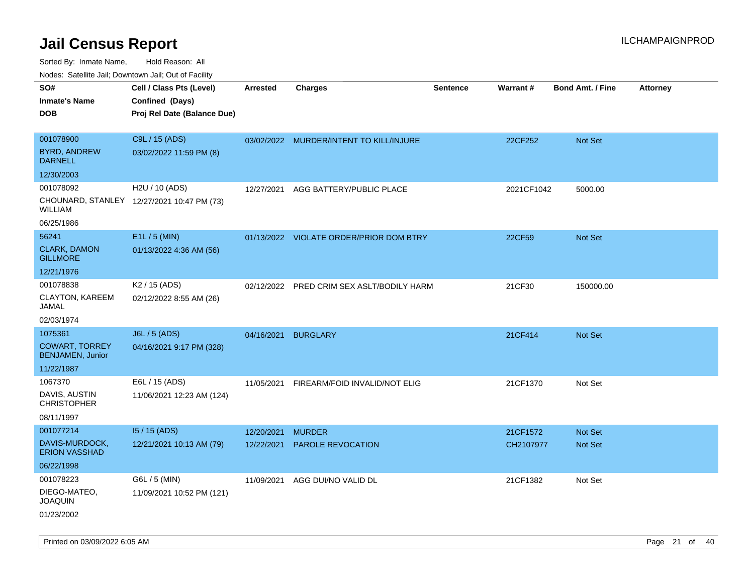| rouco. Calcillo Jali, Downtown Jali, Out of Facility |                                            |                 |                                           |                 |            |                         |                 |
|------------------------------------------------------|--------------------------------------------|-----------------|-------------------------------------------|-----------------|------------|-------------------------|-----------------|
| SO#                                                  | Cell / Class Pts (Level)                   | <b>Arrested</b> | <b>Charges</b>                            | <b>Sentence</b> | Warrant#   | <b>Bond Amt. / Fine</b> | <b>Attorney</b> |
| Inmate's Name                                        | Confined (Days)                            |                 |                                           |                 |            |                         |                 |
| DOB                                                  | Proj Rel Date (Balance Due)                |                 |                                           |                 |            |                         |                 |
|                                                      |                                            |                 |                                           |                 |            |                         |                 |
| 001078900                                            | C9L / 15 (ADS)                             |                 | 03/02/2022 MURDER/INTENT TO KILL/INJURE   |                 | 22CF252    | <b>Not Set</b>          |                 |
| <b>BYRD, ANDREW</b><br><b>DARNELL</b>                | 03/02/2022 11:59 PM (8)                    |                 |                                           |                 |            |                         |                 |
| 12/30/2003                                           |                                            |                 |                                           |                 |            |                         |                 |
| 001078092                                            | H2U / 10 (ADS)                             | 12/27/2021      | AGG BATTERY/PUBLIC PLACE                  |                 | 2021CF1042 | 5000.00                 |                 |
| WILLIAM                                              | CHOUNARD, STANLEY 12/27/2021 10:47 PM (73) |                 |                                           |                 |            |                         |                 |
| 06/25/1986                                           |                                            |                 |                                           |                 |            |                         |                 |
| 56241                                                | E1L / 5 (MIN)                              |                 | 01/13/2022 VIOLATE ORDER/PRIOR DOM BTRY   |                 | 22CF59     | <b>Not Set</b>          |                 |
| <b>CLARK, DAMON</b><br><b>GILLMORE</b>               | 01/13/2022 4:36 AM (56)                    |                 |                                           |                 |            |                         |                 |
| 12/21/1976                                           |                                            |                 |                                           |                 |            |                         |                 |
| 001078838                                            | K <sub>2</sub> / 15 (ADS)                  |                 | 02/12/2022 PRED CRIM SEX ASLT/BODILY HARM |                 | 21CF30     | 150000.00               |                 |
| CLAYTON, KAREEM<br>JAMAL                             | 02/12/2022 8:55 AM (26)                    |                 |                                           |                 |            |                         |                 |
| 02/03/1974                                           |                                            |                 |                                           |                 |            |                         |                 |
| 1075361                                              | J6L / 5 (ADS)                              | 04/16/2021      | <b>BURGLARY</b>                           |                 | 21CF414    | Not Set                 |                 |
| <b>COWART, TORREY</b><br><b>BENJAMEN, Junior</b>     | 04/16/2021 9:17 PM (328)                   |                 |                                           |                 |            |                         |                 |
| 11/22/1987                                           |                                            |                 |                                           |                 |            |                         |                 |
| 1067370                                              | E6L / 15 (ADS)                             | 11/05/2021      | FIREARM/FOID INVALID/NOT ELIG             |                 | 21CF1370   | Not Set                 |                 |
| DAVIS, AUSTIN<br><b>CHRISTOPHER</b>                  | 11/06/2021 12:23 AM (124)                  |                 |                                           |                 |            |                         |                 |
| 08/11/1997                                           |                                            |                 |                                           |                 |            |                         |                 |
| 001077214                                            | $15/15$ (ADS)                              | 12/20/2021      | <b>MURDER</b>                             |                 | 21CF1572   | <b>Not Set</b>          |                 |
| DAVIS-MURDOCK,<br><b>ERION VASSHAD</b>               | 12/21/2021 10:13 AM (79)                   | 12/22/2021      | PAROLE REVOCATION                         |                 | CH2107977  | Not Set                 |                 |
| 06/22/1998                                           |                                            |                 |                                           |                 |            |                         |                 |
| 001078223                                            | G6L / 5 (MIN)                              | 11/09/2021      | AGG DUI/NO VALID DL                       |                 | 21CF1382   | Not Set                 |                 |
| DIEGO-MATEO,<br>JOAQUIN                              | 11/09/2021 10:52 PM (121)                  |                 |                                           |                 |            |                         |                 |
| 01/23/2002                                           |                                            |                 |                                           |                 |            |                         |                 |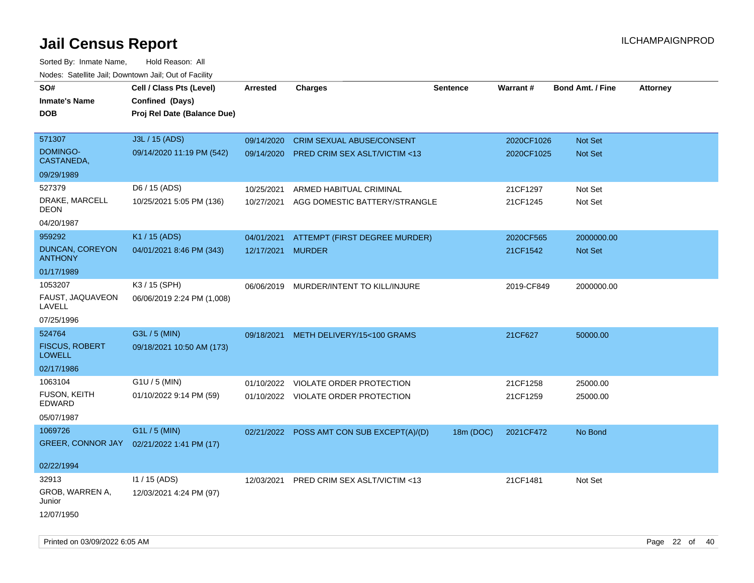Sorted By: Inmate Name, Hold Reason: All Nodes: Satellite Jail; Downtown Jail; Out of Facility

| roaco. Odichile Jan, Downtown Jan, Out of Facility |                             |                   |                                           |                 |            |                         |                 |
|----------------------------------------------------|-----------------------------|-------------------|-------------------------------------------|-----------------|------------|-------------------------|-----------------|
| SO#                                                | Cell / Class Pts (Level)    | <b>Arrested</b>   | <b>Charges</b>                            | <b>Sentence</b> | Warrant#   | <b>Bond Amt. / Fine</b> | <b>Attorney</b> |
| <b>Inmate's Name</b>                               | Confined (Days)             |                   |                                           |                 |            |                         |                 |
| <b>DOB</b>                                         | Proj Rel Date (Balance Due) |                   |                                           |                 |            |                         |                 |
|                                                    |                             |                   |                                           |                 |            |                         |                 |
| 571307                                             | J3L / 15 (ADS)              | 09/14/2020        | <b>CRIM SEXUAL ABUSE/CONSENT</b>          |                 | 2020CF1026 | Not Set                 |                 |
| <b>DOMINGO-</b><br>CASTANEDA,                      | 09/14/2020 11:19 PM (542)   |                   | 09/14/2020 PRED CRIM SEX ASLT/VICTIM <13  |                 | 2020CF1025 | Not Set                 |                 |
| 09/29/1989                                         |                             |                   |                                           |                 |            |                         |                 |
| 527379                                             | D6 / 15 (ADS)               | 10/25/2021        | ARMED HABITUAL CRIMINAL                   |                 | 21CF1297   | Not Set                 |                 |
| DRAKE, MARCELL<br><b>DEON</b>                      | 10/25/2021 5:05 PM (136)    |                   | 10/27/2021 AGG DOMESTIC BATTERY/STRANGLE  |                 | 21CF1245   | Not Set                 |                 |
| 04/20/1987                                         |                             |                   |                                           |                 |            |                         |                 |
| 959292                                             | K1 / 15 (ADS)               | 04/01/2021        | ATTEMPT (FIRST DEGREE MURDER)             |                 | 2020CF565  | 2000000.00              |                 |
| DUNCAN, COREYON<br><b>ANTHONY</b>                  | 04/01/2021 8:46 PM (343)    | 12/17/2021 MURDER |                                           |                 | 21CF1542   | <b>Not Set</b>          |                 |
| 01/17/1989                                         |                             |                   |                                           |                 |            |                         |                 |
| 1053207                                            | K3 / 15 (SPH)               |                   | 06/06/2019 MURDER/INTENT TO KILL/INJURE   |                 | 2019-CF849 | 2000000.00              |                 |
| FAUST, JAQUAVEON<br>LAVELL                         | 06/06/2019 2:24 PM (1,008)  |                   |                                           |                 |            |                         |                 |
| 07/25/1996                                         |                             |                   |                                           |                 |            |                         |                 |
| 524764                                             | G3L / 5 (MIN)               | 09/18/2021        | METH DELIVERY/15<100 GRAMS                |                 | 21CF627    | 50000.00                |                 |
| <b>FISCUS, ROBERT</b><br><b>LOWELL</b>             | 09/18/2021 10:50 AM (173)   |                   |                                           |                 |            |                         |                 |
| 02/17/1986                                         |                             |                   |                                           |                 |            |                         |                 |
| 1063104                                            | G1U / 5 (MIN)               |                   | 01/10/2022 VIOLATE ORDER PROTECTION       |                 | 21CF1258   | 25000.00                |                 |
| <b>FUSON, KEITH</b><br>EDWARD                      | 01/10/2022 9:14 PM (59)     |                   | 01/10/2022 VIOLATE ORDER PROTECTION       |                 | 21CF1259   | 25000.00                |                 |
| 05/07/1987                                         |                             |                   |                                           |                 |            |                         |                 |
| 1069726                                            | G1L / 5 (MIN)               |                   | 02/21/2022 POSS AMT CON SUB EXCEPT(A)/(D) | 18m (DOC)       | 2021CF472  | No Bond                 |                 |
| <b>GREER, CONNOR JAY</b>                           | 02/21/2022 1:41 PM (17)     |                   |                                           |                 |            |                         |                 |
|                                                    |                             |                   |                                           |                 |            |                         |                 |
| 02/22/1994                                         |                             |                   |                                           |                 |            |                         |                 |
| 32913                                              | 11 / 15 (ADS)               |                   | 12/03/2021 PRED CRIM SEX ASLT/VICTIM <13  |                 | 21CF1481   | Not Set                 |                 |
| GROB, WARREN A,<br>Junior                          | 12/03/2021 4:24 PM (97)     |                   |                                           |                 |            |                         |                 |
| 12/07/1950                                         |                             |                   |                                           |                 |            |                         |                 |

Printed on 03/09/2022 6:05 AM Page 22 of 40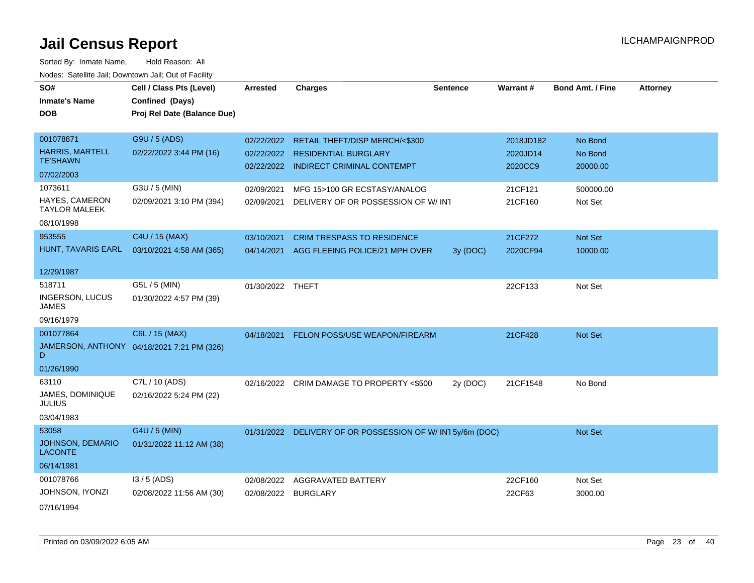| SO#                                       | Cell / Class Pts (Level)                   | <b>Arrested</b>  | <b>Charges</b>                                           | <b>Sentence</b> | Warrant#  | <b>Bond Amt. / Fine</b> | <b>Attorney</b> |
|-------------------------------------------|--------------------------------------------|------------------|----------------------------------------------------------|-----------------|-----------|-------------------------|-----------------|
| <b>Inmate's Name</b>                      | Confined (Days)                            |                  |                                                          |                 |           |                         |                 |
| <b>DOB</b>                                | Proj Rel Date (Balance Due)                |                  |                                                          |                 |           |                         |                 |
|                                           |                                            |                  |                                                          |                 |           |                         |                 |
| 001078871                                 | G9U / 5 (ADS)                              | 02/22/2022       | RETAIL THEFT/DISP MERCH/<\$300                           |                 | 2018JD182 | No Bond                 |                 |
| <b>HARRIS, MARTELL</b><br><b>TE'SHAWN</b> | 02/22/2022 3:44 PM (16)                    |                  | 02/22/2022 RESIDENTIAL BURGLARY                          |                 | 2020JD14  | No Bond                 |                 |
| 07/02/2003                                |                                            |                  | 02/22/2022 INDIRECT CRIMINAL CONTEMPT                    |                 | 2020CC9   | 20000.00                |                 |
| 1073611                                   | G3U / 5 (MIN)                              | 02/09/2021       | MFG 15>100 GR ECSTASY/ANALOG                             |                 | 21CF121   | 500000.00               |                 |
| HAYES, CAMERON<br><b>TAYLOR MALEEK</b>    | 02/09/2021 3:10 PM (394)                   | 02/09/2021       | DELIVERY OF OR POSSESSION OF W/INT                       |                 | 21CF160   | Not Set                 |                 |
| 08/10/1998                                |                                            |                  |                                                          |                 |           |                         |                 |
| 953555                                    | C4U / 15 (MAX)                             | 03/10/2021       | <b>CRIM TRESPASS TO RESIDENCE</b>                        |                 | 21CF272   | Not Set                 |                 |
| HUNT, TAVARIS EARL                        | 03/10/2021 4:58 AM (365)                   |                  | 04/14/2021 AGG FLEEING POLICE/21 MPH OVER                | 3y (DOC)        | 2020CF94  | 10000.00                |                 |
| 12/29/1987                                |                                            |                  |                                                          |                 |           |                         |                 |
| 518711                                    | G5L / 5 (MIN)                              | 01/30/2022 THEFT |                                                          |                 | 22CF133   | Not Set                 |                 |
| <b>INGERSON, LUCUS</b><br><b>JAMES</b>    | 01/30/2022 4:57 PM (39)                    |                  |                                                          |                 |           |                         |                 |
| 09/16/1979                                |                                            |                  |                                                          |                 |           |                         |                 |
| 001077864                                 | C6L / 15 (MAX)                             | 04/18/2021       | <b>FELON POSS/USE WEAPON/FIREARM</b>                     |                 | 21CF428   | Not Set                 |                 |
| D                                         | JAMERSON, ANTHONY 04/18/2021 7:21 PM (326) |                  |                                                          |                 |           |                         |                 |
| 01/26/1990                                |                                            |                  |                                                          |                 |           |                         |                 |
| 63110                                     | C7L / 10 (ADS)                             | 02/16/2022       | CRIM DAMAGE TO PROPERTY <\$500                           | 2y (DOC)        | 21CF1548  | No Bond                 |                 |
| JAMES, DOMINIQUE<br><b>JULIUS</b>         | 02/16/2022 5:24 PM (22)                    |                  |                                                          |                 |           |                         |                 |
| 03/04/1983                                |                                            |                  |                                                          |                 |           |                         |                 |
| 53058                                     | G4U / 5 (MIN)                              |                  | 01/31/2022 DELIVERY OF OR POSSESSION OF W/IN15y/6m (DOC) |                 |           | Not Set                 |                 |
| <b>JOHNSON, DEMARIO</b><br><b>LACONTE</b> | 01/31/2022 11:12 AM (38)                   |                  |                                                          |                 |           |                         |                 |
| 06/14/1981                                |                                            |                  |                                                          |                 |           |                         |                 |
| 001078766                                 | $13/5$ (ADS)                               | 02/08/2022       | AGGRAVATED BATTERY                                       |                 | 22CF160   | Not Set                 |                 |
| JOHNSON, IYONZI                           | 02/08/2022 11:56 AM (30)                   | 02/08/2022       | <b>BURGLARY</b>                                          |                 | 22CF63    | 3000.00                 |                 |
| 07/16/1994                                |                                            |                  |                                                          |                 |           |                         |                 |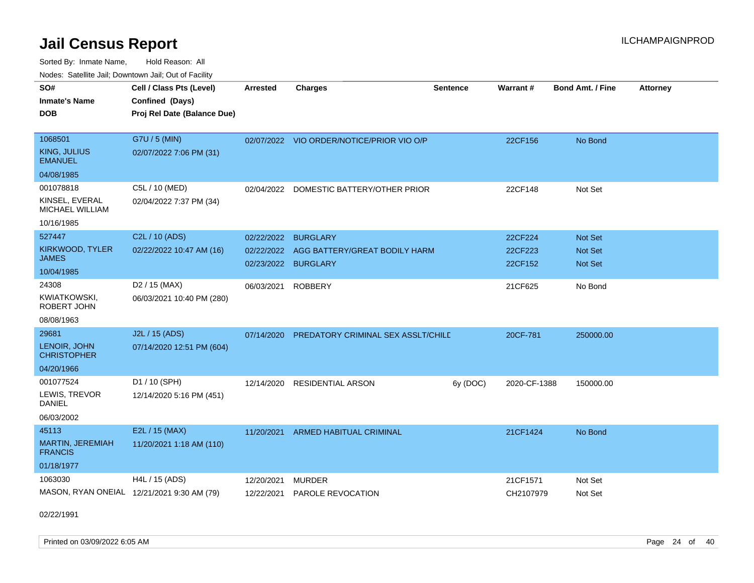Sorted By: Inmate Name, Hold Reason: All Nodes: Satellite Jail; Downtown Jail; Out of Facility

| SO#<br><b>Inmate's Name</b><br><b>DOB</b>                           | Cell / Class Pts (Level)<br>Confined (Days)<br>Proj Rel Date (Balance Due) | <b>Arrested</b>          | <b>Charges</b>                                                          | <b>Sentence</b> | Warrant#                      | <b>Bond Amt. / Fine</b>              | <b>Attorney</b> |
|---------------------------------------------------------------------|----------------------------------------------------------------------------|--------------------------|-------------------------------------------------------------------------|-----------------|-------------------------------|--------------------------------------|-----------------|
| 1068501<br>KING, JULIUS<br><b>EMANUEL</b><br>04/08/1985             | G7U / 5 (MIN)<br>02/07/2022 7:06 PM (31)                                   |                          | 02/07/2022 VIO ORDER/NOTICE/PRIOR VIO O/P                               |                 | 22CF156                       | No Bond                              |                 |
| 001078818<br>KINSEL, EVERAL<br><b>MICHAEL WILLIAM</b><br>10/16/1985 | C5L / 10 (MED)<br>02/04/2022 7:37 PM (34)                                  | 02/04/2022               | DOMESTIC BATTERY/OTHER PRIOR                                            |                 | 22CF148                       | Not Set                              |                 |
| 527447<br>KIRKWOOD, TYLER<br>JAMES<br>10/04/1985                    | C2L / 10 (ADS)<br>02/22/2022 10:47 AM (16)                                 | 02/22/2022<br>02/22/2022 | <b>BURGLARY</b><br>AGG BATTERY/GREAT BODILY HARM<br>02/23/2022 BURGLARY |                 | 22CF224<br>22CF223<br>22CF152 | <b>Not Set</b><br>Not Set<br>Not Set |                 |
| 24308<br><b>KWIATKOWSKI,</b><br>ROBERT JOHN<br>08/08/1963           | D <sub>2</sub> / 15 (MAX)<br>06/03/2021 10:40 PM (280)                     | 06/03/2021               | <b>ROBBERY</b>                                                          |                 | 21CF625                       | No Bond                              |                 |
| 29681<br>LENOIR, JOHN<br><b>CHRISTOPHER</b><br>04/20/1966           | J2L / 15 (ADS)<br>07/14/2020 12:51 PM (604)                                |                          | 07/14/2020 PREDATORY CRIMINAL SEX ASSLT/CHILD                           |                 | 20CF-781                      | 250000.00                            |                 |
| 001077524<br>LEWIS, TREVOR<br><b>DANIEL</b><br>06/03/2002           | D1 / 10 (SPH)<br>12/14/2020 5:16 PM (451)                                  | 12/14/2020               | <b>RESIDENTIAL ARSON</b>                                                | 6y (DOC)        | 2020-CF-1388                  | 150000.00                            |                 |
| 45113<br>MARTIN, JEREMIAH<br><b>FRANCIS</b><br>01/18/1977           | E2L / 15 (MAX)<br>11/20/2021 1:18 AM (110)                                 | 11/20/2021               | ARMED HABITUAL CRIMINAL                                                 |                 | 21CF1424                      | No Bond                              |                 |
| 1063030                                                             | H4L / 15 (ADS)<br>MASON, RYAN ONEIAL 12/21/2021 9:30 AM (79)               | 12/20/2021<br>12/22/2021 | <b>MURDER</b><br>PAROLE REVOCATION                                      |                 | 21CF1571<br>CH2107979         | Not Set<br>Not Set                   |                 |

02/22/1991

Printed on 03/09/2022 6:05 AM Page 24 of 40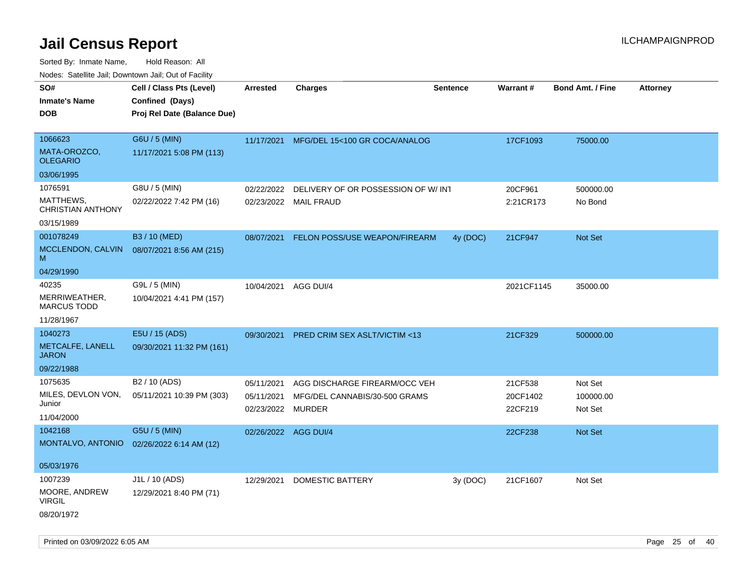| SO#                                   | Cell / Class Pts (Level)    | <b>Arrested</b>      | <b>Charges</b>                          | <b>Sentence</b> | Warrant#   | <b>Bond Amt. / Fine</b> | <b>Attorney</b> |
|---------------------------------------|-----------------------------|----------------------|-----------------------------------------|-----------------|------------|-------------------------|-----------------|
| <b>Inmate's Name</b>                  | Confined (Days)             |                      |                                         |                 |            |                         |                 |
| DOB                                   | Proj Rel Date (Balance Due) |                      |                                         |                 |            |                         |                 |
|                                       |                             |                      |                                         |                 |            |                         |                 |
| 1066623                               | G6U / 5 (MIN)               | 11/17/2021           | MFG/DEL 15<100 GR COCA/ANALOG           |                 | 17CF1093   | 75000.00                |                 |
| MATA-OROZCO,<br><b>OLEGARIO</b>       | 11/17/2021 5:08 PM (113)    |                      |                                         |                 |            |                         |                 |
| 03/06/1995                            |                             |                      |                                         |                 |            |                         |                 |
| 1076591                               | G8U / 5 (MIN)               | 02/22/2022           | DELIVERY OF OR POSSESSION OF W/INT      |                 | 20CF961    | 500000.00               |                 |
| MATTHEWS,<br><b>CHRISTIAN ANTHONY</b> | 02/22/2022 7:42 PM (16)     |                      | 02/23/2022 MAIL FRAUD                   |                 | 2:21CR173  | No Bond                 |                 |
| 03/15/1989                            |                             |                      |                                         |                 |            |                         |                 |
| 001078249                             | B3 / 10 (MED)               | 08/07/2021           | FELON POSS/USE WEAPON/FIREARM           | 4y (DOC)        | 21CF947    | Not Set                 |                 |
| MCCLENDON, CALVIN<br>M                | 08/07/2021 8:56 AM (215)    |                      |                                         |                 |            |                         |                 |
| 04/29/1990                            |                             |                      |                                         |                 |            |                         |                 |
| 40235                                 | G9L / 5 (MIN)               | 10/04/2021           | AGG DUI/4                               |                 | 2021CF1145 | 35000.00                |                 |
| MERRIWEATHER,<br><b>MARCUS TODD</b>   | 10/04/2021 4:41 PM (157)    |                      |                                         |                 |            |                         |                 |
| 11/28/1967                            |                             |                      |                                         |                 |            |                         |                 |
| 1040273                               | E5U / 15 (ADS)              | 09/30/2021           | <b>PRED CRIM SEX ASLT/VICTIM &lt;13</b> |                 | 21CF329    | 500000.00               |                 |
| METCALFE, LANELL<br><b>JARON</b>      | 09/30/2021 11:32 PM (161)   |                      |                                         |                 |            |                         |                 |
| 09/22/1988                            |                             |                      |                                         |                 |            |                         |                 |
| 1075635                               | B2 / 10 (ADS)               | 05/11/2021           | AGG DISCHARGE FIREARM/OCC VEH           |                 | 21CF538    | Not Set                 |                 |
| MILES, DEVLON VON,                    | 05/11/2021 10:39 PM (303)   | 05/11/2021           | MFG/DEL CANNABIS/30-500 GRAMS           |                 | 20CF1402   | 100000.00               |                 |
| Junior                                |                             | 02/23/2022           | <b>MURDER</b>                           |                 | 22CF219    | Not Set                 |                 |
| 11/04/2000                            |                             |                      |                                         |                 |            |                         |                 |
| 1042168                               | G5U / 5 (MIN)               | 02/26/2022 AGG DUI/4 |                                         |                 | 22CF238    | <b>Not Set</b>          |                 |
| MONTALVO, ANTONIO                     | 02/26/2022 6:14 AM (12)     |                      |                                         |                 |            |                         |                 |
| 05/03/1976                            |                             |                      |                                         |                 |            |                         |                 |
| 1007239                               | J1L / 10 (ADS)              | 12/29/2021           | <b>DOMESTIC BATTERY</b>                 | 3y(DOC)         | 21CF1607   | Not Set                 |                 |
| MOORE, ANDREW<br><b>VIRGIL</b>        | 12/29/2021 8:40 PM (71)     |                      |                                         |                 |            |                         |                 |
| 08/20/1972                            |                             |                      |                                         |                 |            |                         |                 |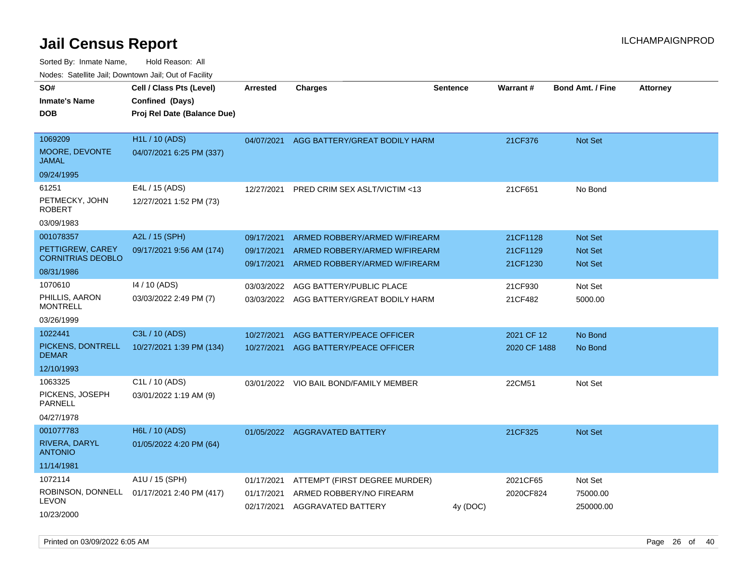| Todoo. Catomto cam, Bornitorini cam, Oat or I aonity                    |                                                                            |                                        |                                                                                                 |                 |                                  |                                                    |                 |
|-------------------------------------------------------------------------|----------------------------------------------------------------------------|----------------------------------------|-------------------------------------------------------------------------------------------------|-----------------|----------------------------------|----------------------------------------------------|-----------------|
| SO#<br>Inmate's Name<br><b>DOB</b>                                      | Cell / Class Pts (Level)<br>Confined (Days)<br>Proj Rel Date (Balance Due) | <b>Arrested</b>                        | Charges                                                                                         | <b>Sentence</b> | Warrant#                         | <b>Bond Amt. / Fine</b>                            | <b>Attorney</b> |
| 1069209<br><b>MOORE, DEVONTE</b><br>JAMAL                               | H1L / 10 (ADS)<br>04/07/2021 6:25 PM (337)                                 | 04/07/2021                             | AGG BATTERY/GREAT BODILY HARM                                                                   |                 | 21CF376                          | <b>Not Set</b>                                     |                 |
| 09/24/1995                                                              |                                                                            |                                        |                                                                                                 |                 |                                  |                                                    |                 |
| 61251<br>PETMECKY, JOHN<br><b>ROBERT</b>                                | E4L / 15 (ADS)<br>12/27/2021 1:52 PM (73)                                  | 12/27/2021                             | PRED CRIM SEX ASLT/VICTIM <13                                                                   |                 | 21CF651                          | No Bond                                            |                 |
| 03/09/1983                                                              |                                                                            |                                        |                                                                                                 |                 |                                  |                                                    |                 |
| 001078357<br>PETTIGREW, CAREY<br><b>CORNITRIAS DEOBLO</b><br>08/31/1986 | A2L / 15 (SPH)<br>09/17/2021 9:56 AM (174)                                 | 09/17/2021<br>09/17/2021<br>09/17/2021 | ARMED ROBBERY/ARMED W/FIREARM<br>ARMED ROBBERY/ARMED W/FIREARM<br>ARMED ROBBERY/ARMED W/FIREARM |                 | 21CF1128<br>21CF1129<br>21CF1230 | <b>Not Set</b><br><b>Not Set</b><br><b>Not Set</b> |                 |
| 1070610<br>PHILLIS, AARON<br>MONTRELL<br>03/26/1999                     | 14 / 10 (ADS)<br>03/03/2022 2:49 PM (7)                                    | 03/03/2022<br>03/03/2022               | AGG BATTERY/PUBLIC PLACE<br>AGG BATTERY/GREAT BODILY HARM                                       |                 | 21CF930<br>21CF482               | Not Set<br>5000.00                                 |                 |
| 1022441                                                                 | C3L / 10 (ADS)                                                             | 10/27/2021                             | AGG BATTERY/PEACE OFFICER                                                                       |                 | 2021 CF 12                       | No Bond                                            |                 |
| PICKENS, DONTRELL<br>DEMAR                                              | 10/27/2021 1:39 PM (134)                                                   | 10/27/2021                             | AGG BATTERY/PEACE OFFICER                                                                       |                 | 2020 CF 1488                     | No Bond                                            |                 |
| 12/10/1993                                                              |                                                                            |                                        |                                                                                                 |                 |                                  |                                                    |                 |
| 1063325<br>PICKENS, JOSEPH<br>PARNELL<br>04/27/1978                     | C1L / 10 (ADS)<br>03/01/2022 1:19 AM (9)                                   | 03/01/2022                             | VIO BAIL BOND/FAMILY MEMBER                                                                     |                 | 22CM51                           | Not Set                                            |                 |
| 001077783<br>RIVERA, DARYL<br><b>ANTONIO</b><br>11/14/1981              | H6L / 10 (ADS)<br>01/05/2022 4:20 PM (64)                                  | 01/05/2022                             | AGGRAVATED BATTERY                                                                              |                 | 21CF325                          | <b>Not Set</b>                                     |                 |
| 1072114<br>ROBINSON, DONNELL<br>LEVON<br>10/23/2000                     | A1U / 15 (SPH)<br>01/17/2021 2:40 PM (417)                                 | 01/17/2021<br>01/17/2021<br>02/17/2021 | ATTEMPT (FIRST DEGREE MURDER)<br>ARMED ROBBERY/NO FIREARM<br>AGGRAVATED BATTERY                 | 4y (DOC)        | 2021CF65<br>2020CF824            | Not Set<br>75000.00<br>250000.00                   |                 |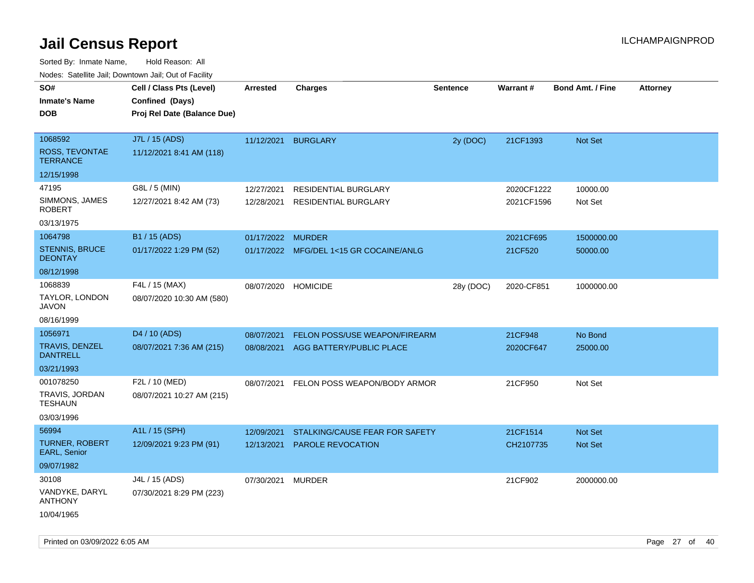| Cell / Class Pts (Level)<br>Confined (Days)<br>Proj Rel Date (Balance Due) | Arrested                 | <b>Charges</b>                                      | <b>Sentence</b>                                                                                                                       | <b>Warrant#</b>                                                                                 | <b>Bond Amt. / Fine</b> | <b>Attorney</b>                                                                    |
|----------------------------------------------------------------------------|--------------------------|-----------------------------------------------------|---------------------------------------------------------------------------------------------------------------------------------------|-------------------------------------------------------------------------------------------------|-------------------------|------------------------------------------------------------------------------------|
| J7L / 15 (ADS)<br>11/12/2021 8:41 AM (118)                                 |                          |                                                     | 2y (DOC)                                                                                                                              | 21CF1393                                                                                        | Not Set                 |                                                                                    |
|                                                                            |                          |                                                     |                                                                                                                                       |                                                                                                 |                         |                                                                                    |
| G8L / 5 (MIN)<br>12/27/2021 8:42 AM (73)                                   | 12/27/2021<br>12/28/2021 | RESIDENTIAL BURGLARY<br><b>RESIDENTIAL BURGLARY</b> |                                                                                                                                       |                                                                                                 | 10000.00<br>Not Set     |                                                                                    |
|                                                                            |                          |                                                     |                                                                                                                                       |                                                                                                 |                         |                                                                                    |
| 01/17/2022 1:29 PM (52)                                                    |                          |                                                     |                                                                                                                                       | 2021CF695<br>21CF520                                                                            | 1500000.00<br>50000.00  |                                                                                    |
|                                                                            |                          |                                                     |                                                                                                                                       |                                                                                                 |                         |                                                                                    |
| F4L / 15 (MAX)<br>08/07/2020 10:30 AM (580)                                | 08/07/2020               |                                                     | 28y (DOC)                                                                                                                             | 2020-CF851                                                                                      | 1000000.00              |                                                                                    |
|                                                                            |                          |                                                     |                                                                                                                                       |                                                                                                 |                         |                                                                                    |
| D <sub>4</sub> / 10 (ADS)                                                  | 08/07/2021               |                                                     |                                                                                                                                       | 21CF948                                                                                         | No Bond                 |                                                                                    |
| 08/07/2021 7:36 AM (215)                                                   | 08/08/2021               | AGG BATTERY/PUBLIC PLACE                            |                                                                                                                                       | 2020CF647                                                                                       | 25000.00                |                                                                                    |
|                                                                            |                          |                                                     |                                                                                                                                       |                                                                                                 |                         |                                                                                    |
| F2L / 10 (MED)<br>08/07/2021 10:27 AM (215)                                | 08/07/2021               |                                                     |                                                                                                                                       | 21CF950                                                                                         | Not Set                 |                                                                                    |
| A1L / 15 (SPH)                                                             | 12/09/2021               |                                                     |                                                                                                                                       | 21CF1514                                                                                        | <b>Not Set</b>          |                                                                                    |
| 12/09/2021 9:23 PM (91)                                                    | 12/13/2021               |                                                     |                                                                                                                                       | CH2107735                                                                                       | <b>Not Set</b>          |                                                                                    |
|                                                                            |                          |                                                     |                                                                                                                                       |                                                                                                 |                         |                                                                                    |
| J4L / 15 (ADS)<br>07/30/2021 8:29 PM (223)                                 | 07/30/2021               | <b>MURDER</b>                                       |                                                                                                                                       | 21CF902                                                                                         | 2000000.00              |                                                                                    |
|                                                                            | B1 / 15 (ADS)            |                                                     | 11/12/2021<br><b>BURGLARY</b><br>01/17/2022 MURDER<br>01/17/2022 MFG/DEL 1<15 GR COCAINE/ANLG<br><b>HOMICIDE</b><br>PAROLE REVOCATION | FELON POSS/USE WEAPON/FIREARM<br>FELON POSS WEAPON/BODY ARMOR<br>STALKING/CAUSE FEAR FOR SAFETY |                         | ivouss. Satellite Jali, Downtown Jali, Out of Facility<br>2020CF1222<br>2021CF1596 |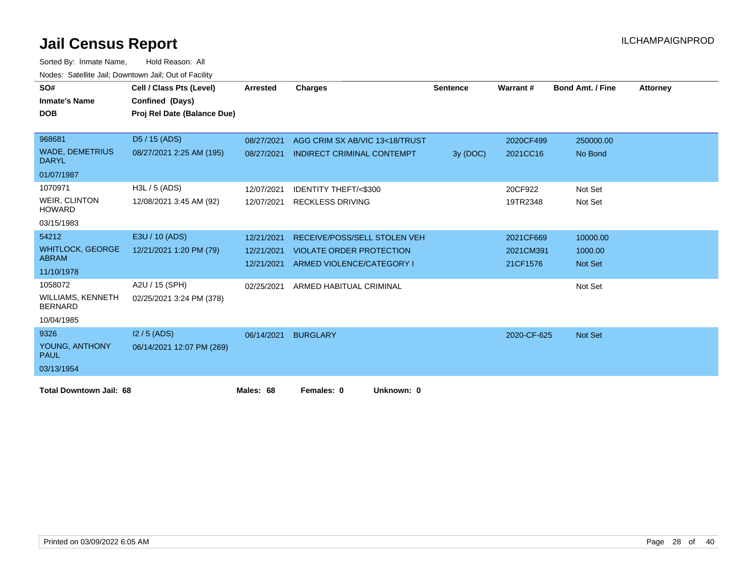| SO#<br><b>Inmate's Name</b>            | Cell / Class Pts (Level)<br>Confined (Days) | <b>Arrested</b> | <b>Charges</b>                    | <b>Sentence</b> | Warrant#    | <b>Bond Amt. / Fine</b> | <b>Attorney</b> |
|----------------------------------------|---------------------------------------------|-----------------|-----------------------------------|-----------------|-------------|-------------------------|-----------------|
| <b>DOB</b>                             | Proj Rel Date (Balance Due)                 |                 |                                   |                 |             |                         |                 |
|                                        |                                             |                 |                                   |                 |             |                         |                 |
| 968681                                 | D5 / 15 (ADS)                               | 08/27/2021      | AGG CRIM SX AB/VIC 13<18/TRUST    |                 | 2020CF499   | 250000.00               |                 |
| <b>WADE, DEMETRIUS</b><br><b>DARYL</b> | 08/27/2021 2:25 AM (195)                    | 08/27/2021      | <b>INDIRECT CRIMINAL CONTEMPT</b> | 3y (DOC)        | 2021CC16    | No Bond                 |                 |
| 01/07/1987                             |                                             |                 |                                   |                 |             |                         |                 |
| 1070971                                | $H3L / 5$ (ADS)                             | 12/07/2021      | <b>IDENTITY THEFT/&lt;\$300</b>   |                 | 20CF922     | Not Set                 |                 |
| <b>WEIR, CLINTON</b><br><b>HOWARD</b>  | 12/08/2021 3:45 AM (92)                     | 12/07/2021      | <b>RECKLESS DRIVING</b>           |                 | 19TR2348    | Not Set                 |                 |
| 03/15/1983                             |                                             |                 |                                   |                 |             |                         |                 |
| 54212                                  | E3U / 10 (ADS)                              | 12/21/2021      | RECEIVE/POSS/SELL STOLEN VEH      |                 | 2021CF669   | 10000.00                |                 |
| <b>WHITLOCK, GEORGE</b>                | 12/21/2021 1:20 PM (79)                     | 12/21/2021      | <b>VIOLATE ORDER PROTECTION</b>   |                 | 2021CM391   | 1000.00                 |                 |
| <b>ABRAM</b>                           |                                             | 12/21/2021      | ARMED VIOLENCE/CATEGORY I         |                 | 21CF1576    | <b>Not Set</b>          |                 |
| 11/10/1978                             |                                             |                 |                                   |                 |             |                         |                 |
| 1058072                                | A2U / 15 (SPH)                              | 02/25/2021      | ARMED HABITUAL CRIMINAL           |                 |             | Not Set                 |                 |
| WILLIAMS, KENNETH<br><b>BERNARD</b>    | 02/25/2021 3:24 PM (378)                    |                 |                                   |                 |             |                         |                 |
| 10/04/1985                             |                                             |                 |                                   |                 |             |                         |                 |
| 9326                                   | $12/5$ (ADS)                                | 06/14/2021      | <b>BURGLARY</b>                   |                 | 2020-CF-625 | <b>Not Set</b>          |                 |
| YOUNG, ANTHONY<br><b>PAUL</b>          | 06/14/2021 12:07 PM (269)                   |                 |                                   |                 |             |                         |                 |
| 03/13/1954                             |                                             |                 |                                   |                 |             |                         |                 |
| <b>Total Downtown Jail: 68</b>         |                                             | Males: 68       | Females: 0<br>Unknown: 0          |                 |             |                         |                 |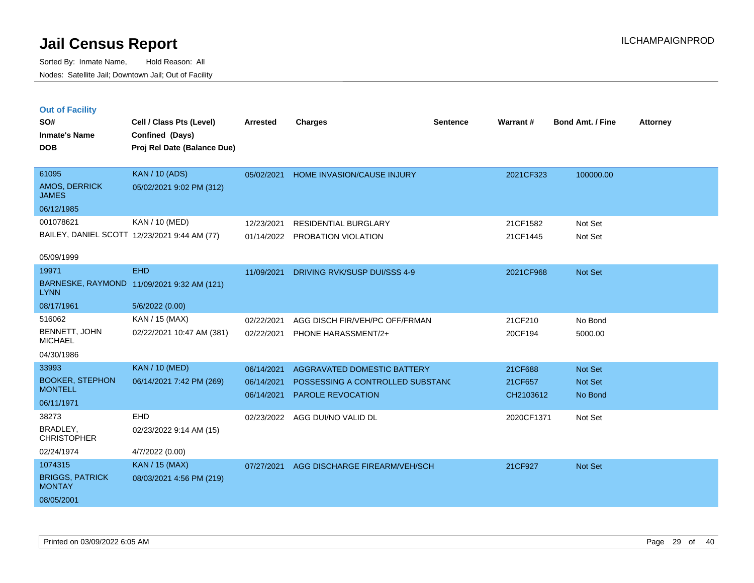| <b>Out of Facility</b> |  |  |  |
|------------------------|--|--|--|
|------------------------|--|--|--|

| SO#<br><b>Inmate's Name</b>              | Cell / Class Pts (Level)<br>Confined (Days)  | <b>Arrested</b> | <b>Charges</b>                   | <b>Sentence</b> | Warrant#   | <b>Bond Amt. / Fine</b> | <b>Attorney</b> |
|------------------------------------------|----------------------------------------------|-----------------|----------------------------------|-----------------|------------|-------------------------|-----------------|
| <b>DOB</b>                               | Proj Rel Date (Balance Due)                  |                 |                                  |                 |            |                         |                 |
|                                          |                                              |                 |                                  |                 |            |                         |                 |
| 61095                                    | <b>KAN / 10 (ADS)</b>                        | 05/02/2021      | HOME INVASION/CAUSE INJURY       |                 | 2021CF323  | 100000.00               |                 |
| AMOS, DERRICK<br><b>JAMES</b>            | 05/02/2021 9:02 PM (312)                     |                 |                                  |                 |            |                         |                 |
| 06/12/1985                               |                                              |                 |                                  |                 |            |                         |                 |
| 001078621                                | KAN / 10 (MED)                               | 12/23/2021      | <b>RESIDENTIAL BURGLARY</b>      |                 | 21CF1582   | Not Set                 |                 |
|                                          | BAILEY, DANIEL SCOTT 12/23/2021 9:44 AM (77) |                 | 01/14/2022 PROBATION VIOLATION   |                 | 21CF1445   | Not Set                 |                 |
| 05/09/1999                               |                                              |                 |                                  |                 |            |                         |                 |
| 19971                                    | <b>EHD</b>                                   | 11/09/2021      | DRIVING RVK/SUSP DUI/SSS 4-9     |                 | 2021CF968  | Not Set                 |                 |
| <b>LYNN</b>                              | BARNESKE, RAYMOND 11/09/2021 9:32 AM (121)   |                 |                                  |                 |            |                         |                 |
| 08/17/1961                               | 5/6/2022 (0.00)                              |                 |                                  |                 |            |                         |                 |
| 516062                                   | KAN / 15 (MAX)                               | 02/22/2021      | AGG DISCH FIR/VEH/PC OFF/FRMAN   |                 | 21CF210    | No Bond                 |                 |
| <b>BENNETT, JOHN</b><br><b>MICHAEL</b>   | 02/22/2021 10:47 AM (381)                    | 02/22/2021      | PHONE HARASSMENT/2+              |                 | 20CF194    | 5000.00                 |                 |
| 04/30/1986                               |                                              |                 |                                  |                 |            |                         |                 |
| 33993                                    | <b>KAN / 10 (MED)</b>                        | 06/14/2021      | AGGRAVATED DOMESTIC BATTERY      |                 | 21CF688    | Not Set                 |                 |
| <b>BOOKER, STEPHON</b><br><b>MONTELL</b> | 06/14/2021 7:42 PM (269)                     | 06/14/2021      | POSSESSING A CONTROLLED SUBSTANC |                 | 21CF657    | Not Set                 |                 |
| 06/11/1971                               |                                              | 06/14/2021      | PAROLE REVOCATION                |                 | CH2103612  | No Bond                 |                 |
| 38273                                    | <b>EHD</b>                                   | 02/23/2022      | AGG DUI/NO VALID DL              |                 | 2020CF1371 | Not Set                 |                 |
| BRADLEY,<br><b>CHRISTOPHER</b>           | 02/23/2022 9:14 AM (15)                      |                 |                                  |                 |            |                         |                 |
| 02/24/1974                               | 4/7/2022 (0.00)                              |                 |                                  |                 |            |                         |                 |
| 1074315                                  | <b>KAN / 15 (MAX)</b>                        | 07/27/2021      | AGG DISCHARGE FIREARM/VEH/SCH    |                 | 21CF927    | Not Set                 |                 |
| <b>BRIGGS, PATRICK</b><br><b>MONTAY</b>  | 08/03/2021 4:56 PM (219)                     |                 |                                  |                 |            |                         |                 |
| 08/05/2001                               |                                              |                 |                                  |                 |            |                         |                 |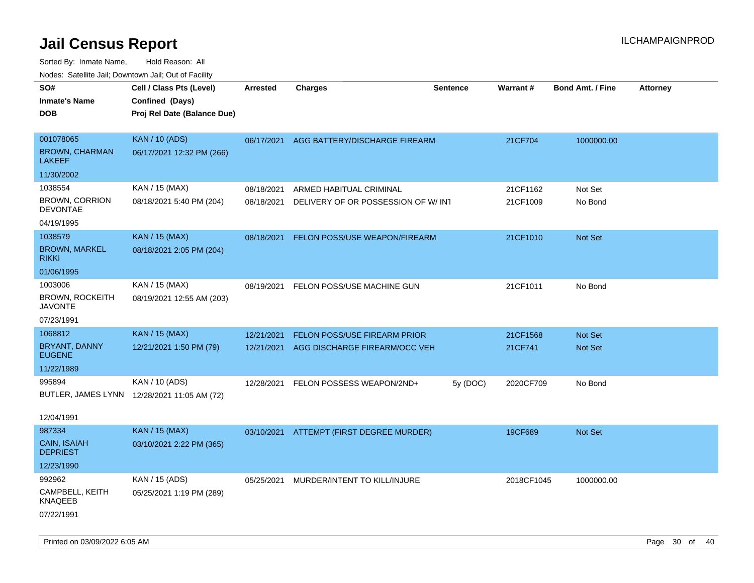| ivouss. Satellite Jali, Downtown Jali, Out of Facility |                                             |                 |                                          |                 |                 |                         |                 |
|--------------------------------------------------------|---------------------------------------------|-----------------|------------------------------------------|-----------------|-----------------|-------------------------|-----------------|
| SO#                                                    | Cell / Class Pts (Level)                    | <b>Arrested</b> | <b>Charges</b>                           | <b>Sentence</b> | <b>Warrant#</b> | <b>Bond Amt. / Fine</b> | <b>Attorney</b> |
| <b>Inmate's Name</b>                                   | Confined (Days)                             |                 |                                          |                 |                 |                         |                 |
| <b>DOB</b>                                             | Proj Rel Date (Balance Due)                 |                 |                                          |                 |                 |                         |                 |
|                                                        |                                             |                 |                                          |                 |                 |                         |                 |
| 001078065                                              | <b>KAN / 10 (ADS)</b>                       |                 | 06/17/2021 AGG BATTERY/DISCHARGE FIREARM |                 | 21CF704         | 1000000.00              |                 |
| <b>BROWN, CHARMAN</b><br>LAKEEF                        | 06/17/2021 12:32 PM (266)                   |                 |                                          |                 |                 |                         |                 |
| 11/30/2002                                             |                                             |                 |                                          |                 |                 |                         |                 |
| 1038554                                                | KAN / 15 (MAX)                              | 08/18/2021      | ARMED HABITUAL CRIMINAL                  |                 | 21CF1162        | Not Set                 |                 |
| <b>BROWN, CORRION</b><br><b>DEVONTAE</b>               | 08/18/2021 5:40 PM (204)                    | 08/18/2021      | DELIVERY OF OR POSSESSION OF W/INT       |                 | 21CF1009        | No Bond                 |                 |
| 04/19/1995                                             |                                             |                 |                                          |                 |                 |                         |                 |
| 1038579                                                | <b>KAN / 15 (MAX)</b>                       | 08/18/2021      | FELON POSS/USE WEAPON/FIREARM            |                 | 21CF1010        | <b>Not Set</b>          |                 |
| <b>BROWN, MARKEL</b><br>rikki                          | 08/18/2021 2:05 PM (204)                    |                 |                                          |                 |                 |                         |                 |
| 01/06/1995                                             |                                             |                 |                                          |                 |                 |                         |                 |
| 1003006                                                | KAN / 15 (MAX)                              | 08/19/2021      | FELON POSS/USE MACHINE GUN               |                 | 21CF1011        | No Bond                 |                 |
| BROWN, ROCKEITH<br>JAVONTE                             | 08/19/2021 12:55 AM (203)                   |                 |                                          |                 |                 |                         |                 |
| 07/23/1991                                             |                                             |                 |                                          |                 |                 |                         |                 |
| 1068812                                                | <b>KAN / 15 (MAX)</b>                       | 12/21/2021      | FELON POSS/USE FIREARM PRIOR             |                 | 21CF1568        | <b>Not Set</b>          |                 |
| BRYANT, DANNY<br><b>EUGENE</b>                         | 12/21/2021 1:50 PM (79)                     | 12/21/2021      | AGG DISCHARGE FIREARM/OCC VEH            |                 | 21CF741         | <b>Not Set</b>          |                 |
| 11/22/1989                                             |                                             |                 |                                          |                 |                 |                         |                 |
| 995894                                                 | KAN / 10 (ADS)                              | 12/28/2021      | FELON POSSESS WEAPON/2ND+                | 5y (DOC)        | 2020CF709       | No Bond                 |                 |
|                                                        | BUTLER, JAMES LYNN 12/28/2021 11:05 AM (72) |                 |                                          |                 |                 |                         |                 |
|                                                        |                                             |                 |                                          |                 |                 |                         |                 |
| 12/04/1991                                             |                                             |                 |                                          |                 |                 |                         |                 |
| 987334                                                 | <b>KAN / 15 (MAX)</b>                       |                 | 03/10/2021 ATTEMPT (FIRST DEGREE MURDER) |                 | 19CF689         | Not Set                 |                 |
| CAIN, ISAIAH<br><b>DEPRIEST</b>                        | 03/10/2021 2:22 PM (365)                    |                 |                                          |                 |                 |                         |                 |
| 12/23/1990                                             |                                             |                 |                                          |                 |                 |                         |                 |
| 992962                                                 | KAN / 15 (ADS)                              | 05/25/2021      | MURDER/INTENT TO KILL/INJURE             |                 | 2018CF1045      | 1000000.00              |                 |
| CAMPBELL, KEITH<br>KNAQEEB                             | 05/25/2021 1:19 PM (289)                    |                 |                                          |                 |                 |                         |                 |
| 07/22/1991                                             |                                             |                 |                                          |                 |                 |                         |                 |
|                                                        |                                             |                 |                                          |                 |                 |                         |                 |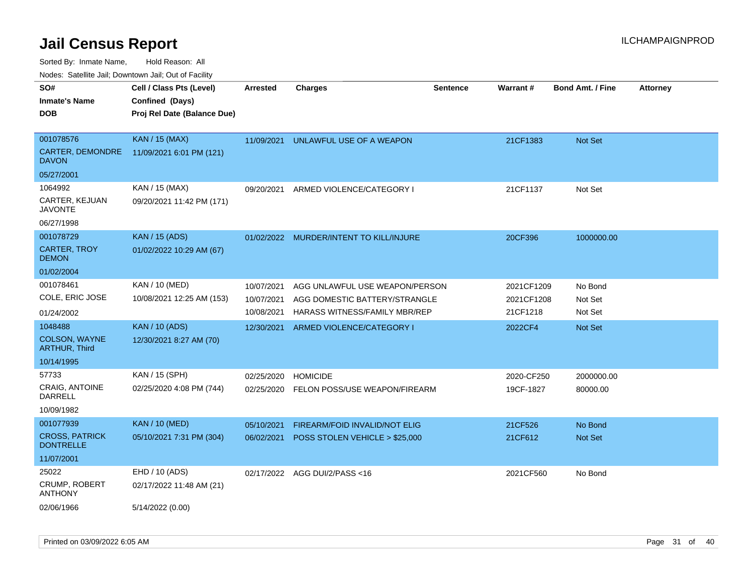Sorted By: Inmate Name, Hold Reason: All

Nodes: Satellite Jail; Downtown Jail; Out of Facility

| SO#                                       | Cell / Class Pts (Level)    | <b>Arrested</b> | <b>Charges</b>                       | <b>Sentence</b> | Warrant#   | <b>Bond Amt. / Fine</b> | <b>Attorney</b> |
|-------------------------------------------|-----------------------------|-----------------|--------------------------------------|-----------------|------------|-------------------------|-----------------|
| <b>Inmate's Name</b>                      | Confined (Days)             |                 |                                      |                 |            |                         |                 |
| <b>DOB</b>                                | Proj Rel Date (Balance Due) |                 |                                      |                 |            |                         |                 |
|                                           |                             |                 |                                      |                 |            |                         |                 |
| 001078576                                 | <b>KAN / 15 (MAX)</b>       | 11/09/2021      | UNLAWFUL USE OF A WEAPON             |                 | 21CF1383   | <b>Not Set</b>          |                 |
| CARTER, DEMONDRE<br><b>DAVON</b>          | 11/09/2021 6:01 PM (121)    |                 |                                      |                 |            |                         |                 |
| 05/27/2001                                |                             |                 |                                      |                 |            |                         |                 |
| 1064992                                   | KAN / 15 (MAX)              | 09/20/2021      | ARMED VIOLENCE/CATEGORY I            |                 | 21CF1137   | Not Set                 |                 |
| CARTER, KEJUAN<br><b>JAVONTE</b>          | 09/20/2021 11:42 PM (171)   |                 |                                      |                 |            |                         |                 |
| 06/27/1998                                |                             |                 |                                      |                 |            |                         |                 |
| 001078729                                 | <b>KAN</b> / 15 (ADS)       | 01/02/2022      | MURDER/INTENT TO KILL/INJURE         |                 | 20CF396    | 1000000.00              |                 |
| <b>CARTER, TROY</b><br><b>DEMON</b>       | 01/02/2022 10:29 AM (67)    |                 |                                      |                 |            |                         |                 |
| 01/02/2004                                |                             |                 |                                      |                 |            |                         |                 |
| 001078461                                 | KAN / 10 (MED)              | 10/07/2021      | AGG UNLAWFUL USE WEAPON/PERSON       |                 | 2021CF1209 | No Bond                 |                 |
| COLE, ERIC JOSE                           | 10/08/2021 12:25 AM (153)   | 10/07/2021      | AGG DOMESTIC BATTERY/STRANGLE        |                 | 2021CF1208 | Not Set                 |                 |
| 01/24/2002                                |                             | 10/08/2021      | HARASS WITNESS/FAMILY MBR/REP        |                 | 21CF1218   | Not Set                 |                 |
| 1048488                                   | <b>KAN / 10 (ADS)</b>       | 12/30/2021      | ARMED VIOLENCE/CATEGORY I            |                 | 2022CF4    | Not Set                 |                 |
| COLSON, WAYNE<br><b>ARTHUR, Third</b>     | 12/30/2021 8:27 AM (70)     |                 |                                      |                 |            |                         |                 |
| 10/14/1995                                |                             |                 |                                      |                 |            |                         |                 |
| 57733                                     | KAN / 15 (SPH)              | 02/25/2020      | <b>HOMICIDE</b>                      |                 | 2020-CF250 | 2000000.00              |                 |
| <b>CRAIG, ANTOINE</b><br>DARRELL          | 02/25/2020 4:08 PM (744)    | 02/25/2020      | FELON POSS/USE WEAPON/FIREARM        |                 | 19CF-1827  | 80000.00                |                 |
| 10/09/1982                                |                             |                 |                                      |                 |            |                         |                 |
| 001077939                                 | <b>KAN / 10 (MED)</b>       | 05/10/2021      | <b>FIREARM/FOID INVALID/NOT ELIG</b> |                 | 21CF526    | No Bond                 |                 |
| <b>CROSS, PATRICK</b><br><b>DONTRELLE</b> | 05/10/2021 7:31 PM (304)    | 06/02/2021      | POSS STOLEN VEHICLE > \$25,000       |                 | 21CF612    | <b>Not Set</b>          |                 |
| 11/07/2001                                |                             |                 |                                      |                 |            |                         |                 |
| 25022                                     | EHD / 10 (ADS)              |                 | 02/17/2022 AGG DUI/2/PASS<16         |                 | 2021CF560  | No Bond                 |                 |
| <b>CRUMP, ROBERT</b><br><b>ANTHONY</b>    | 02/17/2022 11:48 AM (21)    |                 |                                      |                 |            |                         |                 |
| 02/06/1966                                | 5/14/2022 (0.00)            |                 |                                      |                 |            |                         |                 |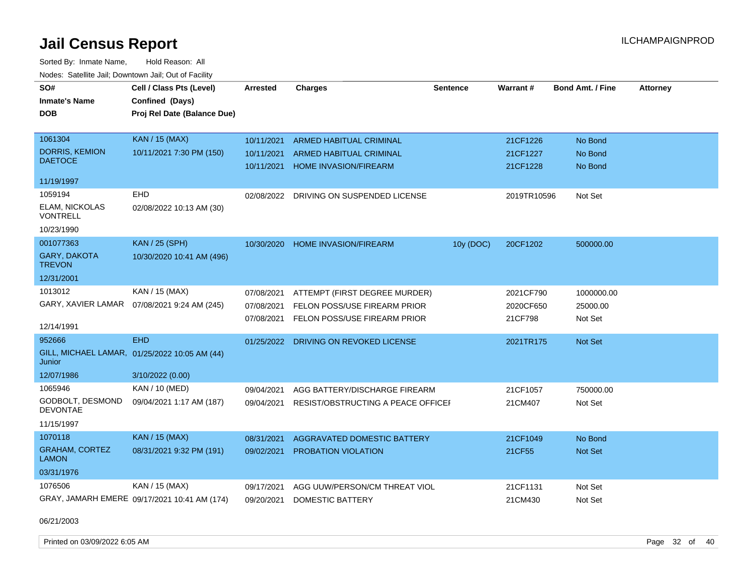Sorted By: Inmate Name, Hold Reason: All Nodes: Satellite Jail; Downtown Jail; Out of Facility

| SO#<br><b>Inmate's Name</b><br><b>DOB</b>    | Cell / Class Pts (Level)<br>Confined (Days)<br>Proj Rel Date (Balance Due) | Arrested   | <b>Charges</b>                     | <b>Sentence</b> | <b>Warrant#</b> | <b>Bond Amt. / Fine</b> | <b>Attorney</b> |
|----------------------------------------------|----------------------------------------------------------------------------|------------|------------------------------------|-----------------|-----------------|-------------------------|-----------------|
| 1061304                                      | <b>KAN / 15 (MAX)</b>                                                      | 10/11/2021 | ARMED HABITUAL CRIMINAL            |                 | 21CF1226        | No Bond                 |                 |
| <b>DORRIS, KEMION</b><br><b>DAETOCE</b>      | 10/11/2021 7:30 PM (150)                                                   | 10/11/2021 | ARMED HABITUAL CRIMINAL            |                 | 21CF1227        | No Bond                 |                 |
|                                              |                                                                            | 10/11/2021 | <b>HOME INVASION/FIREARM</b>       |                 | 21CF1228        | No Bond                 |                 |
| 11/19/1997                                   |                                                                            |            |                                    |                 |                 |                         |                 |
| 1059194<br>ELAM, NICKOLAS<br><b>VONTRELL</b> | EHD<br>02/08/2022 10:13 AM (30)                                            | 02/08/2022 | DRIVING ON SUSPENDED LICENSE       |                 | 2019TR10596     | Not Set                 |                 |
| 10/23/1990                                   |                                                                            |            |                                    |                 |                 |                         |                 |
| 001077363                                    | <b>KAN / 25 (SPH)</b>                                                      | 10/30/2020 | <b>HOME INVASION/FIREARM</b>       | 10y (DOC)       | 20CF1202        | 500000.00               |                 |
| <b>GARY, DAKOTA</b><br><b>TREVON</b>         | 10/30/2020 10:41 AM (496)                                                  |            |                                    |                 |                 |                         |                 |
| 12/31/2001                                   |                                                                            |            |                                    |                 |                 |                         |                 |
| 1013012                                      | KAN / 15 (MAX)                                                             | 07/08/2021 | ATTEMPT (FIRST DEGREE MURDER)      |                 | 2021CF790       | 1000000.00              |                 |
| GARY, XAVIER LAMAR                           | 07/08/2021 9:24 AM (245)                                                   | 07/08/2021 | FELON POSS/USE FIREARM PRIOR       |                 | 2020CF650       | 25000.00                |                 |
| 12/14/1991                                   |                                                                            | 07/08/2021 | FELON POSS/USE FIREARM PRIOR       |                 | 21CF798         | Not Set                 |                 |
| 952666                                       | <b>EHD</b>                                                                 | 01/25/2022 | DRIVING ON REVOKED LICENSE         |                 | 2021TR175       | Not Set                 |                 |
| Junior                                       | GILL, MICHAEL LAMAR, 01/25/2022 10:05 AM (44)                              |            |                                    |                 |                 |                         |                 |
| 12/07/1986                                   | 3/10/2022 (0.00)                                                           |            |                                    |                 |                 |                         |                 |
| 1065946                                      | KAN / 10 (MED)                                                             | 09/04/2021 | AGG BATTERY/DISCHARGE FIREARM      |                 | 21CF1057        | 750000.00               |                 |
| GODBOLT, DESMOND<br><b>DEVONTAE</b>          | 09/04/2021 1:17 AM (187)                                                   | 09/04/2021 | RESIST/OBSTRUCTING A PEACE OFFICEF |                 | 21CM407         | Not Set                 |                 |
| 11/15/1997                                   |                                                                            |            |                                    |                 |                 |                         |                 |
| 1070118                                      | <b>KAN / 15 (MAX)</b>                                                      | 08/31/2021 | AGGRAVATED DOMESTIC BATTERY        |                 | 21CF1049        | No Bond                 |                 |
| <b>GRAHAM, CORTEZ</b><br><b>LAMON</b>        | 08/31/2021 9:32 PM (191)                                                   | 09/02/2021 | PROBATION VIOLATION                |                 | 21CF55          | <b>Not Set</b>          |                 |
| 03/31/1976                                   |                                                                            |            |                                    |                 |                 |                         |                 |
| 1076506                                      | KAN / 15 (MAX)                                                             | 09/17/2021 | AGG UUW/PERSON/CM THREAT VIOL      |                 | 21CF1131        | Not Set                 |                 |
|                                              | GRAY, JAMARH EMERE 09/17/2021 10:41 AM (174)                               | 09/20/2021 | DOMESTIC BATTERY                   |                 | 21CM430         | Not Set                 |                 |

06/21/2003

Printed on 03/09/2022 6:05 AM Page 32 of 40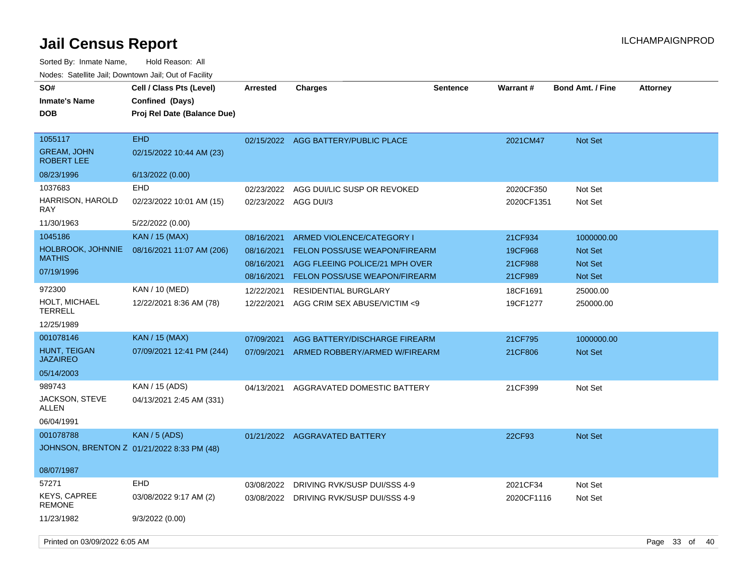| SO#<br><b>Inmate's Name</b><br><b>DOB</b>                         | Cell / Class Pts (Level)<br>Confined (Days)<br>Proj Rel Date (Balance Due) | <b>Arrested</b>                                      | <b>Charges</b>                                                                                                                | <b>Sentence</b> | <b>Warrant#</b>                          | <b>Bond Amt. / Fine</b>                                   | <b>Attorney</b>  |  |
|-------------------------------------------------------------------|----------------------------------------------------------------------------|------------------------------------------------------|-------------------------------------------------------------------------------------------------------------------------------|-----------------|------------------------------------------|-----------------------------------------------------------|------------------|--|
| 1055117<br><b>GREAM, JOHN</b><br><b>ROBERT LEE</b>                | <b>EHD</b><br>02/15/2022 10:44 AM (23)                                     |                                                      | 02/15/2022 AGG BATTERY/PUBLIC PLACE                                                                                           |                 | 2021CM47                                 | <b>Not Set</b>                                            |                  |  |
| 08/23/1996                                                        | 6/13/2022 (0.00)                                                           |                                                      |                                                                                                                               |                 |                                          |                                                           |                  |  |
| 1037683<br>HARRISON, HAROLD<br>RAY                                | <b>EHD</b><br>02/23/2022 10:01 AM (15)                                     | 02/23/2022<br>02/23/2022 AGG DUI/3                   | AGG DUI/LIC SUSP OR REVOKED                                                                                                   |                 | 2020CF350<br>2020CF1351                  | Not Set<br>Not Set                                        |                  |  |
| 11/30/1963                                                        | 5/22/2022 (0.00)                                                           |                                                      |                                                                                                                               |                 |                                          |                                                           |                  |  |
| 1045186<br>HOLBROOK, JOHNNIE<br><b>MATHIS</b><br>07/19/1996       | <b>KAN / 15 (MAX)</b><br>08/16/2021 11:07 AM (206)                         | 08/16/2021<br>08/16/2021<br>08/16/2021<br>08/16/2021 | ARMED VIOLENCE/CATEGORY I<br>FELON POSS/USE WEAPON/FIREARM<br>AGG FLEEING POLICE/21 MPH OVER<br>FELON POSS/USE WEAPON/FIREARM |                 | 21CF934<br>19CF968<br>21CF988<br>21CF989 | 1000000.00<br><b>Not Set</b><br><b>Not Set</b><br>Not Set |                  |  |
| 972300<br>HOLT, MICHAEL<br><b>TERRELL</b><br>12/25/1989           | KAN / 10 (MED)<br>12/22/2021 8:36 AM (78)                                  | 12/22/2021<br>12/22/2021                             | <b>RESIDENTIAL BURGLARY</b><br>AGG CRIM SEX ABUSE/VICTIM <9                                                                   |                 | 18CF1691<br>19CF1277                     | 25000.00<br>250000.00                                     |                  |  |
| 001078146<br><b>HUNT, TEIGAN</b><br><b>JAZAIREO</b><br>05/14/2003 | <b>KAN / 15 (MAX)</b><br>07/09/2021 12:41 PM (244)                         | 07/09/2021<br>07/09/2021                             | AGG BATTERY/DISCHARGE FIREARM<br>ARMED ROBBERY/ARMED W/FIREARM                                                                |                 | 21CF795<br>21CF806                       | 1000000.00<br><b>Not Set</b>                              |                  |  |
| 989743<br>JACKSON, STEVE<br>ALLEN<br>06/04/1991                   | KAN / 15 (ADS)<br>04/13/2021 2:45 AM (331)                                 | 04/13/2021                                           | AGGRAVATED DOMESTIC BATTERY                                                                                                   |                 | 21CF399                                  | Not Set                                                   |                  |  |
| 001078788<br>08/07/1987                                           | <b>KAN / 5 (ADS)</b><br>JOHNSON, BRENTON Z 01/21/2022 8:33 PM (48)         |                                                      | 01/21/2022 AGGRAVATED BATTERY                                                                                                 |                 | 22CF93                                   | Not Set                                                   |                  |  |
| 57271                                                             | <b>EHD</b>                                                                 | 03/08/2022                                           | DRIVING RVK/SUSP DUI/SSS 4-9                                                                                                  |                 | 2021CF34                                 | Not Set                                                   |                  |  |
| <b>KEYS, CAPREE</b><br><b>REMONE</b>                              | 03/08/2022 9:17 AM (2)                                                     |                                                      | 03/08/2022 DRIVING RVK/SUSP DUI/SSS 4-9                                                                                       |                 | 2020CF1116                               | Not Set                                                   |                  |  |
| 11/23/1982                                                        | 9/3/2022 (0.00)                                                            |                                                      |                                                                                                                               |                 |                                          |                                                           |                  |  |
| Printed on 03/09/2022 6:05 AM                                     |                                                                            |                                                      |                                                                                                                               |                 |                                          |                                                           | Page 33 of<br>40 |  |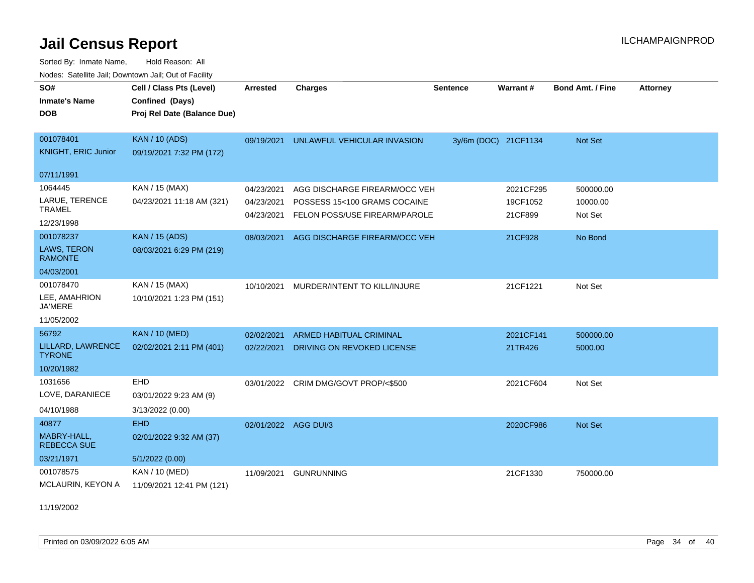Sorted By: Inmate Name, Hold Reason: All Nodes: Satellite Jail; Downtown Jail; Out of Facility

| SO#<br><b>Inmate's Name</b><br><b>DOB</b>                  | Cell / Class Pts (Level)<br>Confined (Days)<br>Proj Rel Date (Balance Due) | <b>Arrested</b>                        | <b>Charges</b>                                                                                 | <b>Sentence</b>      | Warrant#                         | <b>Bond Amt. / Fine</b>          | <b>Attorney</b> |
|------------------------------------------------------------|----------------------------------------------------------------------------|----------------------------------------|------------------------------------------------------------------------------------------------|----------------------|----------------------------------|----------------------------------|-----------------|
| 001078401<br><b>KNIGHT, ERIC Junior</b>                    | <b>KAN / 10 (ADS)</b><br>09/19/2021 7:32 PM (172)                          | 09/19/2021                             | UNLAWFUL VEHICULAR INVASION                                                                    | 3y/6m (DOC) 21CF1134 |                                  | Not Set                          |                 |
| 07/11/1991                                                 |                                                                            |                                        |                                                                                                |                      |                                  |                                  |                 |
| 1064445<br>LARUE, TERENCE<br><b>TRAMEL</b><br>12/23/1998   | KAN / 15 (MAX)<br>04/23/2021 11:18 AM (321)                                | 04/23/2021<br>04/23/2021<br>04/23/2021 | AGG DISCHARGE FIREARM/OCC VEH<br>POSSESS 15<100 GRAMS COCAINE<br>FELON POSS/USE FIREARM/PAROLE |                      | 2021CF295<br>19CF1052<br>21CF899 | 500000.00<br>10000.00<br>Not Set |                 |
| 001078237<br>LAWS, TERON<br><b>RAMONTE</b><br>04/03/2001   | <b>KAN / 15 (ADS)</b><br>08/03/2021 6:29 PM (219)                          | 08/03/2021                             | AGG DISCHARGE FIREARM/OCC VEH                                                                  |                      | 21CF928                          | No Bond                          |                 |
| 001078470<br>LEE, AMAHRION<br><b>JA'MERE</b><br>11/05/2002 | KAN / 15 (MAX)<br>10/10/2021 1:23 PM (151)                                 |                                        | 10/10/2021 MURDER/INTENT TO KILL/INJURE                                                        |                      | 21CF1221                         | Not Set                          |                 |
| 56792<br>LILLARD, LAWRENCE<br><b>TYRONE</b><br>10/20/1982  | <b>KAN / 10 (MED)</b><br>02/02/2021 2:11 PM (401)                          | 02/02/2021<br>02/22/2021               | <b>ARMED HABITUAL CRIMINAL</b><br>DRIVING ON REVOKED LICENSE                                   |                      | 2021CF141<br>21TR426             | 500000.00<br>5000.00             |                 |
| 1031656<br>LOVE, DARANIECE<br>04/10/1988                   | EHD<br>03/01/2022 9:23 AM (9)<br>3/13/2022 (0.00)                          |                                        | 03/01/2022 CRIM DMG/GOVT PROP/<\$500                                                           |                      | 2021CF604                        | Not Set                          |                 |
| 40877<br>MABRY-HALL,<br><b>REBECCA SUE</b><br>03/21/1971   | <b>EHD</b><br>02/01/2022 9:32 AM (37)<br>5/1/2022(0.00)                    | 02/01/2022 AGG DUI/3                   |                                                                                                |                      | 2020CF986                        | <b>Not Set</b>                   |                 |
| 001078575<br>MCLAURIN, KEYON A                             | KAN / 10 (MED)<br>11/09/2021 12:41 PM (121)                                | 11/09/2021                             | <b>GUNRUNNING</b>                                                                              |                      | 21CF1330                         | 750000.00                        |                 |

11/19/2002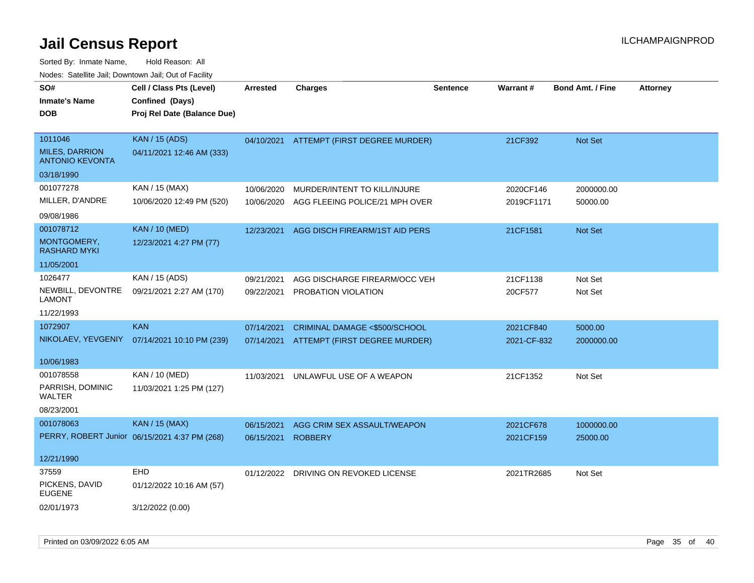| SO#<br><b>Inmate's Name</b><br><b>DOB</b>                  | Cell / Class Pts (Level)<br>Confined (Days)<br>Proj Rel Date (Balance Due) | <b>Arrested</b> | <b>Charges</b>                 | <b>Sentence</b> | <b>Warrant#</b> | <b>Bond Amt. / Fine</b> | <b>Attorney</b> |
|------------------------------------------------------------|----------------------------------------------------------------------------|-----------------|--------------------------------|-----------------|-----------------|-------------------------|-----------------|
| 1011046<br><b>MILES, DARRION</b><br><b>ANTONIO KEVONTA</b> | <b>KAN / 15 (ADS)</b><br>04/11/2021 12:46 AM (333)                         | 04/10/2021      | ATTEMPT (FIRST DEGREE MURDER)  |                 | 21CF392         | <b>Not Set</b>          |                 |
| 03/18/1990                                                 |                                                                            |                 |                                |                 |                 |                         |                 |
| 001077278                                                  | KAN / 15 (MAX)                                                             | 10/06/2020      | MURDER/INTENT TO KILL/INJURE   |                 | 2020CF146       | 2000000.00              |                 |
| MILLER, D'ANDRE<br>09/08/1986                              | 10/06/2020 12:49 PM (520)                                                  | 10/06/2020      | AGG FLEEING POLICE/21 MPH OVER |                 | 2019CF1171      | 50000.00                |                 |
| 001078712                                                  | <b>KAN / 10 (MED)</b>                                                      | 12/23/2021      | AGG DISCH FIREARM/1ST AID PERS |                 | 21CF1581        | <b>Not Set</b>          |                 |
| MONTGOMERY,<br>RASHARD MYKI                                | 12/23/2021 4:27 PM (77)                                                    |                 |                                |                 |                 |                         |                 |
| 11/05/2001                                                 |                                                                            |                 |                                |                 |                 |                         |                 |
| 1026477                                                    | KAN / 15 (ADS)                                                             | 09/21/2021      | AGG DISCHARGE FIREARM/OCC VEH  |                 | 21CF1138        | Not Set                 |                 |
| NEWBILL, DEVONTRE<br>LAMONT                                | 09/21/2021 2:27 AM (170)                                                   | 09/22/2021      | PROBATION VIOLATION            |                 | 20CF577         | Not Set                 |                 |
| 11/22/1993                                                 |                                                                            |                 |                                |                 |                 |                         |                 |
| 1072907                                                    | <b>KAN</b>                                                                 | 07/14/2021      | CRIMINAL DAMAGE <\$500/SCHOOL  |                 | 2021CF840       | 5000.00                 |                 |
| NIKOLAEV, YEVGENIY                                         | 07/14/2021 10:10 PM (239)                                                  | 07/14/2021      | ATTEMPT (FIRST DEGREE MURDER)  |                 | 2021-CF-832     | 2000000.00              |                 |
| 10/06/1983                                                 |                                                                            |                 |                                |                 |                 |                         |                 |
| 001078558                                                  | KAN / 10 (MED)                                                             | 11/03/2021      | UNLAWFUL USE OF A WEAPON       |                 | 21CF1352        | Not Set                 |                 |
| PARRISH, DOMINIC<br>WALTER                                 | 11/03/2021 1:25 PM (127)                                                   |                 |                                |                 |                 |                         |                 |
| 08/23/2001                                                 |                                                                            |                 |                                |                 |                 |                         |                 |
| 001078063                                                  | KAN / 15 (MAX)                                                             | 06/15/2021      | AGG CRIM SEX ASSAULT/WEAPON    |                 | 2021CF678       | 1000000.00              |                 |
|                                                            | PERRY, ROBERT Junior 06/15/2021 4:37 PM (268)                              | 06/15/2021      | <b>ROBBERY</b>                 |                 | 2021CF159       | 25000.00                |                 |
| 12/21/1990                                                 |                                                                            |                 |                                |                 |                 |                         |                 |
| 37559                                                      | <b>EHD</b>                                                                 | 01/12/2022      | DRIVING ON REVOKED LICENSE     |                 | 2021TR2685      | Not Set                 |                 |
| PICKENS, DAVID<br><b>EUGENE</b>                            | 01/12/2022 10:16 AM (57)                                                   |                 |                                |                 |                 |                         |                 |
| 02/01/1973                                                 | 3/12/2022 (0.00)                                                           |                 |                                |                 |                 |                         |                 |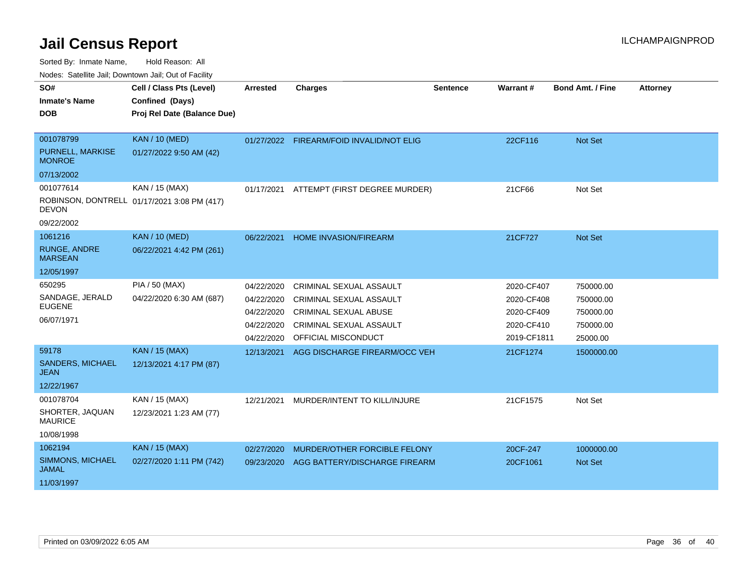Sorted By: Inmate Name, Hold Reason: All

Nodes: Satellite Jail; Downtown Jail; Out of Facility

| SO#                                    | Cell / Class Pts (Level)                    | <b>Arrested</b> | <b>Charges</b>                           | Sentence | Warrant#    | <b>Bond Amt. / Fine</b> | <b>Attorney</b> |
|----------------------------------------|---------------------------------------------|-----------------|------------------------------------------|----------|-------------|-------------------------|-----------------|
| <b>Inmate's Name</b>                   | Confined (Days)                             |                 |                                          |          |             |                         |                 |
| <b>DOB</b>                             | Proj Rel Date (Balance Due)                 |                 |                                          |          |             |                         |                 |
|                                        |                                             |                 |                                          |          |             |                         |                 |
| 001078799                              | <b>KAN / 10 (MED)</b>                       |                 | 01/27/2022 FIREARM/FOID INVALID/NOT ELIG |          | 22CF116     | Not Set                 |                 |
| PURNELL, MARKISE<br><b>MONROE</b>      | 01/27/2022 9:50 AM (42)                     |                 |                                          |          |             |                         |                 |
| 07/13/2002                             |                                             |                 |                                          |          |             |                         |                 |
| 001077614                              | KAN / 15 (MAX)                              | 01/17/2021      | ATTEMPT (FIRST DEGREE MURDER)            |          | 21CF66      | Not Set                 |                 |
| <b>DEVON</b>                           | ROBINSON, DONTRELL 01/17/2021 3:08 PM (417) |                 |                                          |          |             |                         |                 |
| 09/22/2002                             |                                             |                 |                                          |          |             |                         |                 |
| 1061216                                | <b>KAN / 10 (MED)</b>                       | 06/22/2021      | <b>HOME INVASION/FIREARM</b>             |          | 21CF727     | <b>Not Set</b>          |                 |
| <b>RUNGE, ANDRE</b><br><b>MARSEAN</b>  | 06/22/2021 4:42 PM (261)                    |                 |                                          |          |             |                         |                 |
| 12/05/1997                             |                                             |                 |                                          |          |             |                         |                 |
| 650295                                 | PIA / 50 (MAX)                              | 04/22/2020      | CRIMINAL SEXUAL ASSAULT                  |          | 2020-CF407  | 750000.00               |                 |
| SANDAGE, JERALD                        | 04/22/2020 6:30 AM (687)                    | 04/22/2020      | <b>CRIMINAL SEXUAL ASSAULT</b>           |          | 2020-CF408  | 750000.00               |                 |
| <b>EUGENE</b>                          |                                             | 04/22/2020      | <b>CRIMINAL SEXUAL ABUSE</b>             |          | 2020-CF409  | 750000.00               |                 |
| 06/07/1971                             |                                             | 04/22/2020      | <b>CRIMINAL SEXUAL ASSAULT</b>           |          | 2020-CF410  | 750000.00               |                 |
|                                        |                                             | 04/22/2020      | OFFICIAL MISCONDUCT                      |          | 2019-CF1811 | 25000.00                |                 |
| 59178                                  | <b>KAN / 15 (MAX)</b>                       | 12/13/2021      | AGG DISCHARGE FIREARM/OCC VEH            |          | 21CF1274    | 1500000.00              |                 |
| <b>SANDERS, MICHAEL</b><br><b>JEAN</b> | 12/13/2021 4:17 PM (87)                     |                 |                                          |          |             |                         |                 |
| 12/22/1967                             |                                             |                 |                                          |          |             |                         |                 |
| 001078704                              | KAN / 15 (MAX)                              | 12/21/2021      | MURDER/INTENT TO KILL/INJURE             |          | 21CF1575    | Not Set                 |                 |
| SHORTER, JAQUAN<br><b>MAURICE</b>      | 12/23/2021 1:23 AM (77)                     |                 |                                          |          |             |                         |                 |
| 10/08/1998                             |                                             |                 |                                          |          |             |                         |                 |
| 1062194                                | <b>KAN / 15 (MAX)</b>                       | 02/27/2020      | MURDER/OTHER FORCIBLE FELONY             |          | 20CF-247    | 1000000.00              |                 |
| SIMMONS, MICHAEL<br><b>JAMAL</b>       | 02/27/2020 1:11 PM (742)                    | 09/23/2020      | AGG BATTERY/DISCHARGE FIREARM            |          | 20CF1061    | <b>Not Set</b>          |                 |
| 11/03/1997                             |                                             |                 |                                          |          |             |                         |                 |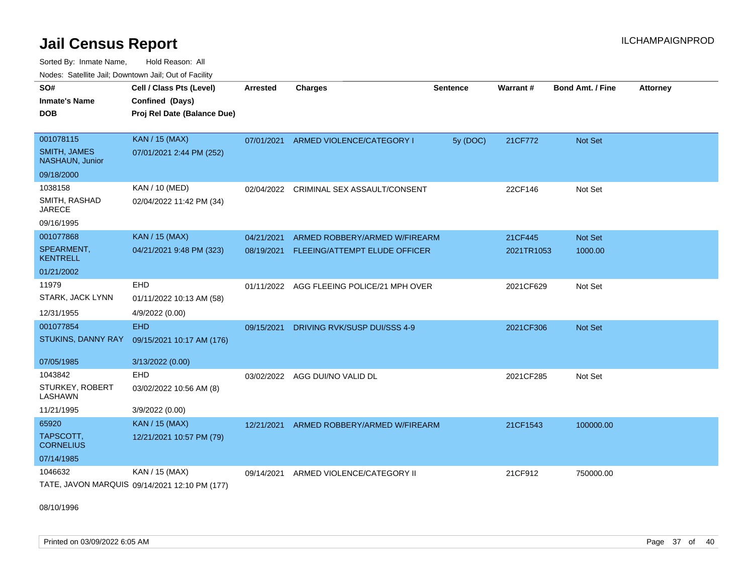Sorted By: Inmate Name, Hold Reason: All Nodes: Satellite Jail; Downtown Jail; Out of Facility

| roaco. Calcinio can, Downlown can, Out or Fability |                                               |            |                                           |                 |            |                         |                 |
|----------------------------------------------------|-----------------------------------------------|------------|-------------------------------------------|-----------------|------------|-------------------------|-----------------|
| SO#                                                | Cell / Class Pts (Level)                      | Arrested   | <b>Charges</b>                            | <b>Sentence</b> | Warrant#   | <b>Bond Amt. / Fine</b> | <b>Attorney</b> |
| <b>Inmate's Name</b>                               | Confined (Days)                               |            |                                           |                 |            |                         |                 |
| <b>DOB</b>                                         | Proj Rel Date (Balance Due)                   |            |                                           |                 |            |                         |                 |
|                                                    |                                               |            |                                           |                 |            |                         |                 |
| 001078115                                          | KAN / 15 (MAX)                                | 07/01/2021 | ARMED VIOLENCE/CATEGORY I                 | 5y (DOC)        | 21CF772    | <b>Not Set</b>          |                 |
| <b>SMITH, JAMES</b><br>NASHAUN, Junior             | 07/01/2021 2:44 PM (252)                      |            |                                           |                 |            |                         |                 |
| 09/18/2000                                         |                                               |            |                                           |                 |            |                         |                 |
| 1038158                                            | KAN / 10 (MED)                                |            | 02/04/2022 CRIMINAL SEX ASSAULT/CONSENT   |                 | 22CF146    | Not Set                 |                 |
| SMITH, RASHAD<br><b>JARECE</b>                     | 02/04/2022 11:42 PM (34)                      |            |                                           |                 |            |                         |                 |
| 09/16/1995                                         |                                               |            |                                           |                 |            |                         |                 |
| 001077868                                          | <b>KAN / 15 (MAX)</b>                         | 04/21/2021 | ARMED ROBBERY/ARMED W/FIREARM             |                 | 21CF445    | <b>Not Set</b>          |                 |
| SPEARMENT,<br><b>KENTRELL</b>                      | 04/21/2021 9:48 PM (323)                      | 08/19/2021 | FLEEING/ATTEMPT ELUDE OFFICER             |                 | 2021TR1053 | 1000.00                 |                 |
| 01/21/2002                                         |                                               |            |                                           |                 |            |                         |                 |
| 11979                                              | <b>EHD</b>                                    |            | 01/11/2022 AGG FLEEING POLICE/21 MPH OVER |                 | 2021CF629  | Not Set                 |                 |
| STARK, JACK LYNN                                   | 01/11/2022 10:13 AM (58)                      |            |                                           |                 |            |                         |                 |
| 12/31/1955                                         | 4/9/2022 (0.00)                               |            |                                           |                 |            |                         |                 |
| 001077854                                          | <b>EHD</b>                                    | 09/15/2021 | DRIVING RVK/SUSP DUI/SSS 4-9              |                 | 2021CF306  | <b>Not Set</b>          |                 |
| STUKINS, DANNY RAY                                 | 09/15/2021 10:17 AM (176)                     |            |                                           |                 |            |                         |                 |
| 07/05/1985                                         | 3/13/2022 (0.00)                              |            |                                           |                 |            |                         |                 |
| 1043842                                            | EHD                                           |            | 03/02/2022 AGG DUI/NO VALID DL            |                 | 2021CF285  | Not Set                 |                 |
| STURKEY, ROBERT<br>LASHAWN                         | 03/02/2022 10:56 AM (8)                       |            |                                           |                 |            |                         |                 |
| 11/21/1995                                         | 3/9/2022 (0.00)                               |            |                                           |                 |            |                         |                 |
| 65920                                              | <b>KAN / 15 (MAX)</b>                         | 12/21/2021 | ARMED ROBBERY/ARMED W/FIREARM             |                 | 21CF1543   | 100000.00               |                 |
| TAPSCOTT,<br><b>CORNELIUS</b>                      | 12/21/2021 10:57 PM (79)                      |            |                                           |                 |            |                         |                 |
| 07/14/1985                                         |                                               |            |                                           |                 |            |                         |                 |
| 1046632                                            | KAN / 15 (MAX)                                | 09/14/2021 | ARMED VIOLENCE/CATEGORY II                |                 | 21CF912    | 750000.00               |                 |
|                                                    | TATE, JAVON MARQUIS 09/14/2021 12:10 PM (177) |            |                                           |                 |            |                         |                 |

08/10/1996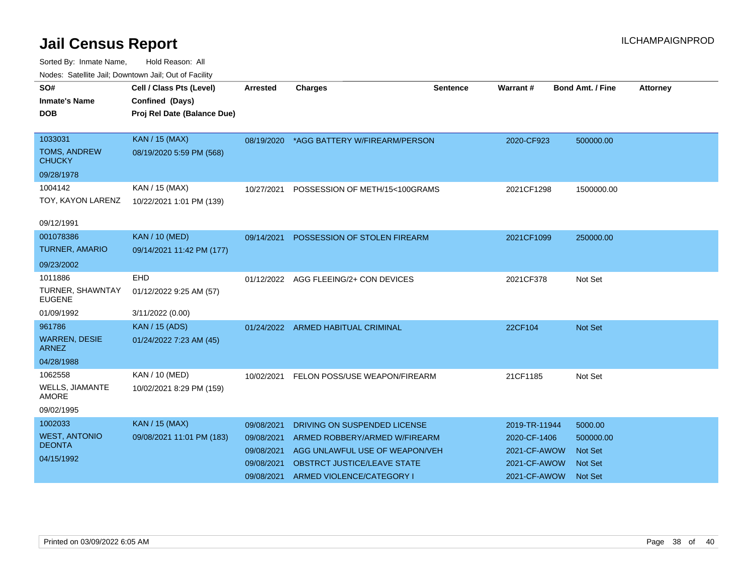| <u>Houce.</u> Catoling bail, Downtown bail, Out of Fability |                             |                 |                                          |                 |               |                         |                 |
|-------------------------------------------------------------|-----------------------------|-----------------|------------------------------------------|-----------------|---------------|-------------------------|-----------------|
| SO#                                                         | Cell / Class Pts (Level)    | <b>Arrested</b> | <b>Charges</b>                           | <b>Sentence</b> | Warrant#      | <b>Bond Amt. / Fine</b> | <b>Attorney</b> |
| <b>Inmate's Name</b>                                        | Confined (Days)             |                 |                                          |                 |               |                         |                 |
| DOB                                                         | Proj Rel Date (Balance Due) |                 |                                          |                 |               |                         |                 |
|                                                             |                             |                 |                                          |                 |               |                         |                 |
| 1033031                                                     | <b>KAN / 15 (MAX)</b>       |                 | 08/19/2020 *AGG BATTERY W/FIREARM/PERSON |                 | 2020-CF923    | 500000.00               |                 |
| <b>TOMS, ANDREW</b><br><b>CHUCKY</b>                        | 08/19/2020 5:59 PM (568)    |                 |                                          |                 |               |                         |                 |
| 09/28/1978                                                  |                             |                 |                                          |                 |               |                         |                 |
| 1004142                                                     | KAN / 15 (MAX)              | 10/27/2021      | POSSESSION OF METH/15<100GRAMS           |                 | 2021CF1298    | 1500000.00              |                 |
| TOY, KAYON LARENZ                                           | 10/22/2021 1:01 PM (139)    |                 |                                          |                 |               |                         |                 |
|                                                             |                             |                 |                                          |                 |               |                         |                 |
| 09/12/1991                                                  |                             |                 |                                          |                 |               |                         |                 |
| 001078386                                                   | <b>KAN / 10 (MED)</b>       | 09/14/2021      | POSSESSION OF STOLEN FIREARM             |                 | 2021CF1099    | 250000.00               |                 |
| <b>TURNER, AMARIO</b>                                       | 09/14/2021 11:42 PM (177)   |                 |                                          |                 |               |                         |                 |
| 09/23/2002                                                  |                             |                 |                                          |                 |               |                         |                 |
| 1011886                                                     | <b>EHD</b>                  |                 | 01/12/2022 AGG FLEEING/2+ CON DEVICES    |                 | 2021CF378     | Not Set                 |                 |
| TURNER, SHAWNTAY<br><b>EUGENE</b>                           | 01/12/2022 9:25 AM (57)     |                 |                                          |                 |               |                         |                 |
| 01/09/1992                                                  | 3/11/2022 (0.00)            |                 |                                          |                 |               |                         |                 |
| 961786                                                      | <b>KAN / 15 (ADS)</b>       | 01/24/2022      | ARMED HABITUAL CRIMINAL                  |                 | 22CF104       | <b>Not Set</b>          |                 |
| <b>WARREN, DESIE</b><br><b>ARNEZ</b>                        | 01/24/2022 7:23 AM (45)     |                 |                                          |                 |               |                         |                 |
| 04/28/1988                                                  |                             |                 |                                          |                 |               |                         |                 |
| 1062558                                                     | <b>KAN / 10 (MED)</b>       | 10/02/2021      | FELON POSS/USE WEAPON/FIREARM            |                 | 21CF1185      | Not Set                 |                 |
| WELLS, JIAMANTE<br><b>AMORE</b>                             | 10/02/2021 8:29 PM (159)    |                 |                                          |                 |               |                         |                 |
| 09/02/1995                                                  |                             |                 |                                          |                 |               |                         |                 |
| 1002033                                                     | <b>KAN / 15 (MAX)</b>       | 09/08/2021      | DRIVING ON SUSPENDED LICENSE             |                 | 2019-TR-11944 | 5000.00                 |                 |
| <b>WEST, ANTONIO</b>                                        | 09/08/2021 11:01 PM (183)   | 09/08/2021      | ARMED ROBBERY/ARMED W/FIREARM            |                 | 2020-CF-1406  | 500000.00               |                 |
| <b>DEONTA</b>                                               |                             | 09/08/2021      | AGG UNLAWFUL USE OF WEAPON/VEH           |                 | 2021-CF-AWOW  | <b>Not Set</b>          |                 |
| 04/15/1992                                                  |                             | 09/08/2021      | OBSTRCT JUSTICE/LEAVE STATE              |                 | 2021-CF-AWOW  | <b>Not Set</b>          |                 |
|                                                             |                             | 09/08/2021      | ARMED VIOLENCE/CATEGORY I                |                 | 2021-CF-AWOW  | <b>Not Set</b>          |                 |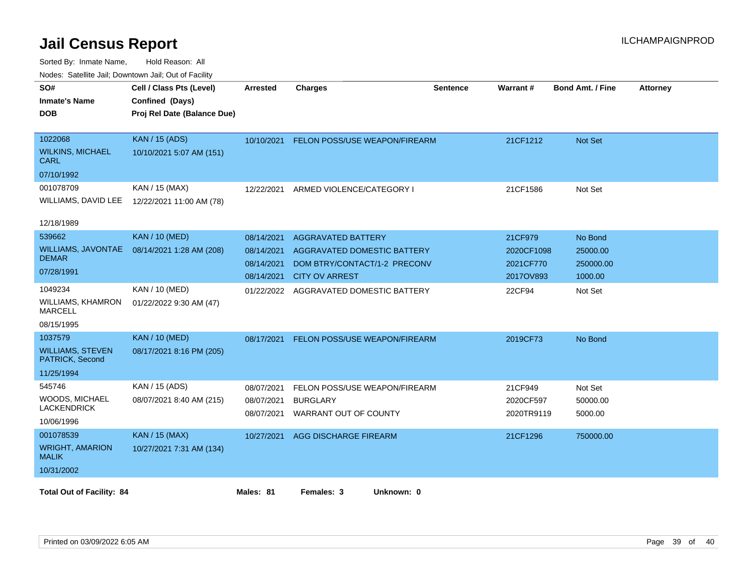| SO#<br><b>Inmate's Name</b><br><b>DOB</b>                           | Cell / Class Pts (Level)<br>Confined (Days)<br>Proj Rel Date (Balance Due) | <b>Arrested</b>                        | <b>Charges</b>                                                                           | <b>Sentence</b> | Warrant#                           | <b>Bond Amt. / Fine</b>          | <b>Attorney</b> |
|---------------------------------------------------------------------|----------------------------------------------------------------------------|----------------------------------------|------------------------------------------------------------------------------------------|-----------------|------------------------------------|----------------------------------|-----------------|
| 1022068<br><b>WILKINS, MICHAEL</b><br>CARL                          | <b>KAN / 15 (ADS)</b><br>10/10/2021 5:07 AM (151)                          |                                        | 10/10/2021 FELON POSS/USE WEAPON/FIREARM                                                 |                 | 21CF1212                           | <b>Not Set</b>                   |                 |
| 07/10/1992<br>001078709<br>WILLIAMS, DAVID LEE<br>12/18/1989        | KAN / 15 (MAX)<br>12/22/2021 11:00 AM (78)                                 | 12/22/2021                             | ARMED VIOLENCE/CATEGORY I                                                                |                 | 21CF1586                           | Not Set                          |                 |
| 539662<br><b>WILLIAMS, JAVONTAE</b><br><b>DEMAR</b><br>07/28/1991   | <b>KAN / 10 (MED)</b><br>08/14/2021 1:28 AM (208)                          | 08/14/2021<br>08/14/2021<br>08/14/2021 | <b>AGGRAVATED BATTERY</b><br>AGGRAVATED DOMESTIC BATTERY<br>DOM BTRY/CONTACT/1-2 PRECONV |                 | 21CF979<br>2020CF1098<br>2021CF770 | No Bond<br>25000.00<br>250000.00 |                 |
| 1049234<br>WILLIAMS, KHAMRON<br><b>MARCELL</b><br>08/15/1995        | KAN / 10 (MED)<br>01/22/2022 9:30 AM (47)                                  | 08/14/2021<br>01/22/2022               | <b>CITY OV ARREST</b><br>AGGRAVATED DOMESTIC BATTERY                                     |                 | 2017OV893<br>22CF94                | 1000.00<br>Not Set               |                 |
| 1037579<br><b>WILLIAMS, STEVEN</b><br>PATRICK, Second<br>11/25/1994 | <b>KAN / 10 (MED)</b><br>08/17/2021 8:16 PM (205)                          | 08/17/2021                             | FELON POSS/USE WEAPON/FIREARM                                                            |                 | 2019CF73                           | No Bond                          |                 |
| 545746<br>WOODS, MICHAEL<br><b>LACKENDRICK</b><br>10/06/1996        | KAN / 15 (ADS)<br>08/07/2021 8:40 AM (215)                                 | 08/07/2021<br>08/07/2021<br>08/07/2021 | FELON POSS/USE WEAPON/FIREARM<br><b>BURGLARY</b><br>WARRANT OUT OF COUNTY                |                 | 21CF949<br>2020CF597<br>2020TR9119 | Not Set<br>50000.00<br>5000.00   |                 |
| 001078539<br><b>WRIGHT, AMARION</b><br><b>MALIK</b><br>10/31/2002   | <b>KAN / 15 (MAX)</b><br>10/27/2021 7:31 AM (134)                          | 10/27/2021                             | AGG DISCHARGE FIREARM                                                                    |                 | 21CF1296                           | 750000.00                        |                 |
| <b>Total Out of Facility: 84</b>                                    |                                                                            | Males: 81                              | Females: 3<br>Unknown: 0                                                                 |                 |                                    |                                  |                 |